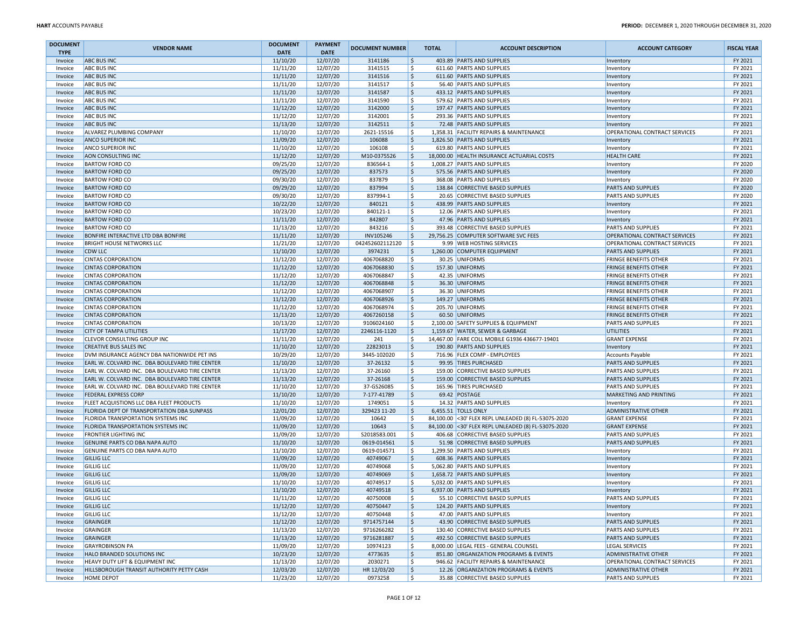| <b>DOCUMENT</b>    | <b>VENDOR NAME</b>                                                                               | <b>DOCUMENT</b>      | <b>PAYMENT</b>       | <b>DOCUMENT NUMBER</b> | <b>TOTAL</b> | <b>ACCOUNT DESCRIPTION</b>                                 | <b>ACCOUNT CATEGORY</b>                             | <b>FISCAL YEAR</b> |
|--------------------|--------------------------------------------------------------------------------------------------|----------------------|----------------------|------------------------|--------------|------------------------------------------------------------|-----------------------------------------------------|--------------------|
| <b>TYPE</b>        |                                                                                                  | <b>DATE</b>          | <b>DATE</b>          |                        | S,           | 403.89 PARTS AND SUPPLIES                                  |                                                     | FY 2021            |
| Invoice            | <b>ABC BUS INC</b><br><b>ABC BUS INC</b>                                                         | 11/10/20<br>11/11/20 | 12/07/20<br>12/07/20 | 3141186<br>3141515     | l\$          | 611.60 PARTS AND SUPPLIES                                  | Inventory                                           | FY 2021            |
| Invoice            | <b>ABC BUS INC</b>                                                                               | 11/11/20             | 12/07/20             | 3141516                | l\$          | 611.60 PARTS AND SUPPLIES                                  | Inventory                                           | FY 2021            |
| Invoice<br>Invoice | <b>ABC BUS INC</b>                                                                               | 11/11/20             | 12/07/20             | 3141517                | \$           | 56.40 PARTS AND SUPPLIES                                   | Inventory                                           | FY 2021            |
| Invoice            | <b>ABC BUS INC</b>                                                                               | 11/11/20             | 12/07/20             | 3141587                | ∣\$          | 433.12 PARTS AND SUPPLIES                                  | Inventory<br>Inventory                              | FY 2021            |
| Invoice            | <b>ABC BUS INC</b>                                                                               | 11/11/20             | 12/07/20             | 3141590                | l\$          | 579.62 PARTS AND SUPPLIES                                  | Inventory                                           | FY 2021            |
| Invoice            | <b>ABC BUS INC</b>                                                                               | 11/12/20             | 12/07/20             | 3142000                | l\$          | 197.47 PARTS AND SUPPLIES                                  | Inventory                                           | FY 2021            |
| Invoice            | <b>ABC BUS INC</b>                                                                               | 11/12/20             | 12/07/20             | 3142001                | l \$         | 293.36 PARTS AND SUPPLIES                                  | Inventory                                           | FY 2021            |
| Invoice            | <b>ABC BUS INC</b>                                                                               | 11/13/20             | 12/07/20             | 3142511                | l\$          | 72.48 PARTS AND SUPPLIES                                   | Inventory                                           | FY 2021            |
| Invoice            | ALVAREZ PLUMBING COMPANY                                                                         | 11/10/20             | 12/07/20             | 2621-15516             | l\$          | 1,358.31 FACILITY REPAIRS & MAINTENANCE                    | OPERATIONAL CONTRACT SERVICES                       | FY 2021            |
| Invoice            | ANCO SUPERIOR INC                                                                                | 11/09/20             | 12/07/20             | 106088                 | l\$          | 1,826.50 PARTS AND SUPPLIES                                | Inventory                                           | FY 2021            |
| Invoice            | <b>ANCO SUPERIOR INC</b>                                                                         | 11/10/20             | 12/07/20             | 106108                 | l\$          | 619.80 PARTS AND SUPPLIES                                  | Inventory                                           | FY 2021            |
| Invoice            | AON CONSULTING INC                                                                               | 11/12/20             | 12/07/20             | M10-0375526            | ۱\$          | 18,000.00 HEALTH INSURANCE ACTUARIAL COSTS                 | <b>HEALTH CARE</b>                                  | FY 2021            |
| Invoice            | <b>BARTOW FORD CO</b>                                                                            | 09/25/20             | 12/07/20             | 836564-1               | l\$          | 1.008.27 PARTS AND SUPPLIES                                | Inventory                                           | FY 2020            |
| Invoice            | <b>BARTOW FORD CO</b>                                                                            | 09/25/20             | 12/07/20             | 837573                 | ∣\$          | 575.56 PARTS AND SUPPLIES                                  | Inventory                                           | FY 2020            |
| Invoice            | <b>BARTOW FORD CO</b>                                                                            | 09/30/20             | 12/07/20             | 837879                 | l\$          | 368.08 PARTS AND SUPPLIES                                  | Inventory                                           | FY 2020            |
| Invoice            | <b>BARTOW FORD CO</b>                                                                            | 09/29/20             | 12/07/20             | 837994                 | l\$          | 138.84 CORRECTIVE BASED SUPPLIES                           | <b>PARTS AND SUPPLIES</b>                           | FY 2020            |
| Invoice            | <b>BARTOW FORD CO</b>                                                                            | 09/30/20             | 12/07/20             | 837994-1               | l\$          | 20.65 CORRECTIVE BASED SUPPLIES                            | <b>PARTS AND SUPPLIES</b>                           | FY 2020            |
| Invoice            | <b>BARTOW FORD CO</b>                                                                            | 10/22/20             | 12/07/20             | 840121                 | ∣\$          | 438.99 PARTS AND SUPPLIES                                  | Inventory                                           | FY 2021            |
| Invoice            | <b>BARTOW FORD CO</b>                                                                            | 10/23/20             | 12/07/20             | 840121-1               | ∣\$          | 12.06 PARTS AND SUPPLIES                                   | Inventory                                           | FY 2021            |
| Invoice            | <b>BARTOW FORD CO</b>                                                                            | 11/11/20             | 12/07/20             | 842807                 | l\$          | 47.96 PARTS AND SUPPLIES                                   | Inventory                                           | FY 2021            |
| Invoice            | <b>BARTOW FORD CO</b>                                                                            | 11/13/20             | 12/07/20             | 843216                 | l\$          | 393.48 CORRECTIVE BASED SUPPLIES                           | <b>PARTS AND SUPPLIES</b>                           | FY 2021            |
| Invoice            | BONFIRE INTERACTIVE LTD DBA BONFIRE                                                              | 11/11/20             | 12/07/20             | INV105246              | ۱\$          | 29,756.25 COMPUTER SOFTWARE SVC FEES                       | OPERATIONAL CONTRACT SERVICES                       | FY 2021            |
| Invoice            | <b>BRIGHT HOUSE NETWORKS LLC</b>                                                                 | 11/21/20             | 12/07/20             | 042452602112120        | l \$         | 9.99 WEB HOSTING SERVICES                                  | OPERATIONAL CONTRACT SERVICES                       | FY 2021            |
| Invoice            | <b>CDW LLC</b>                                                                                   | 11/10/20             | 12/07/20             | 3974231                | l\$          | 1,260.00 COMPUTER EQUIPMENT                                | <b>PARTS AND SUPPLIES</b>                           | FY 2021            |
| Invoice            | <b>CINTAS CORPORATION</b>                                                                        | 11/12/20             | 12/07/20             | 4067068820             | l\$          | 30.25 UNIFORMS                                             | <b>FRINGE BENEFITS OTHER</b>                        | FY 2021            |
| Invoice            | <b>CINTAS CORPORATION</b>                                                                        | 11/12/20             | 12/07/20             | 4067068830             | l\$          | 157.30 UNIFORMS                                            | <b>FRINGE BENEFITS OTHER</b>                        | FY 2021            |
| Invoice            | <b>CINTAS CORPORATION</b>                                                                        | 11/12/20             | 12/07/20             | 4067068847             | l\$          | 42.35 UNIFORMS                                             | <b>FRINGE BENEFITS OTHER</b>                        | FY 2021            |
| Invoice            | <b>CINTAS CORPORATION</b>                                                                        | 11/12/20             | 12/07/20             | 4067068848             | l\$          | 36.30 UNIFORMS                                             | <b>FRINGE BENEFITS OTHER</b>                        | FY 2021            |
| Invoice            | <b>CINTAS CORPORATION</b>                                                                        | 11/12/20             | 12/07/20             | 4067068907             | l\$          | 36.30 UNIFORMS                                             | <b>FRINGE BENEFITS OTHER</b>                        | FY 2021            |
| Invoice            | <b>CINTAS CORPORATION</b>                                                                        | 11/12/20             | 12/07/20             | 4067068926             | l\$          | 149.27 UNIFORMS                                            | <b>FRINGE BENEFITS OTHER</b>                        | FY 2021            |
| Invoice            | <b>CINTAS CORPORATION</b>                                                                        | 11/12/20             | 12/07/20             | 4067068974             | l\$          | 205.70 UNIFORMS                                            | <b>FRINGE BENEFITS OTHER</b>                        | FY 2021            |
| Invoice            | <b>CINTAS CORPORATION</b>                                                                        | 11/13/20             | 12/07/20             | 4067260158             | l\$          | 60.50 UNIFORMS                                             | <b>FRINGE BENEFITS OTHER</b>                        | FY 2021            |
| Invoice            | <b>CINTAS CORPORATION</b>                                                                        | 10/13/20             | 12/07/20             | 9106024160             | -Ś           | 2,100.00 SAFETY SUPPLIES & EQUIPMENT                       | <b>PARTS AND SUPPLIES</b>                           | FY 2021            |
| Invoice            | <b>CITY OF TAMPA UTILITIES</b>                                                                   | 11/17/20             | 12/07/20             | 2246116-1120           | ۱\$          | 1,159.67 WATER, SEWER & GARBAGE                            | <b>UTILITIES</b>                                    | FY 2021            |
| Invoice            | CLEVOR CONSULTING GROUP INC                                                                      | 11/11/20             | 12/07/20             | 241                    | l \$         | 14,467.00 FARE COLL MOBILE G1936 436677-19401              | <b>GRANT EXPENSE</b>                                | FY 2021            |
| Invoice            | <b>CREATIVE BUS SALES INC</b>                                                                    | 11/10/20             | 12/07/20             | 22823013               | l\$          | 190.80 PARTS AND SUPPLIES                                  | Inventory                                           | FY 2021            |
| Invoice            | DVM INSURANCE AGENCY DBA NATIONWIDE PET INS                                                      | 10/29/20             | 12/07/20             | 3445-102020            | l \$         | 716.96 FLEX COMP - EMPLOYEES                               | <b>Accounts Payable</b>                             | FY 2021            |
| Invoice            | EARL W. COLVARD INC. DBA BOULEVARD TIRE CENTER                                                   | 11/10/20             | 12/07/20             | 37-26132               | ۱\$          | 99.95 TIRES PURCHASED                                      | <b>PARTS AND SUPPLIES</b>                           | FY 2021            |
| Invoice            | EARL W. COLVARD INC. DBA BOULEVARD TIRE CENTER                                                   | 11/13/20             | 12/07/20             | 37-26160               | ۱\$          | 159.00 CORRECTIVE BASED SUPPLIES                           | <b>PARTS AND SUPPLIES</b>                           | FY 2021            |
| Invoice            | EARL W. COLVARD INC. DBA BOULEVARD TIRE CENTER<br>EARL W. COLVARD INC. DBA BOULEVARD TIRE CENTER | 11/13/20<br>11/10/20 | 12/07/20             | 37-26168<br>37-GS26085 | l\$<br>l\$   | 159.00 CORRECTIVE BASED SUPPLIES<br>165.96 TIRES PURCHASED | PARTS AND SUPPLIES                                  | FY 2021<br>FY 2021 |
| Invoice            | <b>FEDERAL EXPRESS CORP</b>                                                                      | 11/10/20             | 12/07/20<br>12/07/20 | 7-177-41789            | l\$          | 69.42 POSTAGE                                              | <b>PARTS AND SUPPLIES</b><br>MARKETING AND PRINTING | FY 2021            |
| Invoice<br>Invoice | FLEET ACQUISTIONS LLC DBA FLEET PRODUCTS                                                         | 11/10/20             | 12/07/20             | 1749051                | \$           | 14.32 PARTS AND SUPPLIES                                   |                                                     | FY 2021            |
| Invoice            | FLORIDA DEPT OF TRANSPORTATION DBA SUNPASS                                                       | 12/01/20             | 12/07/20             | 329423 11-20           | \$           | 6,455.51 TOLLS ONLY                                        | Inventory<br><b>ADMINISTRATIVE OTHER</b>            | FY 2021            |
| Invoice            | FLORIDA TRANSPORTATION SYSTEMS INC                                                               | 11/09/20             | 12/07/20             | 10642                  | l\$          | 84,100.00 <30' FLEX REPL UNLEADED (8) FL-5307S-2020        | <b>GRANT EXPENSE</b>                                | FY 2021            |
| Invoice            | FLORIDA TRANSPORTATION SYSTEMS INC                                                               | 11/09/20             | 12/07/20             | 10643                  | l\$          | 84,100.00 <30' FLEX REPL UNLEADED (8) FL-5307S-2020        | <b>GRANT EXPENSE</b>                                | FY 2021            |
| Invoice            | <b>FRONTIER LIGHTING INC</b>                                                                     | 11/09/20             | 12/07/20             | S2018583.001           | l \$         | 406.68 CORRECTIVE BASED SUPPLIES                           | <b>PARTS AND SUPPLIES</b>                           | FY 2021            |
| Invoice            | GENUINE PARTS CO DBA NAPA AUTO                                                                   | 11/10/20             | 12/07/20             | 0619-014561            | l\$          | 51.98 CORRECTIVE BASED SUPPLIES                            | <b>PARTS AND SUPPLIES</b>                           | FY 2021            |
| Invoice            | GENUINE PARTS CO DBA NAPA AUTO                                                                   | 11/10/20             | 12/07/20             | 0619-014571            | l\$          | 1,299.50 PARTS AND SUPPLIES                                | Inventory                                           | FY 2021            |
| Invoice            | <b>GILLIG LLC</b>                                                                                | 11/09/20             | 12/07/20             | 40749067               | l\$          | 608.36 PARTS AND SUPPLIES                                  | Inventory                                           | FY 2021            |
| Invoice            | <b>GILLIG LLC</b>                                                                                | 11/09/20             | 12/07/20             | 40749068               | l \$         | 5,062.80 PARTS AND SUPPLIES                                | Inventory                                           | FY 2021            |
| Invoice            | <b>GILLIG LLC</b>                                                                                | 11/09/20             | 12/07/20             | 40749069               | \$ ا         | 1.658.72 PARTS AND SUPPLIES                                | Inventory                                           | FY 2021            |
| Invoice            | <b>GILLIG LLC</b>                                                                                | 11/10/20             | 12/07/20             | 40749517               | -Ś           | 5.032.00 PARTS AND SUPPLIES                                | Inventory                                           | FY 2021            |
| Invoice            | <b>GILLIG LLC</b>                                                                                | 11/10/20             | 12/07/20             | 40749518               | l\$          | 6,937.00 PARTS AND SUPPLIES                                | Inventory                                           | FY 2021            |
| Invoice            | <b>GILLIG LLC</b>                                                                                | 11/11/20             | 12/07/20             | 40750008               | IŞ.          | 55.10 ICORRECTIVE BASED SUPPLIES                           | <b>PARTS AND SUPPLIES</b>                           | FY 2021            |
| Invoice            | <b>GILLIG LLC</b>                                                                                | 11/12/20             | 12/07/20             | 40750447               | l\$          | 124.20 PARTS AND SUPPLIES                                  | Inventory                                           | FY 2021            |
| Invoice            | <b>GILLIG LLC</b>                                                                                | 11/12/20             | 12/07/20             | 40750448               | l\$          | 47.00 PARTS AND SUPPLIES                                   | Inventory                                           | FY 2021            |
| Invoice            | <b>GRAINGER</b>                                                                                  | 11/12/20             | 12/07/20             | 9714757144             | ۱\$          | 43.90 CORRECTIVE BASED SUPPLIES                            | <b>PARTS AND SUPPLIES</b>                           | FY 2021            |
| Invoice            | <b>GRAINGER</b>                                                                                  | 11/13/20             | 12/07/20             | 9716266282             | l\$          | 130.40 CORRECTIVE BASED SUPPLIES                           | <b>PARTS AND SUPPLIES</b>                           | FY 2021            |
| Invoice            | GRAINGER                                                                                         | 11/13/20             | 12/07/20             | 9716281887             | l\$          | 492.50 CORRECTIVE BASED SUPPLIES                           | <b>PARTS AND SUPPLIES</b>                           | FY 2021            |
| Invoice            | <b>GRAYROBINSON PA</b>                                                                           | 11/09/20             | 12/07/20             | 10974123               | l\$          | 8,000.00 LEGAL FEES - GENERAL COUNSEL                      | <b>LEGAL SERVICES</b>                               | FY 2021            |
| Invoice            | HALO BRANDED SOLUTIONS INC                                                                       | 10/23/20             | 12/07/20             | 4773635                | l\$          | 851.80 ORGANIZATION PROGRAMS & EVENTS                      | <b>ADMINISTRATIVE OTHER</b>                         | FY 2021            |
| Invoice            | HEAVY DUTY LIFT & EQUIPMENT INC                                                                  | 11/13/20             | 12/07/20             | 2030271                | S.           | 946.62 FACILITY REPAIRS & MAINTENANCE                      | OPERATIONAL CONTRACT SERVICES                       | FY 2021            |
| Invoice            | HILLSBOROUGH TRANSIT AUTHORITY PETTY CASH                                                        | 12/03/20             | 12/07/20             | HR 12/03/20            | ۱\$          | 12.26 ORGANIZATION PROGRAMS & EVENTS                       | <b>ADMINISTRATIVE OTHER</b>                         | FY 2021            |
| Invoice            | <b>HOME DEPOT</b>                                                                                | 11/23/20             | 12/07/20             | 0973258                | l \$         | 35.88 CORRECTIVE BASED SUPPLIES                            | PARTS AND SUPPLIES                                  | FY 2021            |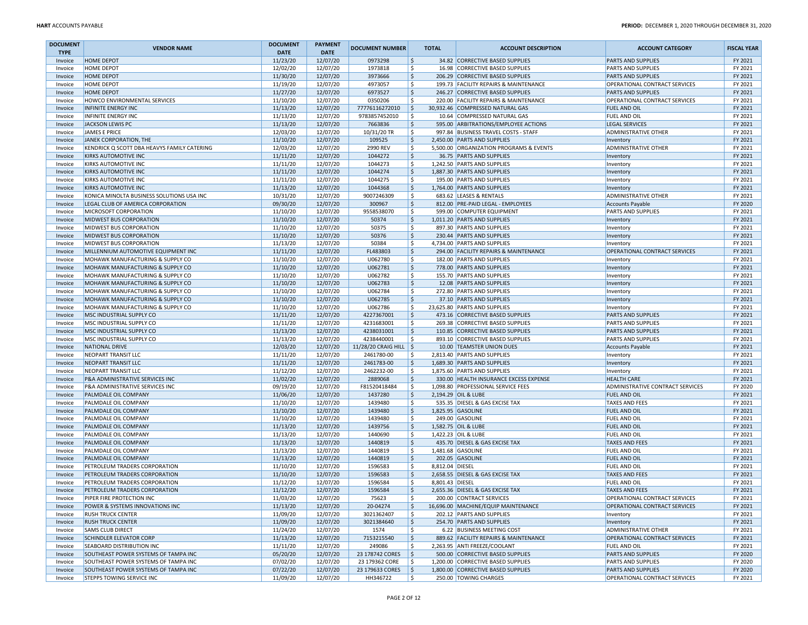| <b>DOCUMENT</b> |                                             | <b>DOCUMENT</b> | <b>PAYMENT</b> |                          |                        |                                         |                                      |                    |
|-----------------|---------------------------------------------|-----------------|----------------|--------------------------|------------------------|-----------------------------------------|--------------------------------------|--------------------|
| <b>TYPE</b>     | <b>VENDOR NAME</b>                          | <b>DATE</b>     | <b>DATE</b>    | <b>DOCUMENT NUMBER</b>   | <b>TOTAL</b>           | <b>ACCOUNT DESCRIPTION</b>              | <b>ACCOUNT CATEGORY</b>              | <b>FISCAL YEAR</b> |
| Invoice         | <b>HOME DEPOT</b>                           | 11/23/20        | 12/07/20       | 0973298                  | .\$                    | 34.82 CORRECTIVE BASED SUPPLIES         | <b>PARTS AND SUPPLIES</b>            | FY 2021            |
| Invoice         | <b>HOME DEPOT</b>                           | 12/02/20        | 12/07/20       | 1973818                  | S,                     | 16.98 CORRECTIVE BASED SUPPLIES         | <b>PARTS AND SUPPLIES</b>            | FY 2021            |
| Invoice         | <b>HOME DEPOT</b>                           | 11/30/20        | 12/07/20       | 3973666                  | ا \$                   | 206.29 CORRECTIVE BASED SUPPLIES        | <b>PARTS AND SUPPLIES</b>            | FY 2021            |
| Invoice         | HOME DEPOT                                  | 11/19/20        | 12/07/20       | 4973057                  | ۱\$                    | 199.73 FACILITY REPAIRS & MAINTENANCE   | OPERATIONAL CONTRACT SERVICES        | FY 2021            |
| Invoice         | <b>HOME DEPOT</b>                           | 11/27/20        | 12/07/20       | 6973527                  | ۱\$.                   | 246.27 CORRECTIVE BASED SUPPLIES        | <b>PARTS AND SUPPLIES</b>            | FY 2021            |
| Invoice         | HOWCO ENVIRONMENTAL SERVICES                | 11/10/20        | 12/07/20       | 0350206                  | .s                     | 220.00 FACILITY REPAIRS & MAINTENANCE   | OPERATIONAL CONTRACT SERVICES        | FY 2021            |
| Invoice         | <b>INFINITE ENERGY INC</b>                  | 11/13/20        | 12/07/20       | 77776116272010           | ا \$                   | 30,932.46 COMPRESSED NATURAL GAS        | <b>FUEL AND OIL</b>                  | FY 2021            |
| Invoice         | <b>INFINITE ENERGY INC</b>                  | 11/13/20        | 12/07/20       | 9783857452010            | ١\$                    | 10.64 COMPRESSED NATURAL GAS            | <b>FUEL AND OIL</b>                  | FY 2021            |
| Invoice         | JACKSON LEWIS PC                            | 11/13/20        | 12/07/20       | 7663836                  | \$                     | 595.00 ARBITRATIONS/EMPLOYEE ACTIONS    | <b>LEGAL SERVICES</b>                | FY 2021            |
| Invoice         | <b>JAMES E PRICE</b>                        | 12/03/20        | 12/07/20       | 10/31/20 TR              | ۱\$                    | 997.84 BUSINESS TRAVEL COSTS - STAFF    | <b>ADMINISTRATIVE OTHER</b>          | FY 2021            |
| Invoice         | JANEK CORPORATION, THE                      | 11/10/20        | 12/07/20       | 109525                   | ∣\$                    | 2.450.00 PARTS AND SUPPLIES             | Inventory                            | FY 2021            |
| Invoice         | KENDRICK Q SCOTT DBA HEAVYS FAMILY CATERING | 12/03/20        | 12/07/20       | 2990 REV                 | ١\$                    | 5,500.00 ORGANIZATION PROGRAMS & EVENTS | <b>ADMINISTRATIVE OTHER</b>          | FY 2021            |
| Invoice         | <b>KIRKS AUTOMOTIVE INC</b>                 | 11/11/20        | 12/07/20       | 1044272                  | ا \$                   | 36.75 PARTS AND SUPPLIES                | Inventory                            | FY 2021            |
| Invoice         | KIRKS AUTOMOTIVE INC                        | 11/11/20        | 12/07/20       | 1044273                  | ۱s                     | 1,242.50 PARTS AND SUPPLIES             | Inventory                            | FY 2021            |
| Invoice         | <b>KIRKS AUTOMOTIVE INC</b>                 | 11/11/20        | 12/07/20       | 1044274                  | ١\$                    | 1,887.30 PARTS AND SUPPLIES             | Inventory                            | FY 2021            |
| Invoice         | <b>KIRKS AUTOMOTIVE INC</b>                 | 11/11/20        | 12/07/20       | 1044275                  | \$                     | 195.00 PARTS AND SUPPLIES               | Inventory                            | FY 2021            |
| Invoice         | <b>KIRKS AUTOMOTIVE INC</b>                 | 11/13/20        | 12/07/20       | 1044368                  | ا \$                   | 1,764.00 PARTS AND SUPPLIES             | Inventory                            | FY 2021            |
| Invoice         | KONICA MINOLTA BUSINESS SOLUTIONS USA INC   | 10/31/20        | 12/07/20       | 9007246309               | ١\$                    | 683.62 LEASES & RENTALS                 | <b>ADMINISTRATIVE OTHER</b>          | FY 2021            |
| Invoice         | LEGAL CLUB OF AMERICA CORPORATION           | 09/30/20        | 12/07/20       | 300967                   | ۱\$                    | 812.00 PRE-PAID LEGAL - EMPLOYEES       | <b>Accounts Payable</b>              | FY 2020            |
| Invoice         | <b>MICROSOFT CORPORATION</b>                | 11/10/20        | 12/07/20       | 9558538070               | l \$                   | 599.00 COMPUTER EQUIPMENT               | <b>PARTS AND SUPPLIES</b>            | FY 2021            |
| Invoice         | <b>MIDWEST BUS CORPORATION</b>              | 11/10/20        | 12/07/20       | 50374                    | ١\$                    | 1,011.20 PARTS AND SUPPLIES             | Inventory                            | FY 2021            |
| Invoice         | <b>MIDWEST BUS CORPORATION</b>              | 11/10/20        | 12/07/20       | 50375                    | ١\$                    | 897.30 PARTS AND SUPPLIES               | Inventory                            | FY 2021            |
| Invoice         | MIDWEST BUS CORPORATION                     | 11/10/20        | 12/07/20       | 50376                    | ا \$                   | 230.44 PARTS AND SUPPLIES               | Inventory                            | FY 2021            |
| Invoice         | <b>MIDWEST BUS CORPORATION</b>              | 11/13/20        | 12/07/20       | 50384                    | ١\$                    | 4,734.00 PARTS AND SUPPLIES             | Inventory                            | FY 2021            |
| Invoice         | MILLENNIUM AUTOMOTIVE EQUIPMENT INC         | 11/11/20        | 12/07/20       | FL483803                 | ۱\$.                   | 294.00 FACILITY REPAIRS & MAINTENANCE   | OPERATIONAL CONTRACT SERVICES        | FY 2021            |
| Invoice         | MOHAWK MANUFACTURING & SUPPLY CO            | 11/10/20        | 12/07/20       | U062780                  | \$                     | 182.00 PARTS AND SUPPLIES               | Inventory                            | FY 2021            |
| Invoice         | MOHAWK MANUFACTURING & SUPPLY CO            | 11/10/20        | 12/07/20       | U062781                  | \$                     | 778.00 PARTS AND SUPPLIES               | Inventory                            | FY 2021            |
| Invoice         | MOHAWK MANUFACTURING & SUPPLY CO            | 11/10/20        | 12/07/20       | U062782                  | ١\$                    | 155.70 PARTS AND SUPPLIES               | Inventory                            | FY 2021            |
| Invoice         | MOHAWK MANUFACTURING & SUPPLY CO            | 11/10/20        | 12/07/20       | U062783                  | ∣\$                    | 12.08 PARTS AND SUPPLIES                | Inventory                            | FY 2021            |
| Invoice         | MOHAWK MANUFACTURING & SUPPLY CO            | 11/10/20        | 12/07/20       | U062784                  | S,                     | 272.80 PARTS AND SUPPLIES               | Inventory                            | FY 2021            |
| Invoice         | MOHAWK MANUFACTURING & SUPPLY CO            | 11/10/20        | 12/07/20       | U062785                  | ∣\$                    | 37.10 PARTS AND SUPPLIES                | Inventon                             | FY 2021            |
| Invoice         | MOHAWK MANUFACTURING & SUPPLY CO            | 11/10/20        | 12/07/20       | U062786                  | \$                     | 23,625.80 PARTS AND SUPPLIES            | Inventory                            | FY 2021            |
| Invoice         | MSC INDUSTRIAL SUPPLY CO                    | 11/11/20        | 12/07/20       | 4227367001               | ا \$                   | 473.16 CORRECTIVE BASED SUPPLIES        | <b>PARTS AND SUPPLIES</b>            | FY 2021            |
| Invoice         | MSC INDUSTRIAL SUPPLY CO                    | 11/11/20        | 12/07/20       | 4231683001               | ۱s                     | 269.38 CORRECTIVE BASED SUPPLIES        | <b>PARTS AND SUPPLIES</b>            | FY 2021            |
| Invoice         | MSC INDUSTRIAL SUPPLY CO                    | 11/13/20        | 12/07/20       | 4238031001               | ۱\$.                   | 110.85 CORRECTIVE BASED SUPPLIES        | <b>PARTS AND SUPPLIES</b>            | FY 2021            |
| Invoice         | MSC INDUSTRIAL SUPPLY CO                    | 11/13/20        | 12/07/20       | 4238440001               | ۱s                     | 893.10 CORRECTIVE BASED SUPPLIES        | <b>PARTS AND SUPPLIES</b>            | FY 2021            |
| Invoice         | <b>NATIONAL DRIVE</b>                       | 12/03/20        | 12/07/20       | 11/28/20 CRAIG HILL   \$ |                        | 10.00 TEAMSTER UNION DUES               | Accounts Payable                     | FY 2021            |
| Invoice         | <b>NEOPART TRANSIT LLC</b>                  | 11/11/20        | 12/07/20       | 2461780-00               | S.                     | 2,813.40 PARTS AND SUPPLIES             | Inventory                            | FY 2021            |
| Invoice         | NEOPART TRANSIT LLC                         | 11/11/20        | 12/07/20       | 2461783-00               | ۱\$                    | 1,689.30 PARTS AND SUPPLIES             | Inventory                            | FY 2021            |
| Invoice         | NEOPART TRANSIT LLC                         | 11/12/20        | 12/07/20       | 2462232-00               | ۱Ś                     | 1,875.60 PARTS AND SUPPLIES             | Inventory                            | FY 2021            |
| Invoice         | P&A ADMINISTRATIVE SERVICES INC             | 11/02/20        | 12/07/20       | 2889068                  | ١\$                    | 330.00 HEALTH INSURANCE EXCESS EXPENSE  | <b>HEALTH CARE</b>                   | FY 2021            |
| Invoice         | P&A ADMINISTRATIVE SERVICES INC             | 09/19/20        | 12/07/20       | F81520418484             | l\$                    | 1,098.80 PROFESSIONAL SERVICE FEES      | ADMINISTRATIVE CONTRACT SERVICES     | FY 2020            |
| Invoice         | PALMDALE OIL COMPANY                        | 11/06/20        | 12/07/20       | 1437280                  | ا \$                   | 2,194.29 OIL & LUBE                     | <b>FUEL AND OIL</b>                  | FY 2021            |
| Invoice         | PALMDALE OIL COMPANY                        | 11/10/20        | 12/07/20       | 1439480                  | ۱s                     | 535.35 DIESEL & GAS EXCISE TAX          | <b>TAXES AND FEES</b>                | FY 2021            |
| Invoice         | <b>PALMDALE OIL COMPANY</b>                 | 11/10/20        | 12/07/20       | 1439480                  | ١\$                    | 1,825.95 GASOLINE                       | <b>FUEL AND OIL</b>                  | FY 2021            |
| Invoice         | PALMDALE OIL COMPANY                        | 11/10/20        | 12/07/20       | 1439480                  | .s                     | 249.00 GASOLINE                         | <b>FUEL AND OIL</b>                  | FY 2021            |
| Invoice         | PALMDALE OIL COMPANY                        | 11/13/20        | 12/07/20       | 1439756                  | \$                     | 1,582.75 OIL & LUBE                     | <b>FUEL AND OIL</b>                  | FY 2021            |
| Invoice         | PALMDALE OIL COMPANY                        | 11/13/20        | 12/07/20       | 1440690                  | ١\$                    | 1,422.23 OIL & LUBE                     | <b>FUEL AND OIL</b>                  | FY 2021            |
| Invoice         | PALMDALE OIL COMPANY                        | 11/13/20        | 12/07/20       | 1440819                  | ۱\$                    | 435.70 DIESEL & GAS EXCISE TAX          | <b>TAXES AND FEES</b>                | FY 2021            |
| Invoice         | PALMDALE OIL COMPANY                        | 11/13/20        | 12/07/20       | 1440819                  | ۱s                     | 1,481.68 GASOLINE                       | <b>FUEL AND OIL</b>                  | FY 2021            |
| Invoice         | PALMDALE OIL COMPANY                        | 11/13/20        | 12/07/20       | 1440819                  | ۱\$                    | 202.05 GASOLINE                         | <b>FUEL AND OIL</b>                  | FY 2021            |
| Invoice         | PETROLEUM TRADERS CORPORATION               | 11/10/20        | 12/07/20       | 1596583                  | ١\$<br>8,812.04 DIESEL |                                         | <b>FUEL AND OIL</b>                  | FY 2021            |
| Invoice         | PETROLEUM TRADERS CORPORATION               | 11/10/20        | 12/07/20       | 1596583                  | ا \$                   | 2,658.55 DIESEL & GAS EXCISE TAX        | <b>TAXES AND FEES</b>                | FY 2021            |
| Invoice         | PETROLEUM TRADERS CORPORATION               | 11/12/20        | 12/07/20       | 1596584                  | ۱s<br>8,801.43 DIESEL  |                                         | <b>FUEL AND OIL</b>                  | FY 2021            |
| Invoice         | PETROLEUM TRADERS CORPORATION               | 11/12/20        | 12/07/20       | 1596584                  | l\$                    | 2,655.36 DIESEL & GAS EXCISE TAX        | <b>TAXES AND FEES</b>                | FY 2021            |
| Invoice         | PIPER FIRE PROTECTION INC                   | 11/03/20        | 12/07/20       | 75623                    |                        | <b>200.00 CONTRACT SERVICES</b>         | <b>OPERATIONAL CONTRACT SERVICES</b> | FY 2021            |
| Invoice         | POWER & SYSTEMS INNOVATIONS INC             | 11/13/20        | 12/07/20       | 20-04274                 | \$                     | 16,696.00 MACHINE/EQUIP MAINTENANCE     | OPERATIONAL CONTRACT SERVICES        | FY 2021            |
| Invoice         | <b>RUSH TRUCK CENTER</b>                    | 11/09/20        | 12/07/20       | 3021362407               | l \$                   | 202.12 PARTS AND SUPPLIES               | Inventory                            | FY 2021            |
| Invoice         | <b>RUSH TRUCK CENTER</b>                    | 11/09/20        | 12/07/20       | 3021384640               | ١\$                    | 254.70 PARTS AND SUPPLIES               | Inventory                            | FY 2021            |
| Invoice         | <b>SAMS CLUB DIRECT</b>                     | 11/24/20        | 12/07/20       | 1574                     | l \$                   | 6.22 BUSINESS MEETING COST              | <b>ADMINISTRATIVE OTHER</b>          | FY 2021            |
| Invoice         | <b>SCHINDLER ELEVATOR CORP</b>              | 11/13/20        | 12/07/20       | 7153215540               | ۱\$                    | 889.62 FACILITY REPAIRS & MAINTENANCE   | OPERATIONAL CONTRACT SERVICES        | FY 2021            |
| Invoice         | <b>SEABOARD DISTRIBUTION INC</b>            | 11/11/20        | 12/07/20       | 249086                   | ۱\$.                   | 2,263.95 ANTI FREEZE/COOLANT            | <b>FUEL AND OIL</b>                  | FY 2021            |
| Invoice         | SOUTHEAST POWER SYSTEMS OF TAMPA INC        | 05/20/20        | 12/07/20       | 23 178742 CORES          | $\vert$ \$             | 500.00 CORRECTIVE BASED SUPPLIES        | <b>PARTS AND SUPPLIES</b>            | FY 2020            |
| Invoice         | SOUTHEAST POWER SYSTEMS OF TAMPA INC        | 07/02/20        | 12/07/20       | 23 179362 CORE           | ۱Ś                     | 1,200.00 CORRECTIVE BASED SUPPLIES      | <b>PARTS AND SUPPLIES</b>            | FY 2020            |
| Invoice         | SOUTHEAST POWER SYSTEMS OF TAMPA INC        | 07/22/20        | 12/07/20       | 23 179633 CORES          | ۱\$.                   | 1,800.00 CORRECTIVE BASED SUPPLIES      | <b>PARTS AND SUPPLIES</b>            | FY 2020            |
| Invoice         | <b>STEPPS TOWING SERVICE INC</b>            | 11/09/20        | 12/07/20       | HH346722                 | <b>S</b>               | 250.00 TOWING CHARGES                   | <b>OPERATIONAL CONTRACT SERVICES</b> | FY 2021            |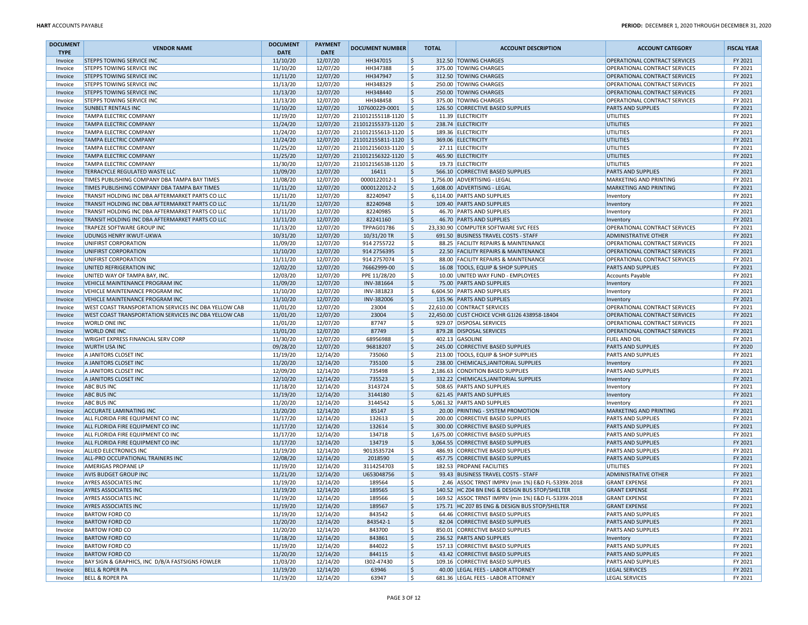| <b>DOCUMENT</b>    | <b>VENDOR NAME</b>                                            | <b>DOCUMENT</b>      | <b>PAYMENT</b>       | <b>DOCUMENT NUMBER</b> |              | <b>TOTAL</b> | <b>ACCOUNT DESCRIPTION</b>                           | <b>ACCOUNT CATEGORY</b>                                        | <b>FISCAL YEAR</b> |
|--------------------|---------------------------------------------------------------|----------------------|----------------------|------------------------|--------------|--------------|------------------------------------------------------|----------------------------------------------------------------|--------------------|
| <b>TYPE</b>        |                                                               | <b>DATE</b>          | <b>DATE</b>          |                        |              |              |                                                      |                                                                |                    |
| Invoice            | <b>STEPPS TOWING SERVICE INC</b><br>STEPPS TOWING SERVICE INC | 11/10/20<br>11/10/20 | 12/07/20<br>12/07/20 | HH347015<br>HH347388   | S.<br>\$     |              | 312.50 TOWING CHARGES<br>375.00 TOWING CHARGES       | OPERATIONAL CONTRACT SERVICES<br>OPERATIONAL CONTRACT SERVICES | FY 2021<br>FY 2021 |
| Invoice<br>Invoice | <b>STEPPS TOWING SERVICE INC</b>                              | 11/11/20             | 12/07/20             | HH347947               | \$           |              | 312.50 TOWING CHARGES                                | OPERATIONAL CONTRACT SERVICES                                  | FY 2021            |
| Invoice            | STEPPS TOWING SERVICE INC                                     | 11/13/20             | 12/07/20             | HH348329               | \$           |              | 250.00 TOWING CHARGES                                | OPERATIONAL CONTRACT SERVICES                                  | FY 2021            |
| Invoice            | STEPPS TOWING SERVICE INC                                     | 11/13/20             | 12/07/20             | HH348440               | \$           |              | 250.00 TOWING CHARGES                                | OPERATIONAL CONTRACT SERVICES                                  | FY 2021            |
| Invoice            | STEPPS TOWING SERVICE INC                                     | 11/13/20             | 12/07/20             | HH348458               | \$           |              | 375.00 TOWING CHARGES                                | OPERATIONAL CONTRACT SERVICES                                  | FY 2021            |
| Invoice            | <b>SUNBELT RENTALS INC</b>                                    | 11/10/20             | 12/07/20             | 107600229-0001         | \$           |              | 126.50 CORRECTIVE BASED SUPPLIES                     | <b>PARTS AND SUPPLIES</b>                                      | FY 2021            |
| Invoice            | TAMPA ELECTRIC COMPANY                                        | 11/19/20             | 12/07/20             | 211012155118-1120 \$   |              |              | 11.39 ELECTRICITY                                    | UTILITIES                                                      | FY 2021            |
| Invoice            | TAMPA ELECTRIC COMPANY                                        | 11/24/20             | 12/07/20             | 211012155373-1120   \$ |              |              | 238.74 ELECTRICITY                                   | UTILITIES                                                      | FY 2021            |
| Invoice            | TAMPA ELECTRIC COMPANY                                        | 11/24/20             | 12/07/20             | 211012155613-1120   \$ |              |              | 189.36 ELECTRICITY                                   | UTILITIES                                                      | FY 2021            |
| Invoice            | <b>TAMPA ELECTRIC COMPANY</b>                                 | 11/24/20             | 12/07/20             | 211012155811-1120 \$   |              |              | 369.06 ELECTRICITY                                   | UTILITIES                                                      | FY 2021            |
| Invoice            | TAMPA ELECTRIC COMPANY                                        | 11/25/20             | 12/07/20             | 211012156033-1120 \$   |              |              | 27.11 ELECTRICITY                                    | UTILITIES                                                      | FY 2021            |
| Invoice            | TAMPA ELECTRIC COMPANY                                        | 11/25/20             | 12/07/20             | 211012156322-1120 \$   |              |              | 465.90 ELECTRICITY                                   | UTILITIES                                                      | FY 2021            |
| Invoice            | TAMPA ELECTRIC COMPANY                                        | 11/30/20             | 12/07/20             | 211012156538-1120 \$   |              |              | 19.73 ELECTRICITY                                    | UTILITIES                                                      | FY 2021            |
| Invoice            | TERRACYCLE REGULATED WASTE LLC                                | 11/09/20             | 12/07/20             | 16411                  | \$           |              | 566.10 CORRECTIVE BASED SUPPLIES                     | PARTS AND SUPPLIES                                             | FY 2021            |
| Invoice            | TIMES PUBLISHING COMPANY DBA TAMPA BAY TIMES                  | 11/08/20             | 12/07/20             | 0000122012-1           | \$           |              | 1,756.00 ADVERTISING - LEGAL                         | <b>MARKETING AND PRINTING</b>                                  | FY 2021            |
| Invoice            | TIMES PUBLISHING COMPANY DBA TAMPA BAY TIMES                  | 11/11/20             | 12/07/20             | 0000122012-2           | \$           |              | 1,608.00 ADVERTISING - LEGAL                         | <b>MARKETING AND PRINTING</b>                                  | FY 2021            |
| Invoice            | TRANSIT HOLDING INC DBA AFTERMARKET PARTS CO LLC              | 11/11/20             | 12/07/20             | 82240947               | \$           |              | 6,114.00 PARTS AND SUPPLIES                          | Inventory                                                      | FY 2021            |
| Invoice            | TRANSIT HOLDING INC DBA AFTERMARKET PARTS CO LLC              | 11/11/20             | 12/07/20             | 82240948               | <sub>S</sub> |              | 109.40 PARTS AND SUPPLIES                            | Inventory                                                      | FY 2021            |
| Invoice            | TRANSIT HOLDING INC DBA AFTERMARKET PARTS CO LLC              | 11/11/20             | 12/07/20             | 82240985               | \$           |              | 46.70 PARTS AND SUPPLIES                             | Inventory                                                      | FY 2021            |
| Invoice            | TRANSIT HOLDING INC DBA AFTERMARKET PARTS CO LLC              | 11/11/20             | 12/07/20             | 82241160               | \$           |              | 46.70 PARTS AND SUPPLIES                             | Inventory                                                      | FY 2021            |
| Invoice            | TRAPEZE SOFTWARE GROUP INC                                    | 11/13/20             | 12/07/20             | TPPAG01786             | \$           |              | 23,330.90 COMPUTER SOFTWARE SVC FEES                 | OPERATIONAL CONTRACT SERVICES                                  | FY 2021            |
| Invoice            | UDUNGS HENRY IKWUT-UKWA                                       | 10/31/20             | 12/07/20             | 10/31/20 TR            | \$           |              | 691.50 BUSINESS TRAVEL COSTS - STAFF                 | <b>ADMINISTRATIVE OTHER</b>                                    | FY 2021            |
| Invoice            | UNIFIRST CORPORATION                                          | 11/09/20             | 12/07/20             | 914 2755722            | \$           |              | 88.25 FACILITY REPAIRS & MAINTENANCE                 | OPERATIONAL CONTRACT SERVICES                                  | FY 2021            |
| Invoice            | UNIFIRST CORPORATION                                          | 11/10/20             | 12/07/20             | 914 275 6395           | \$           |              | 22.50 FACILITY REPAIRS & MAINTENANCE                 | OPERATIONAL CONTRACT SERVICES                                  | FY 2021            |
| Invoice            | UNIFIRST CORPORATION                                          | 11/11/20             | 12/07/20             | 914 2757074            | \$           |              | 88.00 FACILITY REPAIRS & MAINTENANCE                 | OPERATIONAL CONTRACT SERVICES                                  | FY 2021            |
| Invoice            | UNITED REFRIGERATION INC                                      | 12/02/20             | 12/07/20             | 76662999-00            | \$           |              | 16.08 TOOLS, EQUIP & SHOP SUPPLIES                   | <b>PARTS AND SUPPLIES</b>                                      | FY 2021            |
| Invoice            | UNITED WAY OF TAMPA BAY, INC.                                 | 12/03/20             | 12/07/20             | PPE 11/28/20           | \$           |              | 10.00 UNITED WAY FUND - EMPLOYEES                    | <b>Accounts Payable</b>                                        | FY 2021            |
| Invoice            | VEHICLE MAINTENANCE PROGRAM INC                               | 11/09/20             | 12/07/20             | INV-381664             | \$           |              | 75.00 PARTS AND SUPPLIES                             | Inventory                                                      | FY 2021            |
| Invoice            | VEHICLE MAINTENANCE PROGRAM INC                               | 11/10/20             | 12/07/20             | INV-381823             | \$           |              | 6,604.50 PARTS AND SUPPLIES                          | Inventory                                                      | FY 2021            |
| Invoice            | VEHICLE MAINTENANCE PROGRAM INC                               | 11/10/20             | 12/07/20             | INV-382006             | \$           |              | 135.96 PARTS AND SUPPLIES                            | Inventory                                                      | FY 2021            |
| Invoice            | WEST COAST TRANSPORTATION SERVICES INC DBA YELLOW CAB         | 11/01/20             | 12/07/20             | 23004                  | Ŝ            |              | 22,610.00 CONTRACT SERVICES                          | OPERATIONAL CONTRACT SERVICES                                  | FY 2021            |
| Invoice            | WEST COAST TRANSPORTATION SERVICES INC DBA YELLOW CAB         | 11/01/20             | 12/07/20             | 23004                  | \$           |              | 22,450.00 CUST CHOICE VCHR G1I26 438958-18404        | OPERATIONAL CONTRACT SERVICES                                  | FY 2021            |
| Invoice            | WORLD ONE INC                                                 | 11/01/20             | 12/07/20             | 87747                  | \$           |              | 929.07 DISPOSAL SERVICES                             | OPERATIONAL CONTRACT SERVICES                                  | FY 2021            |
| Invoice            | <b>WORLD ONE INC</b>                                          | 11/01/20             | 12/07/20             | 87749                  | \$           |              | 879.28 DISPOSAL SERVICES                             | OPERATIONAL CONTRACT SERVICES                                  | FY 2021            |
| Invoice            | WRIGHT EXPRESS FINANCIAL SERV CORP                            | 11/30/20             | 12/07/20             | 68956988               | \$           |              | 402.13 GASOLINE                                      | <b>FUEL AND OIL</b>                                            | FY 2021            |
| Invoice            | <b>WURTH USA INC</b>                                          | 09/28/20             | 12/07/20             | 96818207               | \$           |              | 245.00 CORRECTIVE BASED SUPPLIES                     | <b>PARTS AND SUPPLIES</b>                                      | FY 2020            |
| Invoice            | A JANITORS CLOSET INC                                         | 11/19/20             | 12/14/20             | 735060                 | \$           |              | 213.00 TOOLS, EQUIP & SHOP SUPPLIES                  | <b>PARTS AND SUPPLIES</b>                                      | FY 2021            |
| Invoice            | A JANITORS CLOSET INC                                         | 11/20/20             | 12/14/20             | 735100                 | \$           |              | 238.00 CHEMICALS, JANITORIAL SUPPLIES                | Inventory                                                      | FY 2021            |
| Invoice            | A JANITORS CLOSET INC                                         | 12/09/20             | 12/14/20             | 735498                 | \$           |              | 2,186.63 CONDITION BASED SUPPLIES                    | <b>PARTS AND SUPPLIES</b>                                      | FY 2021            |
| Invoice            | A JANITORS CLOSET INC                                         | 12/10/20             | 12/14/20             | 735523                 | \$           |              | 332.22 CHEMICALS, JANITORIAL SUPPLIES                | Inventory                                                      | FY 2021            |
| Invoice            | <b>ABC BUS INC</b>                                            | 11/18/20             | 12/14/20             | 3143724                | \$           |              | 508.65 PARTS AND SUPPLIES                            | Inventory                                                      | FY 2021            |
| Invoice            | <b>ABC BUS INC</b>                                            | 11/19/20             | 12/14/20             | 3144180                | \$           |              | 621.45 PARTS AND SUPPLIES                            | Inventory                                                      | FY 2021            |
| Invoice            | <b>ABC BUS INC</b>                                            | 11/20/20             | 12/14/20             | 3144542                | Ŝ.           |              | 5,061.32 PARTS AND SUPPLIES                          | Inventory                                                      | FY 2021            |
| Invoice            | ACCURATE LAMINATING INC                                       | 11/20/20             | 12/14/20             | 85147                  | \$           |              | 20.00 PRINTING - SYSTEM PROMOTION                    | <b>MARKETING AND PRINTING</b>                                  | FY 2021            |
| Invoice            | ALL FLORIDA FIRE EQUIPMENT CO INC                             | 11/17/20             | 12/14/20             | 132613                 | \$           |              | 200.00 CORRECTIVE BASED SUPPLIES                     | <b>PARTS AND SUPPLIES</b>                                      | FY 2021            |
| Invoice            | ALL FLORIDA FIRE EQUIPMENT CO INC                             | 11/17/20             | 12/14/20             | 132614                 | \$           |              | 300.00 CORRECTIVE BASED SUPPLIES                     | <b>PARTS AND SUPPLIES</b>                                      | FY 2021            |
| Invoice            | ALL FLORIDA FIRE EQUIPMENT CO INC                             | 11/17/20             | 12/14/20             | 134718                 | \$           |              | 1,675.00 CORRECTIVE BASED SUPPLIES                   | <b>PARTS AND SUPPLIES</b>                                      | FY 2021            |
| Invoice            | ALL FLORIDA FIRE EQUIPMENT CO INC                             | 11/17/20             | 12/14/20             | 134719                 | \$           |              | 3,064.55 CORRECTIVE BASED SUPPLIES                   | <b>PARTS AND SUPPLIES</b>                                      | FY 2021            |
| Invoice            | ALLIED ELECTRONICS INC                                        | 11/19/20             | 12/14/20             | 9013535724             | \$           |              | 486.93 CORRECTIVE BASED SUPPLIES                     | <b>PARTS AND SUPPLIES</b>                                      | FY 2021            |
| Invoice            | ALL-PRO OCCUPATIONAL TRAINERS INC                             | 12/08/20             | 12/14/20             | 2018590                | \$           |              | 457.75 CORRECTIVE BASED SUPPLIES                     | <b>PARTS AND SUPPLIES</b>                                      | FY 2021            |
| Invoice            | AMERIGAS PROPANE LP                                           | 11/19/20             | 12/14/20             | 3114254703             | \$           |              | 182.53 PROPANE FACILITIES                            | UTILITIES                                                      | FY 2021            |
| Invoice            | <b>AVIS BUDGET GROUP INC</b>                                  | 11/21/20             | 12/14/20             | U653048756             | \$           |              | 93.43 BUSINESS TRAVEL COSTS - STAFF                  | <b>ADMINISTRATIVE OTHER</b>                                    | FY 2021            |
| Invoice            | AYRES ASSOCIATES INC                                          | 11/19/20             | 12/14/20             | 189564                 | Ŝ            |              | 2.46 ASSOC TRNST IMPRV (min 1%) E&D FL-5339X-2018    | <b>GRANT EXPENSE</b>                                           | FY 2021            |
| Invoice            | <b>AYRES ASSOCIATES INC</b>                                   | 11/19/20             | 12/14/20             | 189565                 | \$           |              | 140.52 HC Z04 BN ENG & DESIGN BUS STOP/SHELTER       | <b>GRANT EXPENSE</b>                                           | FY 2021            |
| Invoice            | <b>AYRES ASSOCIATES INC</b>                                   | 11/19/20             | 12/14/20             | 189566                 | -5           |              | 169.52  ASSOC TRNST IMPRV (min 1%) E&D FL-5339X-2018 | <b>GRANT EXPENSE</b>                                           | FY 2021            |
| Invoice            | <b>AYRES ASSOCIATES INC</b>                                   | 11/19/20             | 12/14/20             | 189567                 | \$           |              | 175.71 HC Z07 BS ENG & DESIGN BUS STOP/SHELTER       | <b>GRANT EXPENSE</b>                                           | FY 2021            |
| Invoice            | <b>BARTOW FORD CO</b>                                         | 11/19/20             | 12/14/20             | 843542                 | \$           |              | 64.46 CORRECTIVE BASED SUPPLIES                      | <b>PARTS AND SUPPLIES</b>                                      | FY 2021            |
| Invoice            | <b>BARTOW FORD CO</b>                                         | 11/20/20             | 12/14/20             | 843542-1               | \$           |              | 82.04 CORRECTIVE BASED SUPPLIES                      | <b>PARTS AND SUPPLIES</b>                                      | FY 2021            |
| Invoice            | <b>BARTOW FORD CO</b>                                         | 11/20/20             | 12/14/20             | 843700                 | \$           |              | 850.01 CORRECTIVE BASED SUPPLIES                     | PARTS AND SUPPLIES                                             | FY 2021            |
| Invoice            | <b>BARTOW FORD CO</b>                                         | 11/18/20             | 12/14/20             | 843861                 | \$           |              | 236.52 PARTS AND SUPPLIES                            | Inventory                                                      | FY 2021            |
| Invoice            | <b>BARTOW FORD CO</b>                                         | 11/19/20             | 12/14/20             | 844022                 | \$           |              | 157.13 CORRECTIVE BASED SUPPLIES                     | PARTS AND SUPPLIES                                             | FY 2021            |
| Invoice            | <b>BARTOW FORD CO</b>                                         | 11/20/20             | 12/14/20             | 844115                 | \$           |              | 43.42 CORRECTIVE BASED SUPPLIES                      | <b>PARTS AND SUPPLIES</b>                                      | FY 2021            |
| Invoice            | BAY SIGN & GRAPHICS, INC D/B/A FASTSIGNS FOWLER               | 11/03/20             | 12/14/20             | 1302-47430             | \$           |              | 109.16 CORRECTIVE BASED SUPPLIES                     | <b>PARTS AND SUPPLIES</b>                                      | FY 2021            |
| Invoice            | <b>BELL &amp; ROPER PA</b>                                    | 11/19/20             | 12/14/20             | 63946                  | \$           |              | 40.00 LEGAL FEES - LABOR ATTORNEY                    | <b>LEGAL SERVICES</b>                                          | FY 2021            |
| Invoice            | <b>BELL &amp; ROPER PA</b>                                    | 11/19/20             | 12/14/20             | 63947                  | \$           |              | 681.36 LEGAL FEES - LABOR ATTORNEY                   | <b>LEGAL SERVICES</b>                                          | FY 2021            |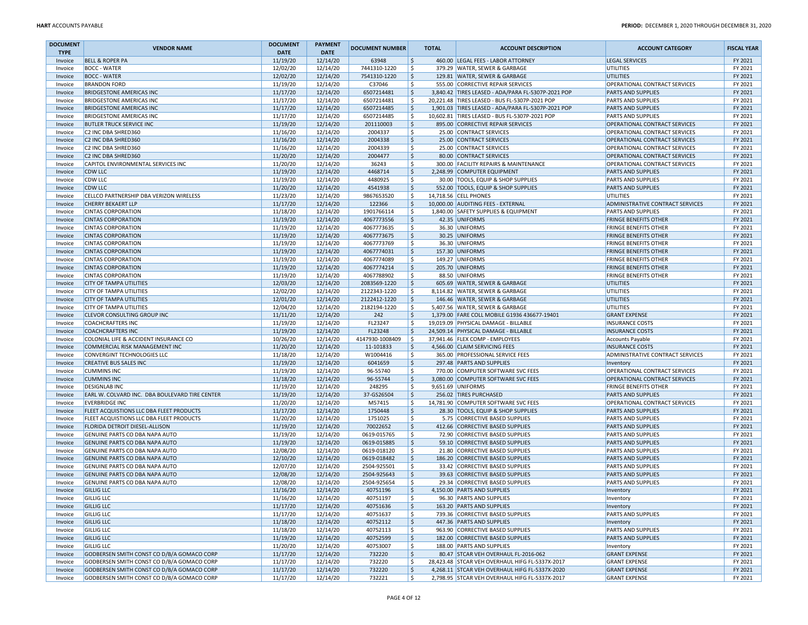| <b>DOCUMENT</b> | <b>VENDOR NAME</b>                             | <b>DOCUMENT</b> | <b>PAYMENT</b> | <b>DOCUMENT NUMBER</b> | <b>TOTAL</b>              | <b>ACCOUNT DESCRIPTION</b>                         | <b>ACCOUNT CATEGORY</b>              | <b>FISCAL YEAR</b> |
|-----------------|------------------------------------------------|-----------------|----------------|------------------------|---------------------------|----------------------------------------------------|--------------------------------------|--------------------|
| <b>TYPE</b>     |                                                | <b>DATE</b>     | <b>DATE</b>    |                        | \$                        |                                                    |                                      |                    |
| Invoice         | <b>BELL &amp; ROPER PA</b>                     | 11/19/20        | 12/14/20       | 63948                  |                           | 460.00 LEGAL FEES - LABOR ATTORNEY                 | <b>LEGAL SERVICES</b>                | FY 2021            |
| Invoice         | <b>BOCC - WATER</b>                            | 12/02/20        | 12/14/20       | 7441310-1220           | \$                        | 379.29 WATER, SEWER & GARBAGE                      | UTILITIES                            | FY 2021            |
| Invoice         | <b>BOCC - WATER</b>                            | 12/02/20        | 12/14/20       | 7541310-1220           | $\zeta$                   | 129.81 WATER, SEWER & GARBAGE                      | <b>UTILITIES</b>                     | FY 2021            |
| Invoice         | <b>BRANDON FORD</b>                            | 11/19/20        | 12/14/20       | C37046                 | \$                        | 555.00 CORRECTIVE REPAIR SERVICES                  | OPERATIONAL CONTRACT SERVICES        | FY 2021            |
| Invoice         | <b>BRIDGESTONE AMERICAS INC</b>                | 11/17/20        | 12/14/20       | 6507214481             | $\boldsymbol{\mathsf{S}}$ | 3,840.42 TIRES LEASED - ADA/PARA FL-5307P-2021 POP | <b>PARTS AND SUPPLIES</b>            | FY 2021            |
| Invoice         | <b>BRIDGESTONE AMERICAS INC</b>                | 11/17/20        | 12/14/20       | 6507214481             | .s                        | 20.221.48 TIRES LEASED - BUS FL-5307P-2021 POP     | <b>PARTS AND SUPPLIES</b>            | FY 2021            |
| Invoice         | <b>BRIDGESTONE AMERICAS INC</b>                | 11/17/20        | 12/14/20       | 6507214485             | $\mathsf{S}$              | 1,901.03 TIRES LEASED - ADA/PARA FL-5307P-2021 POP | <b>PARTS AND SUPPLIES</b>            | FY 2021            |
| Invoice         | <b>BRIDGESTONE AMERICAS INC</b>                | 11/17/20        | 12/14/20       | 6507214485             | \$.                       | 10,602.81 TIRES LEASED - BUS FL-5307P-2021 POP     | PARTS AND SUPPLIES                   | FY 2021            |
| Invoice         | <b>BUTLER TRUCK SERVICE INC</b>                | 11/19/20        | 12/14/20       | 201110003              | \$                        | 895.00 CORRECTIVE REPAIR SERVICES                  | OPERATIONAL CONTRACT SERVICES        | FY 2021            |
| Invoice         | C2 INC DBA SHRED360                            | 11/16/20        | 12/14/20       | 2004337                | \$                        | 25.00 CONTRACT SERVICES                            | OPERATIONAL CONTRACT SERVICES        | FY 2021            |
| Invoice         | <b>C2 INC DBA SHRED360</b>                     | 11/16/20        | 12/14/20       | 2004338                | \$                        | 25.00 CONTRACT SERVICES                            | <b>OPERATIONAL CONTRACT SERVICES</b> | FY 2021            |
| Invoice         | C2 INC DBA SHRED360                            | 11/16/20        | 12/14/20       | 2004339                | \$                        | 25.00 CONTRACT SERVICES                            | OPERATIONAL CONTRACT SERVICES        | FY 2021            |
| Invoice         | <b>C2 INC DBA SHRED360</b>                     | 11/20/20        | 12/14/20       | 2004477                | \$                        | 80.00 CONTRACT SERVICES                            | OPERATIONAL CONTRACT SERVICES        | FY 2021            |
| Invoice         | CAPITOL ENVIRONMENTAL SERVICES INC             | 11/20/20        | 12/14/20       | 36243                  | \$                        | 300.00 FACILITY REPAIRS & MAINTENANCE              | OPERATIONAL CONTRACT SERVICES        | FY 2021            |
| Invoice         | <b>CDW LLC</b>                                 | 11/19/20        | 12/14/20       | 4468714                | $\boldsymbol{\mathsf{S}}$ | 2,248.99 COMPUTER EQUIPMENT                        | <b>PARTS AND SUPPLIES</b>            | FY 2021            |
| Invoice         | CDW LLC                                        | 11/19/20        | 12/14/20       | 4480925                | \$.                       | 30.00 TOOLS, EQUIP & SHOP SUPPLIES                 | <b>PARTS AND SUPPLIES</b>            | FY 2021            |
| Invoice         | <b>CDW LLC</b>                                 | 11/20/20        | 12/14/20       | 4541938                | \$                        | 552.00 TOOLS, EQUIP & SHOP SUPPLIES                | <b>PARTS AND SUPPLIES</b>            | FY 2021            |
| Invoice         | CELLCO PARTNERSHIP DBA VERIZON WIRELESS        | 11/23/20        | 12/14/20       | 9867653520             | \$.                       | 14,718.56 CELL PHONES                              | UTILITIES                            | FY 2021            |
| Invoice         | <b>CHERRY BEKAERT LLP</b>                      | 11/17/20        | 12/14/20       | 122366                 | \$                        | 10,000.00 AUDITING FEES - EXTERNAL                 | ADMINISTRATIVE CONTRACT SERVICES     | FY 2021            |
| Invoice         | <b>CINTAS CORPORATION</b>                      | 11/18/20        | 12/14/20       | 1901766114             | Ś                         | 1,840.00 SAFETY SUPPLIES & EQUIPMENT               | <b>PARTS AND SUPPLIES</b>            | FY 2021            |
| Invoice         | <b>CINTAS CORPORATION</b>                      | 11/19/20        | 12/14/20       | 4067773556             | \$                        | 42.35 UNIFORMS                                     | <b>FRINGE BENEFITS OTHER</b>         | FY 2021            |
| Invoice         | <b>CINTAS CORPORATION</b>                      | 11/19/20        |                | 4067773635             | \$                        | 36.30 UNIFORMS                                     | <b>FRINGE BENEFITS OTHER</b>         | FY 2021            |
|                 |                                                |                 | 12/14/20       |                        |                           |                                                    |                                      |                    |
| Invoice         | <b>CINTAS CORPORATION</b>                      | 11/19/20        | 12/14/20       | 4067773675             | \$                        | 30.25 UNIFORMS                                     | <b>FRINGE BENEFITS OTHER</b>         | FY 2021            |
| Invoice         | <b>CINTAS CORPORATION</b>                      | 11/19/20        | 12/14/20       | 4067773769             | \$                        | 36.30 UNIFORMS                                     | <b>FRINGE BENEFITS OTHER</b>         | FY 2021            |
| Invoice         | <b>CINTAS CORPORATION</b>                      | 11/19/20        | 12/14/20       | 4067774031             | $\boldsymbol{\mathsf{S}}$ | 157.30 UNIFORMS                                    | <b>FRINGE BENEFITS OTHER</b>         | FY 2021            |
| Invoice         | <b>CINTAS CORPORATION</b>                      | 11/19/20        | 12/14/20       | 4067774089             | \$.                       | 149.27 UNIFORMS                                    | <b>FRINGE BENEFITS OTHER</b>         | FY 2021            |
| Invoice         | <b>CINTAS CORPORATION</b>                      | 11/19/20        | 12/14/20       | 4067774214             | \$                        | 205.70 UNIFORMS                                    | <b>FRINGE BENEFITS OTHER</b>         | FY 2021            |
| Invoice         | <b>CINTAS CORPORATION</b>                      | 11/19/20        | 12/14/20       | 4067788902             | \$.                       | 88.50 UNIFORMS                                     | <b>FRINGE BENEFITS OTHER</b>         | FY 2021            |
| Invoice         | <b>CITY OF TAMPA UTILITIES</b>                 | 12/03/20        | 12/14/20       | 2083569-1220           | \$                        | 605.69 WATER, SEWER & GARBAGE                      | <b>UTILITIES</b>                     | FY 2021            |
| Invoice         | <b>CITY OF TAMPA UTILITIES</b>                 | 12/02/20        | 12/14/20       | 2122343-1220           | \$                        | 8,114.82 WATER, SEWER & GARBAGE                    | UTILITIES                            | FY 2021            |
| Invoice         | <b>CITY OF TAMPA UTILITIES</b>                 | 12/01/20        | 12/14/20       | 2122412-1220           | \$                        | 146.46 WATER, SEWER & GARBAGE                      | <b>UTILITIES</b>                     | FY 2021            |
| Invoice         | <b>CITY OF TAMPA UTILITIES</b>                 | 12/04/20        | 12/14/20       | 2182194-1220           | S.                        | 5,407.56 WATER, SEWER & GARBAGE                    | UTILITIES                            | FY 2021            |
| Invoice         | <b>CLEVOR CONSULTING GROUP INC</b>             | 11/11/20        | 12/14/20       | 242                    | \$                        | 1,379.00 FARE COLL MOBILE G1936 436677-19401       | <b>GRANT EXPENSE</b>                 | FY 2021            |
| Invoice         | <b>COACHCRAFTERS INC</b>                       | 11/19/20        | 12/14/20       | FL23247                | \$.                       | 19,019.09 PHYSICAL DAMAGE - BILLABLE               | <b>INSURANCE COSTS</b>               | FY 2021            |
| Invoice         | <b>COACHCRAFTERS INC</b>                       | 11/19/20        | 12/14/20       | FL23248                | $\boldsymbol{\mathsf{S}}$ | 24,509.14 PHYSICAL DAMAGE - BILLABLE               | <b>INSURANCE COSTS</b>               | FY 2021            |
| Invoice         | COLONIAL LIFE & ACCIDENT INSURANCE CO          | 10/26/20        | 12/14/20       | 4147930-1008409        | -\$                       | 37,941.46 FLEX COMP - EMPLOYEES                    | <b>Accounts Payable</b>              | FY 2021            |
| Invoice         | <b>COMMERCIAL RISK MANAGEMENT INC</b>          | 11/20/20        | 12/14/20       | 11-101833              | \$                        | 4,566.00 CLAIM SERVICING FEES                      | <b>INSURANCE COSTS</b>               | FY 2021            |
| Invoice         | CONVERGINT TECHNOLOGIES LLC                    | 11/18/20        | 12/14/20       | W1004416               | \$                        | 365.00 PROFESSIONAL SERVICE FEES                   | ADMINISTRATIVE CONTRACT SERVICES     | FY 2021            |
| Invoice         | <b>CREATIVE BUS SALES INC</b>                  | 11/19/20        | 12/14/20       | 6041659                | \$                        | 297.48 PARTS AND SUPPLIES                          | Inventory                            | FY 2021            |
| Invoice         | <b>CUMMINS INC</b>                             | 11/19/20        | 12/14/20       | 96-55740               | \$                        | 770.00 COMPUTER SOFTWARE SVC FEES                  | OPERATIONAL CONTRACT SERVICES        | FY 2021            |
| Invoice         | <b>CUMMINS INC</b>                             | 11/18/20        | 12/14/20       | 96-55744               | \$                        | 3,080.00 COMPUTER SOFTWARE SVC FEES                | OPERATIONAL CONTRACT SERVICES        | FY 2021            |
| Invoice         | <b>DESIGNLAB INC</b>                           | 11/19/20        | 12/14/20       | 248295                 | S.                        | 9,651.69 UNIFORMS                                  | <b>FRINGE BENEFITS OTHER</b>         | FY 2021            |
| Invoice         | EARL W. COLVARD INC. DBA BOULEVARD TIRE CENTER | 11/19/20        | 12/14/20       | 37-GS26504             | \$                        | 256.02 TIRES PURCHASED                             | <b>PARTS AND SUPPLIES</b>            | FY 2021            |
|                 | <b>EVERBRIDGE INC</b>                          | 11/20/20        | 12/14/20       | M57415                 | \$.                       | 14,781.90 COMPUTER SOFTWARE SVC FEES               | OPERATIONAL CONTRACT SERVICES        | FY 2021            |
| Invoice         |                                                |                 |                |                        | $\boldsymbol{\mathsf{S}}$ |                                                    |                                      |                    |
| Invoice         | FLEET ACQUISTIONS LLC DBA FLEET PRODUCTS       | 11/17/20        | 12/14/20       | 1750448                |                           | 28.30 TOOLS, EQUIP & SHOP SUPPLIES                 | <b>PARTS AND SUPPLIES</b>            | FY 2021            |
| Invoice         | FLEET ACQUISTIONS LLC DBA FLEET PRODUCTS       | 11/20/20        | 12/14/20       | 1751025                | \$.                       | 5.75 CORRECTIVE BASED SUPPLIES                     | <b>PARTS AND SUPPLIES</b>            | FY 2021            |
| Invoice         | <b>FLORIDA DETROIT DIESEL-ALLISON</b>          | 11/19/20        | 12/14/20       | 70022652               | \$                        | 412.66 CORRECTIVE BASED SUPPLIES                   | <b>PARTS AND SUPPLIES</b>            | FY 2021            |
| Invoice         | <b>GENUINE PARTS CO DBA NAPA AUTO</b>          | 11/19/20        | 12/14/20       | 0619-015765            | \$.                       | 72.90 CORRECTIVE BASED SUPPLIES                    | <b>PARTS AND SUPPLIES</b>            | FY 2021            |
| Invoice         | GENUINE PARTS CO DBA NAPA AUTO                 | 11/19/20        | 12/14/20       | 0619-015885            | \$                        | 59.10 CORRECTIVE BASED SUPPLIES                    | <b>PARTS AND SUPPLIES</b>            | FY 2021            |
| Invoice         | GENUINE PARTS CO DBA NAPA AUTO                 | 12/08/20        | 12/14/20       | 0619-018120            | \$                        | 21.80 CORRECTIVE BASED SUPPLIES                    | <b>PARTS AND SUPPLIES</b>            | FY 2021            |
| Invoice         | <b>GENUINE PARTS CO DBA NAPA AUTO</b>          | 12/10/20        | 12/14/20       | 0619-018482            | \$                        | 186.20 CORRECTIVE BASED SUPPLIES                   | <b>PARTS AND SUPPLIES</b>            | FY 2021            |
| Invoice         | GENUINE PARTS CO DBA NAPA AUTO                 | 12/07/20        | 12/14/20       | 2504-925501            | \$                        | 33.42 CORRECTIVE BASED SUPPLIES                    | <b>PARTS AND SUPPLIES</b>            | FY 2021            |
| Invoice         | <b>GENUINE PARTS CO DBA NAPA AUTO</b>          | 12/08/20        | 12/14/20       | 2504-925643            | \$                        | 39.63 CORRECTIVE BASED SUPPLIES                    | <b>PARTS AND SUPPLIES</b>            | FY 2021            |
| Invoice         | GENUINE PARTS CO DBA NAPA AUTO                 | 12/08/20        | 12/14/20       | 2504-925654            | \$.                       | 29.34 CORRECTIVE BASED SUPPLIES                    | PARTS AND SUPPLIES                   | FY 2021            |
| Invoice         | <b>GILLIG LLC</b>                              | 11/16/20        | 12/14/20       | 40751196               | \$                        | 4,150.00 PARTS AND SUPPLIES                        | Inventory                            | FY 2021            |
| invoice         | <b>GILLIG LLC</b>                              | 11/16/20        | 12/14/20       | 40751197               |                           | 96.30 PARTS AND SUPPLIES                           | Inventory                            | FY 2021            |
| Invoice         | <b>GILLIG LLC</b>                              | 11/17/20        | 12/14/20       | 40751636               | \$                        | 163.20 PARTS AND SUPPLIES                          | Inventory                            | FY 2021            |
| Invoice         | <b>GILLIG LLC</b>                              | 11/17/20        | 12/14/20       | 40751637               | Ŝ.                        | 739.36 CORRECTIVE BASED SUPPLIES                   | PARTS AND SUPPLIES                   | FY 2021            |
| Invoice         | <b>GILLIG LLC</b>                              | 11/18/20        | 12/14/20       | 40752112               | \$                        | 447.36 PARTS AND SUPPLIES                          | Inventory                            | FY 2021            |
| Invoice         | <b>GILLIG LLC</b>                              | 11/18/20        | 12/14/20       | 40752113               | \$                        | 963.90 CORRECTIVE BASED SUPPLIES                   | PARTS AND SUPPLIES                   | FY 2021            |
| Invoice         | <b>GILLIG LLC</b>                              | 11/19/20        | 12/14/20       | 40752599               | \$                        | 182.00 CORRECTIVE BASED SUPPLIES                   | <b>PARTS AND SUPPLIES</b>            | FY 2021            |
| Invoice         | <b>GILLIG LLC</b>                              | 11/20/20        | 12/14/20       | 40753007               | \$.                       | 188.00 PARTS AND SUPPLIES                          | Inventory                            | FY 2021            |
| Invoice         | GODBERSEN SMITH CONST CO D/B/A GOMACO CORP     | 11/17/20        | 12/14/20       | 732220                 | \$                        | 80.47 STCAR VEH OVERHAUL FL-2016-062               | <b>GRANT EXPENSE</b>                 | FY 2021            |
| Invoice         | GODBERSEN SMITH CONST CO D/B/A GOMACO CORP     | 11/17/20        | 12/14/20       | 732220                 | \$.                       | 28,423.48 STCAR VEH OVERHAUL HIFG FL-5337X-2017    | <b>GRANT EXPENSE</b>                 | FY 2021            |
| Invoice         | GODBERSEN SMITH CONST CO D/B/A GOMACO CORP     | 11/17/20        | 12/14/20       | 732220                 | $\boldsymbol{\mathsf{S}}$ | 4,268.11 STCAR VEH OVERHAUL HIFG FL-5337X-2020     | <b>GRANT EXPENSE</b>                 | FY 2021            |
| Invoice         | GODBERSEN SMITH CONST CO D/B/A GOMACO CORP     | 11/17/20        | 12/14/20       | 732221                 | Ŝ.                        | 2,798.95 STCAR VEH OVERHAUL HIFG FL-5337X-2017     | <b>GRANT EXPENSE</b>                 | FY 2021            |
|                 |                                                |                 |                |                        |                           |                                                    |                                      |                    |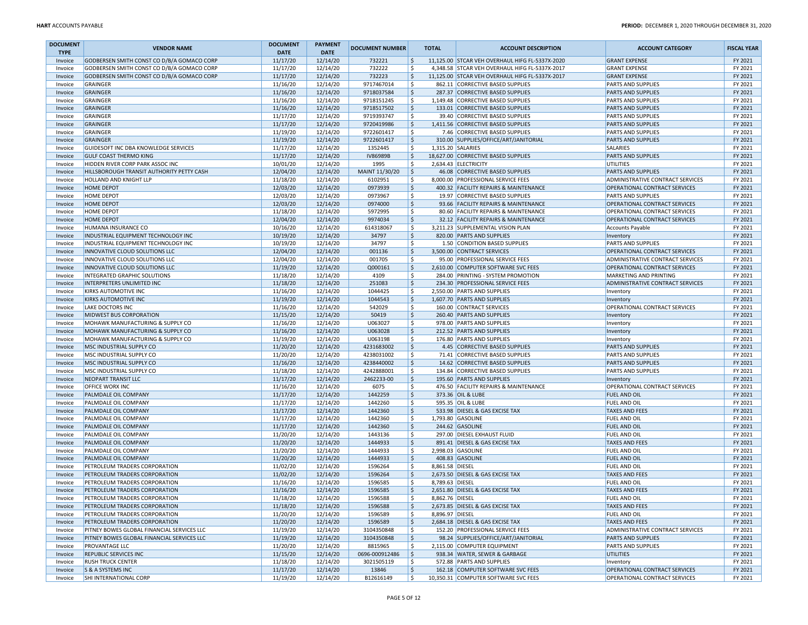| <b>DOCUMENT</b><br><b>TYPE</b> | <b>VENDOR NAME</b>                         | <b>DOCUMENT</b><br><b>DATE</b> | <b>PAYMENT</b><br><b>DATE</b> | <b>DOCUMENT NUMBER</b> | <b>TOTAL</b>            | <b>ACCOUNT DESCRIPTION</b>                      | <b>ACCOUNT CATEGORY</b>                 | <b>FISCAL YEAR</b> |
|--------------------------------|--------------------------------------------|--------------------------------|-------------------------------|------------------------|-------------------------|-------------------------------------------------|-----------------------------------------|--------------------|
| Invoice                        | GODBERSEN SMITH CONST CO D/B/A GOMACO CORP | 11/17/20                       | 12/14/20                      | 732221                 | ۱Ś                      | 11,125.00 STCAR VEH OVERHAUL HIFG FL-5337X-2020 | <b>GRANT EXPENSE</b>                    | FY 2021            |
| Invoice                        | GODBERSEN SMITH CONST CO D/B/A GOMACO CORP | 11/17/20                       | 12/14/20                      | 732222                 | ۱\$                     | 4,348.58 STCAR VEH OVERHAUL HIFG FL-5337X-2017  | <b>GRANT EXPENSE</b>                    | FY 2021            |
| Invoice                        | GODBERSEN SMITH CONST CO D/B/A GOMACO CORP | 11/17/20                       | 12/14/20                      | 732223                 | ١\$                     | 11.125.00 STCAR VEH OVERHAUL HIFG FL-5337X-2017 | <b>GRANT EXPENSE</b>                    | FY 2021            |
| Invoice                        | GRAINGER                                   | 11/16/20                       | 12/14/20                      | 9717467014             | ١\$                     | 862.11 CORRECTIVE BASED SUPPLIES                | <b>PARTS AND SUPPLIES</b>               | FY 2021            |
| Invoice                        | GRAINGER                                   | 11/16/20                       | 12/14/20                      | 9718037584             | ا \$                    | 287.37 CORRECTIVE BASED SUPPLIES                | <b>PARTS AND SUPPLIES</b>               | FY 2021            |
| Invoice                        | GRAINGER                                   | 11/16/20                       | 12/14/20                      | 9718151245             | ۱\$                     | 1.149.48 CORRECTIVE BASED SUPPLIES              | <b>PARTS AND SUPPLIES</b>               | FY 2021            |
| Invoice                        | GRAINGER                                   | 11/16/20                       | 12/14/20                      | 9718517502             | ۱\$                     | 133.01 CORRECTIVE BASED SUPPLIES                | <b>PARTS AND SUPPLIES</b>               | FY 2021            |
| Invoice                        | GRAINGER                                   | 11/17/20                       | 12/14/20                      | 9719393747             | l \$                    | 39.40 CORRECTIVE BASED SUPPLIES                 | <b>PARTS AND SUPPLIES</b>               | FY 2021            |
| Invoice                        | GRAINGER                                   | 11/17/20                       | 12/14/20                      | 9720419986             | ا \$                    | 1,411.56 CORRECTIVE BASED SUPPLIES              | <b>PARTS AND SUPPLIES</b>               | FY 2021            |
| Invoice                        | GRAINGER                                   | 11/19/20                       | 12/14/20                      | 9722601417             | ا \$                    | 7.46 CORRECTIVE BASED SUPPLIES                  | <b>PARTS AND SUPPLIES</b>               | FY 2021            |
| Invoice                        | GRAINGER                                   | 11/19/20                       | 12/14/20                      | 9722601417             | ۱\$                     | 310.00 SUPPLIES/OFFICE/ART/JANITORIAL           | <b>PARTS AND SUPPLIES</b>               | FY 2021            |
| Invoice                        | GUIDESOFT INC DBA KNOWLEDGE SERVICES       | 11/17/20                       | 12/14/20                      | 1352445                | ۱Ś                      | 1,315.20 SALARIES                               | SALARIES                                | FY 2021            |
| Invoice                        | <b>GULF COAST THERMO KING</b>              | 11/17/20                       | 12/14/20                      | <b>IV86989B</b>        | ١\$                     | 18,627.00 CORRECTIVE BASED SUPPLIES             | <b>PARTS AND SUPPLIES</b>               | FY 2021            |
| Invoice                        | HIDDEN RIVER CORP PARK ASSOC INC           | 10/01/20                       | 12/14/20                      | 1995                   | ۱\$                     | 2,634.43 ELECTRICITY                            | UTILITIES                               | FY 2021            |
| Invoice                        | HILLSBOROUGH TRANSIT AUTHORITY PETTY CASH  | 12/04/20                       | 12/14/20                      | MAINT 11/30/20         | ۱\$                     | 46.08 CORRECTIVE BASED SUPPLIES                 | <b>PARTS AND SUPPLIES</b>               | FY 2021            |
| Invoice                        | HOLLAND AND KNIGHT LLP                     | 11/18/20                       | 12/14/20                      | 6102951                | ١\$                     | 8,000.00 PROFESSIONAL SERVICE FEES              | ADMINISTRATIVE CONTRACT SERVICES        | FY 2021            |
| Invoice                        | <b>HOME DEPOT</b>                          | 12/03/20                       | 12/14/20                      | 0973939                | ∣\$                     | 400.32 FACILITY REPAIRS & MAINTENANCE           | OPERATIONAL CONTRACT SERVICES           | FY 2021            |
| Invoice                        | <b>HOME DEPOT</b>                          | 12/03/20                       | 12/14/20                      | 0973967                | S,                      | 19.97 CORRECTIVE BASED SUPPLIES                 | <b>PARTS AND SUPPLIES</b>               | FY 2021            |
| Invoice                        | <b>HOME DEPOT</b>                          | 12/03/20                       | 12/14/20                      | 0974000                | \$                      | 93.66 FACILITY REPAIRS & MAINTENANCE            | OPERATIONAL CONTRACT SERVICES           | FY 2021            |
| Invoice                        | <b>HOME DEPOT</b>                          | 11/18/20                       | 12/14/20                      | 5972995                | ا \$                    | 80.60 FACILITY REPAIRS & MAINTENANCE            | OPERATIONAL CONTRACT SERVICES           | FY 2021            |
| Invoice                        | <b>HOME DEPOT</b>                          | 12/04/20                       | 12/14/20                      | 9974034                | ∣\$                     | 32.12 FACILITY REPAIRS & MAINTENANCE            | OPERATIONAL CONTRACT SERVICES           | FY 2021            |
| Invoice                        | HUMANA INSURANCE CO                        | 10/16/20                       | 12/14/20                      | 614318067              | ١\$                     | 3,211.23 SUPPLEMENTAL VISION PLAN               | <b>Accounts Payable</b>                 | FY 2021            |
| Invoice                        | INDUSTRIAL EQUIPMENT TECHNOLOGY INC        | 10/19/20                       | 12/14/20                      | 34797                  | ۱\$.                    | 820.00 PARTS AND SUPPLIES                       | Inventory                               | FY 2021            |
| Invoice                        | INDUSTRIAL EQUIPMENT TECHNOLOGY INC        | 10/19/20                       | 12/14/20                      | 34797                  | ۱\$                     | 1.50 CONDITION BASED SUPPLIES                   | <b>PARTS AND SUPPLIES</b>               | FY 2021            |
| Invoice                        | INNOVATIVE CLOUD SOLUTIONS LLC             | 12/04/20                       | 12/14/20                      | 001136                 | ا \$                    | 3,500.00 CONTRACT SERVICES                      | OPERATIONAL CONTRACT SERVICES           | FY 2021            |
| Invoice                        | INNOVATIVE CLOUD SOLUTIONS LLC             | 12/04/20                       | 12/14/20                      | 001705                 | ۱\$                     | 95.00 PROFESSIONAL SERVICE FEES                 | <b>ADMINISTRATIVE CONTRACT SERVICES</b> | FY 2021            |
| Invoice                        | INNOVATIVE CLOUD SOLUTIONS LLC             | 11/19/20                       | 12/14/20                      | Q000161                | ۱\$                     | 2,610.00 COMPUTER SOFTWARE SVC FEES             | OPERATIONAL CONTRACT SERVICES           | FY 2021            |
| Invoice                        | INTEGRATED GRAPHIC SOLUTIONS               | 11/18/20                       | 12/14/20                      | 4109                   | ۱\$                     | 284.00 PRINTING - SYSTEM PROMOTION              | MARKETING AND PRINTING                  | FY 2021            |
| Invoice                        | INTERPRETERS UNLIMITED INC                 | 11/18/20                       | 12/14/20                      | 251083                 | ١\$                     | 234.30 PROFESSIONAL SERVICE FEES                | <b>ADMINISTRATIVE CONTRACT SERVICES</b> | FY 2021            |
| Invoice                        | <b>KIRKS AUTOMOTIVE INC</b>                | 11/16/20                       | 12/14/20                      | 1044425                | ا \$                    | 2,550.00 PARTS AND SUPPLIES                     | Inventory                               | FY 2021            |
| Invoice                        | <b>KIRKS AUTOMOTIVE INC</b>                | 11/19/20                       | 12/14/20                      | 1044543                | ∣\$                     | 1,607.70 PARTS AND SUPPLIES                     | Inventory                               | FY 2021            |
| Invoice                        | <b>LAKE DOCTORS INC</b>                    | 11/16/20                       | 12/14/20                      | 542029                 | ۱\$                     | 160.00 CONTRACT SERVICES                        | OPERATIONAL CONTRACT SERVICES           | FY 2021            |
| Invoice                        | <b>MIDWEST BUS CORPORATION</b>             | 11/15/20                       | 12/14/20                      | 50419                  | \$                      | 260.40 PARTS AND SUPPLIES                       | Inventory                               | FY 2021            |
| Invoice                        | MOHAWK MANUFACTURING & SUPPLY CO           | 11/16/20                       | 12/14/20                      | U063027                | \$                      | 978.00 PARTS AND SUPPLIES                       | Inventory                               | FY 2021            |
| Invoice                        | MOHAWK MANUFACTURING & SUPPLY CO           | 11/16/20                       | 12/14/20                      | U063028                | ا \$                    | 212.52 PARTS AND SUPPLIES                       | Inventory                               | FY 2021            |
| Invoice                        | MOHAWK MANUFACTURING & SUPPLY CO           | 11/19/20                       | 12/14/20                      | U063198                | ۱\$                     | 176.80 PARTS AND SUPPLIES                       | Inventory                               | FY 2021            |
| Invoice                        | MSC INDUSTRIAL SUPPLY CO                   | 11/20/20                       | 12/14/20                      | 4231683002             | ١\$                     | 4.45 CORRECTIVE BASED SUPPLIES                  | <b>PARTS AND SUPPLIES</b>               | FY 2021            |
| Invoice                        | MSC INDUSTRIAL SUPPLY CO                   | 11/20/20                       | 12/14/20                      | 4238031002             | ۱\$                     | 71.41 CORRECTIVE BASED SUPPLIES                 | <b>PARTS AND SUPPLIES</b>               | FY 2021            |
| Invoice                        | MSC INDUSTRIAL SUPPLY CO                   | 11/16/20                       | 12/14/20                      | 4238440002             | \$                      | 14.62 CORRECTIVE BASED SUPPLIES                 | <b>PARTS AND SUPPLIES</b>               | FY 2021            |
| Invoice                        | MSC INDUSTRIAL SUPPLY CO                   | 11/18/20                       | 12/14/20                      | 4242888001             | ا \$                    | 134.84 CORRECTIVE BASED SUPPLIES                | <b>PARTS AND SUPPLIES</b>               | FY 2021            |
| Invoice                        | NEOPART TRANSIT LLC                        | 11/17/20                       | 12/14/20                      | 2462233-00             | ∣\$                     | 195.60 PARTS AND SUPPLIES                       | Inventory                               | FY 2021            |
| Invoice                        | <b>OFFICE WORX INC</b>                     | 11/16/20                       | 12/14/20                      | 6075                   | ۱\$                     | 476.50 FACILITY REPAIRS & MAINTENANCE           | OPERATIONAL CONTRACT SERVICES           | FY 2021            |
| Invoice                        | PALMDALE OIL COMPANY                       | 11/17/20                       | 12/14/20                      | 1442259                | ۱\$.                    | 373.36 OIL & LUBE                               | <b>FUEL AND OIL</b>                     | FY 2021            |
| Invoice                        | PALMDALE OIL COMPANY                       | 11/17/20                       | 12/14/20                      | 1442260                | \$                      | 595.35 OIL & LUBE                               | <b>FUEL AND OIL</b>                     | FY 2021            |
| Invoice                        | PALMDALE OIL COMPANY                       | 11/17/20                       | 12/14/20                      | 1442360                | ۱\$                     | 533.98 DIESEL & GAS EXCISE TAX                  | <b>TAXES AND FEES</b>                   | FY 2021            |
| Invoice                        | <b>PALMDALE OIL COMPANY</b>                | 11/17/20                       | 12/14/20                      | 1442360                | ۱\$                     | 1,793.80 GASOLINE                               | <b>FUEL AND OIL</b>                     | FY 2021            |
| Invoice                        | PALMDALE OIL COMPANY                       | 11/17/20                       | 12/14/20                      | 1442360                | ١\$                     | 244.62 GASOLINE                                 | <b>FUEL AND OIL</b>                     | FY 2021            |
| Invoice                        | PALMDALE OIL COMPANY                       | 11/20/20                       | 12/14/20                      | 1443136                | ۱\$                     | 297.00 DIESEL EXHAUST FLUID                     | <b>FUEL AND OIL</b>                     | FY 2021            |
| Invoice                        | PALMDALE OIL COMPANY                       | 11/20/20                       | 12/14/20                      | 1444933                | ∣\$                     | 891.41 DIESEL & GAS EXCISE TAX                  | <b>TAXES AND FEES</b>                   | FY 2021            |
| Invoice                        | PALMDALE OIL COMPANY                       | 11/20/20                       | 12/14/20                      | 1444933                | ا \$                    | 2,998.03 GASOLINE                               | <b>FUEL AND OIL</b>                     | FY 2021            |
| Invoice                        | PALMDALE OIL COMPANY                       | 11/20/20                       | 12/14/20                      | 1444933                | ∣\$                     | 408.83 GASOLINE                                 | <b>FUEL AND OIL</b>                     | FY 2021            |
| Invoice                        | PETROLEUM TRADERS CORPORATION              | 11/02/20                       | 12/14/20                      | 1596264                | ۱\$<br>8,861.58 DIESEL  |                                                 | <b>FUEL AND OIL</b>                     | FY 2021            |
| Invoice                        | PETROLEUM TRADERS CORPORATION              | 11/02/20                       | 12/14/20                      | 1596264                | ١\$                     | 2,673.50 DIESEL & GAS EXCISE TAX                | <b>TAXES AND FEES</b>                   | FY 2021            |
| Invoice                        | PETROLEUM TRADERS CORPORATION              | 11/16/20                       | 12/14/20                      | 1596585                | .s<br>8,789.63 DIESEL   |                                                 | <b>FUEL AND OIL</b>                     | FY 2021            |
| Invoice                        | PETROLEUM TRADERS CORPORATION              | 11/16/20                       | 12/14/20                      | 1596585                | l\$                     | 2,651.80 DIESEL & GAS EXCISE TAX                | <b>TAXES AND FEES</b>                   | FY 2021            |
| Invoice                        | PETROLEUM TRADERS CORPORATION              | 11/18/20                       | 12/14/20                      | 1596588                | l Ş<br>8,862.76 DIESEL  |                                                 | <b>FUEL AND OIL</b>                     | FY 2021            |
| Invoice                        | PETROLEUM TRADERS CORPORATION              | 11/18/20                       | 12/14/20                      | 1596588                | ۱\$.                    | 2,673.85 DIESEL & GAS EXCISE TAX                | <b>TAXES AND FEES</b>                   | FY 2021            |
| Invoice                        | PETROLEUM TRADERS CORPORATION              | 11/20/20                       | 12/14/20                      | 1596589                | l \$<br>8,896.97 DIESEL |                                                 | <b>FUEL AND OIL</b>                     | FY 2021            |
| Invoice                        | PETROLEUM TRADERS CORPORATION              | 11/20/20                       | 12/14/20                      | 1596589                | \$                      | 2,684.18 DIESEL & GAS EXCISE TAX                | <b>TAXES AND FEES</b>                   | FY 2021            |
| Invoice                        | PITNEY BOWES GLOBAL FINANCIAL SERVICES LLC | 11/19/20                       | 12/14/20                      | 3104350848             | ا \$                    | 152.20 PROFESSIONAL SERVICE FEES                | ADMINISTRATIVE CONTRACT SERVICES        | FY 2021            |
| Invoice                        | PITNEY BOWES GLOBAL FINANCIAL SERVICES LLC | 11/19/20                       | 12/14/20                      | 3104350848             | ١\$                     | 98.24 SUPPLIES/OFFICE/ART/JANITORIAL            | <b>PARTS AND SUPPLIES</b>               | FY 2021            |
| Invoice                        | <b>PROVANTAGE LLC</b>                      | 11/20/20                       | 12/14/20                      | 8815965                | ١\$                     | 2,115.00 COMPUTER EQUIPMENT                     | PARTS AND SUPPLIES                      | FY 2021            |
| Invoice                        | REPUBLIC SERVICES INC                      | 11/15/20                       | 12/14/20                      | 0696-000912486         | ۱\$.                    | 938.34 WATER, SEWER & GARBAGE                   | UTILITIES                               | FY 2021            |
| Invoice                        | <b>RUSH TRUCK CENTER</b>                   | 11/18/20                       | 12/14/20                      | 3021505119             | .s                      | 572.88 PARTS AND SUPPLIES                       | Inventory                               | FY 2021            |
| Invoice                        | S & A SYSTEMS INC                          | 11/17/20                       | 12/14/20                      | 13846                  | ۱\$.                    | 162.18 COMPUTER SOFTWARE SVC FEES               | OPERATIONAL CONTRACT SERVICES           | FY 2021            |
| Invoice                        | SHI INTERNATIONAL CORP                     | 11/19/20                       | 12/14/20                      | B12616149              | l \$                    | 10,350.31 COMPUTER SOFTWARE SVC FEES            | OPERATIONAL CONTRACT SERVICES           | FY 2021            |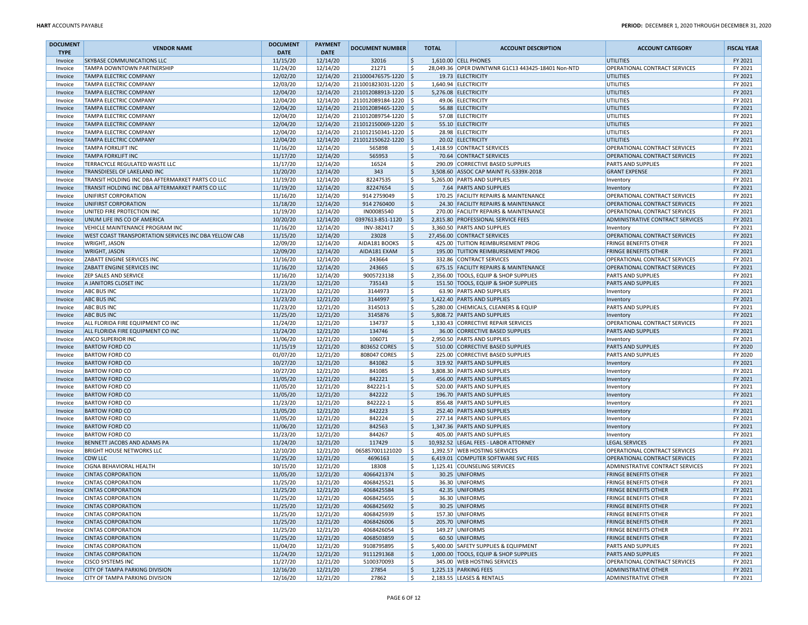| <b>DOCUMENT</b> | <b>VENDOR NAME</b>                                     | <b>DOCUMENT</b>      | <b>PAYMENT</b> | <b>DOCUMENT NUMBER</b>   | <b>TOTAL</b> | <b>ACCOUNT DESCRIPTION</b>                        | <b>ACCOUNT CATEGORY</b>                                      | <b>FISCAL YEAR</b> |
|-----------------|--------------------------------------------------------|----------------------|----------------|--------------------------|--------------|---------------------------------------------------|--------------------------------------------------------------|--------------------|
| <b>TYPE</b>     |                                                        | <b>DATE</b>          | <b>DATE</b>    |                          |              |                                                   |                                                              |                    |
| Invoice         | SKYBASE COMMUNICATIONS LLC                             | 11/15/20             | 12/14/20       | 32016                    | Ŝ.           | 1,610.00 CELL PHONES                              | <b>UTILITIES</b>                                             | FY 2021            |
| Invoice         | TAMPA DOWNTOWN PARTNERSHIP                             | 11/24/20             | 12/14/20       | 21271                    | \$           | 28,049.36 OPER DWNTWNR G1C13 443425-18401 Non-NTD | OPERATIONAL CONTRACT SERVICES                                | FY 2021            |
| Invoice         | <b>TAMPA ELECTRIC COMPANY</b>                          | 12/02/20             | 12/14/20       | 211000476575-1220 \$     |              | 19.73 ELECTRICITY                                 | UTILITIES                                                    | FY 2021            |
| Invoice         | TAMPA ELECTRIC COMPANY                                 | 12/03/20             | 12/14/20       | 211001823031-1220 \$     |              | 1,640.94 ELECTRICITY                              | UTILITIES                                                    | FY 2021            |
| Invoice         | <b>TAMPA ELECTRIC COMPANY</b>                          | 12/04/20             | 12/14/20       | 211012088913-1220 \$     |              | 5,276.08 ELECTRICITY                              | UTILITIES                                                    | FY 2021            |
| Invoice         | TAMPA ELECTRIC COMPANY                                 | 12/04/20             | 12/14/20       | 211012089184-1220 \$     |              | 49.06 ELECTRICITY                                 | <b>UTILITIES</b>                                             | FY 2021            |
| Invoice         | TAMPA ELECTRIC COMPANY                                 | 12/04/20             | 12/14/20       | 211012089465-1220 \$     |              | 56.88 ELECTRICITY                                 | <b>UTILITIES</b>                                             | FY 2021            |
| Invoice         | <b>TAMPA ELECTRIC COMPANY</b>                          | 12/04/20             | 12/14/20       | 211012089754-1220 \$     |              | 57.08 ELECTRICITY                                 | <b>UTILITIES</b>                                             | FY 2021            |
| Invoice         | <b>TAMPA ELECTRIC COMPANY</b>                          | 12/04/20             | 12/14/20       | 211012150069-1220 \$     |              | 55.10 ELECTRICITY                                 | UTILITIES                                                    | FY 2021            |
| Invoice         | <b>TAMPA ELECTRIC COMPANY</b>                          | 12/04/20             | 12/14/20       | 211012150341-1220 \$     |              | 28.98 ELECTRICITY                                 | <b>UTILITIES</b>                                             | FY 2021            |
| Invoice         | <b>TAMPA ELECTRIC COMPANY</b>                          | 12/04/20             | 12/14/20       | 211012150622-1220 \$     |              | 20.02 ELECTRICITY                                 | <b>UTILITIES</b>                                             | FY 2021            |
| Invoice         | <b>TAMPA FORKLIFT INC</b>                              | 11/16/20             | 12/14/20       | 565898                   | S            | 1,418.59 CONTRACT SERVICES                        | OPERATIONAL CONTRACT SERVICES                                | FY 2021            |
| Invoice         | <b>TAMPA FORKLIFT INC</b>                              | 11/17/20             | 12/14/20       | 565953                   | \$           | 70.64 CONTRACT SERVICES                           | OPERATIONAL CONTRACT SERVICES                                | FY 2021            |
| Invoice         | TERRACYCLE REGULATED WASTE LLC                         | 11/17/20             | 12/14/20       | 16524                    | Ś            | 290.09 CORRECTIVE BASED SUPPLIES                  | PARTS AND SUPPLIES                                           | FY 2021            |
| Invoice         | TRANSDIESEL OF LAKELAND INC                            | 11/20/20             | 12/14/20       | 343                      | \$           | 3,508.60 ASSOC CAP MAINT FL-5339X-2018            | <b>GRANT EXPENSE</b>                                         | FY 2021            |
| Invoice         | TRANSIT HOLDING INC DBA AFTERMARKET PARTS CO LLC       | 11/19/20             | 12/14/20       | 82247535                 | \$           | 5,265.00 PARTS AND SUPPLIES                       | Inventory                                                    | FY 2021            |
| Invoice         | TRANSIT HOLDING INC DBA AFTERMARKET PARTS CO LLC       | 11/19/20             | 12/14/20       | 82247654                 | \$           | 7.64 PARTS AND SUPPLIES                           | Inventory                                                    | FY 2021            |
| Invoice         | UNIFIRST CORPORATION                                   | 11/16/20             | 12/14/20       | 914 2759049              | \$           | 170.25 FACILITY REPAIRS & MAINTENANCE             | OPERATIONAL CONTRACT SERVICES                                | FY 2021            |
| Invoice         | UNIFIRST CORPORATION                                   | 11/18/20             | 12/14/20       | 914 2760400              | \$           | 24.30 FACILITY REPAIRS & MAINTENANCE              | OPERATIONAL CONTRACT SERVICES                                | FY 2021            |
| Invoice         | UNITED FIRE PROTECTION INC                             | 11/19/20             | 12/14/20       | IN00085540               | \$           | 270.00 FACILITY REPAIRS & MAINTENANCE             | OPERATIONAL CONTRACT SERVICES                                | FY 2021            |
| Invoice         | UNUM LIFE INS CO OF AMERICA                            | 10/20/20             | 12/14/20       | 0397613-851-1120         | $\vert$ \$   | 2,815.80 PROFESSIONAL SERVICE FEES                | ADMINISTRATIVE CONTRACT SERVICES                             | FY 2021            |
| Invoice         | VEHICLE MAINTENANCE PROGRAM INC                        | 11/16/20             | 12/14/20       | INV-382417               | Ŝ.           | 3,360.50 PARTS AND SUPPLIES                       | Inventory                                                    | FY 2021            |
| Invoice         | WEST COAST TRANSPORTATION SERVICES INC DBA YELLOW CAB  | 11/15/20             | 12/14/20       | 23028                    | \$           | 27,456.00 CONTRACT SERVICES                       | OPERATIONAL CONTRACT SERVICES                                | FY 2021            |
| Invoice         | WRIGHT, JASON                                          | 12/09/20             | 12/14/20       | AIDA181 BOOKS            | \$           | 425.00 TUITION REIMBURSEMENT PROG                 | <b>FRINGE BENEFITS OTHER</b>                                 | FY 2021            |
| Invoice         | <b>WRIGHT, JASON</b>                                   | 12/09/20             | 12/14/20       | AIDA181 EXAM             | $\mathsf{S}$ | 195.00 TUITION REIMBURSEMENT PROG                 | <b>FRINGE BENEFITS OTHER</b>                                 | FY 2021            |
| Invoice         | ZABATT ENGINE SERVICES INC                             | 11/16/20             | 12/14/20       | 243664                   | \$.          | 332.86 CONTRACT SERVICES                          | OPERATIONAL CONTRACT SERVICES                                | FY 2021            |
| Invoice         | ZABATT ENGINE SERVICES INC                             | 11/16/20             | 12/14/20       | 243665                   | \$           | 675.15 FACILITY REPAIRS & MAINTENANCE             | OPERATIONAL CONTRACT SERVICES                                | FY 2021            |
| Invoice         | <b>ZEP SALES AND SERVICE</b>                           | 11/16/20             | 12/14/20       | 9005723138               | \$           | 2,356.00 TOOLS, EQUIP & SHOP SUPPLIES             | PARTS AND SUPPLIES                                           | FY 2021            |
| Invoice         | A JANITORS CLOSET INC                                  | 11/23/20             | 12/21/20       | 735143                   | Ś            | 151.50 TOOLS, EQUIP & SHOP SUPPLIES               | <b>PARTS AND SUPPLIES</b>                                    | FY 2021            |
| Invoice         | <b>ABC BUS INC</b>                                     | 11/23/20             | 12/21/20       | 3144973                  | \$           | 63.90 PARTS AND SUPPLIES                          | Inventory                                                    | FY 2021            |
| Invoice         | <b>ABC BUS INC</b>                                     | 11/23/20             | 12/21/20       | 3144997                  | \$           | 1,422.40 PARTS AND SUPPLIES                       | Inventory                                                    | FY 2021            |
| Invoice         | <b>ABC BUS INC</b>                                     | 11/23/20             | 12/21/20       | 3145013                  | \$           | 5,280.00 CHEMICALS, CLEANERS & EQUIP              | PARTS AND SUPPLIES                                           | FY 2021            |
| Invoice         | <b>ABC BUS INC</b>                                     | 11/25/20             | 12/21/20       | 3145876                  | \$           | 5,808.72 PARTS AND SUPPLIES                       | Inventory                                                    | FY 2021            |
| Invoice         | ALL FLORIDA FIRE EQUIPMENT CO INC                      | 11/24/20             | 12/21/20       | 134737                   | Ś            | 1,330.43 CORRECTIVE REPAIR SERVICES               | OPERATIONAL CONTRACT SERVICES                                | FY 2021            |
| Invoice         | ALL FLORIDA FIRE EQUIPMENT CO INC                      | 11/24/20             | 12/21/20       | 134746                   | \$           | 36.00 CORRECTIVE BASED SUPPLIES                   | <b>PARTS AND SUPPLIES</b>                                    | FY 2021            |
| Invoice         | <b>ANCO SUPERIOR INC</b>                               | 11/06/20             | 12/21/20       | 106071                   | \$           | 2,950.50 PARTS AND SUPPLIES                       | Inventory                                                    | FY 2021            |
| Invoice         | <b>BARTOW FORD CO</b>                                  | 11/15/19             | 12/21/20       | 803652 CORES             | $\zeta$      | 510.00 CORRECTIVE BASED SUPPLIES                  | <b>PARTS AND SUPPLIES</b>                                    | FY 2020            |
| Invoice         | <b>BARTOW FORD CO</b>                                  | 01/07/20             | 12/21/20       | 808047 CORES             | \$           | 225.00 CORRECTIVE BASED SUPPLIES                  | PARTS AND SUPPLIES                                           | FY 2020            |
| Invoice         | <b>BARTOW FORD CO</b>                                  | 10/27/20             | 12/21/20       | 841082                   | Ś            | 319.92 PARTS AND SUPPLIES                         | Inventory                                                    | FY 2021            |
| Invoice         | <b>BARTOW FORD CO</b>                                  | 10/27/20             | 12/21/20       | 841085                   | \$           | 3,808.30 PARTS AND SUPPLIES                       | Inventory                                                    | FY 2021            |
| Invoice         | <b>BARTOW FORD CO</b>                                  | 11/05/20             | 12/21/20       | 842221                   | \$           | 456.00 PARTS AND SUPPLIES                         | Inventory                                                    | FY 2021            |
| Invoice         | <b>BARTOW FORD CO</b>                                  | 11/05/20             | 12/21/20       | 842221-1                 | \$           | 520.00 PARTS AND SUPPLIES                         | Inventory                                                    | FY 2021            |
| Invoice         | <b>BARTOW FORD CO</b>                                  | 11/05/20             | 12/21/20       | 842222                   | \$           | 196.70 PARTS AND SUPPLIES                         | Inventory                                                    | FY 2021            |
| Invoice         | <b>BARTOW FORD CO</b>                                  | 11/23/20             | 12/21/20       | 842222-1                 | Ś            | 856.48 PARTS AND SUPPLIES                         | Inventory                                                    | FY 2021            |
| Invoice         | <b>BARTOW FORD CO</b>                                  | 11/05/20             | 12/21/20       | 842223                   | \$           | 252.40 PARTS AND SUPPLIES                         | Inventory                                                    | FY 2021            |
| Invoice         | <b>BARTOW FORD CO</b>                                  | 11/05/20             | 12/21/20       | 842224                   | \$           | 277.14 PARTS AND SUPPLIES                         | Inventory                                                    | FY 2021            |
| Invoice         | <b>BARTOW FORD CO</b>                                  | 11/06/20             | 12/21/20       | 842563                   | \$           | 1,347.36 PARTS AND SUPPLIES                       | Inventory                                                    | FY 2021            |
| Invoice         | <b>BARTOW FORD CO</b>                                  | 11/23/20             | 12/21/20       | 844267                   | \$.          | 405.00 PARTS AND SUPPLIES                         | Inventory                                                    | FY 2021            |
| Invoice         | BENNETT JACOBS AND ADAMS PA                            | 11/24/20             | 12/21/20       | 117429                   | \$           | 10,932.52 LEGAL FEES - LABOR ATTORNEY             | <b>LEGAL SERVICES</b>                                        | FY 2021            |
| Invoice         | <b>BRIGHT HOUSE NETWORKS LLC</b>                       | 12/10/20             | 12/21/20       | 065857001121020          | $\vert$ \$   | 1,392.57 WEB HOSTING SERVICES                     | OPERATIONAL CONTRACT SERVICES                                | FY 2021            |
| Invoice         | <b>CDW LLC</b>                                         | 11/25/20             | 12/21/20       | 4696163                  | \$           | 6,419.01 COMPUTER SOFTWARE SVC FEES               | OPERATIONAL CONTRACT SERVICES                                | FY 2021            |
| Invoice         | <b>CIGNA BEHAVIORAL HEALTH</b>                         | 10/15/20             | 12/21/20       | 18308                    | \$           | 1,125.41 COUNSELING SERVICES                      | ADMINISTRATIVE CONTRACT SERVICES                             | FY 2021            |
| Invoice         | <b>CINTAS CORPORATION</b>                              | 11/05/20             | 12/21/20       | 4066421374               | \$           | 30.25 UNIFORMS                                    | <b>FRINGE BENEFITS OTHER</b>                                 | FY 2021            |
| Invoice         | <b>CINTAS CORPORATION</b>                              | 11/25/20             | 12/21/20       | 4068425521               | \$.          | 36.30 UNIFORMS                                    | FRINGE BENEFITS OTHER                                        | FY 2021            |
| Invoice         | <b>CINTAS CORPORATION</b>                              | 11/25/20             | 12/21/20       | 4068425584               | \$           | 42.35 UNIFORMS                                    | <b>FRINGE BENEFITS OTHER</b>                                 | FY 2021            |
|                 |                                                        |                      |                |                          |              | 36.30 UNIFORMS                                    |                                                              |                    |
| Invoice         | <b>CINTAS CORPORATION</b>                              | 11/25/20             | 12/21/20       | 4068425655<br>4068425692 |              | 30.25 UNIFORMS                                    | <b>FRINGE BENEFITS OTHER</b>                                 | FY 2021            |
| Invoice         | <b>CINTAS CORPORATION</b><br><b>CINTAS CORPORATION</b> | 11/25/20<br>11/25/20 | 12/21/20       | 4068425939               | \$<br>\$     | 157.30 UNIFORMS                                   | <b>FRINGE BENEFITS OTHER</b><br><b>FRINGE BENEFITS OTHER</b> | FY 2021<br>FY 2021 |
| Invoice         |                                                        |                      | 12/21/20       |                          |              | 205.70 UNIFORMS                                   |                                                              |                    |
| Invoice         | <b>CINTAS CORPORATION</b>                              | 11/25/20             | 12/21/20       | 4068426006               | \$           |                                                   | <b>FRINGE BENEFITS OTHER</b>                                 | FY 2021            |
| Invoice         | <b>CINTAS CORPORATION</b>                              | 11/25/20             | 12/21/20       | 4068426054               | \$           | 149.27 UNIFORMS                                   | <b>FRINGE BENEFITS OTHER</b>                                 | FY 2021            |
| Invoice         | <b>CINTAS CORPORATION</b>                              | 11/25/20             | 12/21/20       | 4068503859               | \$           | 60.50 UNIFORMS                                    | <b>FRINGE BENEFITS OTHER</b>                                 | FY 2021            |
| Invoice         | <b>CINTAS CORPORATION</b>                              | 11/04/20             | 12/21/20       | 9108795895               | \$.          | 5,400.00 SAFETY SUPPLIES & EQUIPMENT              | <b>PARTS AND SUPPLIES</b>                                    | FY 2021            |
| Invoice         | <b>CINTAS CORPORATION</b>                              | 11/24/20             | 12/21/20       | 9111291368               | \$           | 1,000.00 TOOLS, EQUIP & SHOP SUPPLIES             | <b>PARTS AND SUPPLIES</b>                                    | FY 2021            |
| Invoice         | <b>CISCO SYSTEMS INC</b>                               | 11/27/20             | 12/21/20       | 5100370093               | \$.          | 345.00 WEB HOSTING SERVICES                       | OPERATIONAL CONTRACT SERVICES                                | FY 2021            |
| Invoice         | <b>CITY OF TAMPA PARKING DIVISION</b>                  | 12/16/20             | 12/21/20       | 27854                    | \$           | 1,225.13 PARKING FEES                             | <b>ADMINISTRATIVE OTHER</b>                                  | FY 2021            |
| Invoice         | <b>CITY OF TAMPA PARKING DIVISION</b>                  | 12/16/20             | 12/21/20       | 27862                    | Ŝ.           | 2,183.55 LEASES & RENTALS                         | <b>ADMINISTRATIVE OTHER</b>                                  | FY 2021            |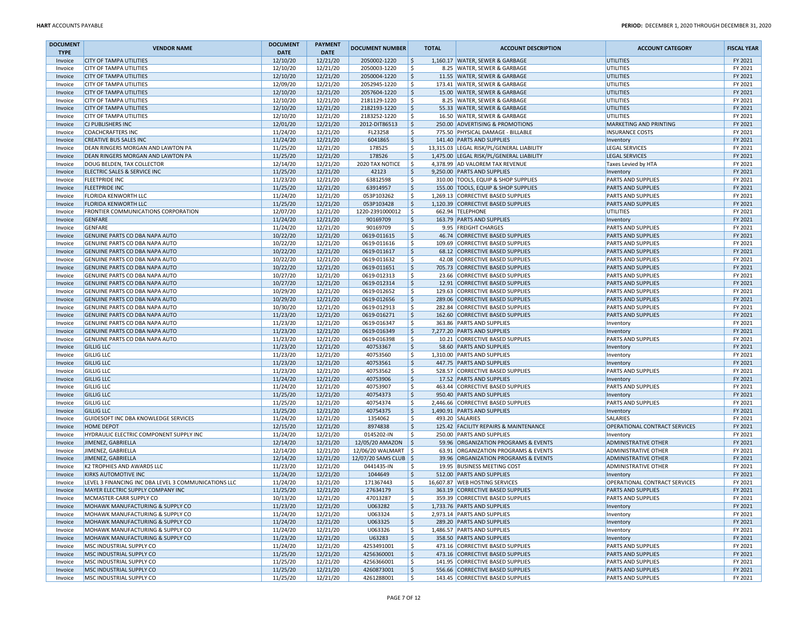| <b>DOCUMENT</b> | <b>VENDOR NAME</b>                                   | <b>DOCUMENT</b> | <b>PAYMENT</b> | <b>DOCUMENT NUMBER</b>           |                           | <b>TOTAL</b> | <b>ACCOUNT DESCRIPTION</b>                | <b>ACCOUNT CATEGORY</b>       | <b>FISCAL YEAR</b> |
|-----------------|------------------------------------------------------|-----------------|----------------|----------------------------------|---------------------------|--------------|-------------------------------------------|-------------------------------|--------------------|
| <b>TYPE</b>     |                                                      | <b>DATE</b>     | <b>DATE</b>    |                                  |                           |              |                                           |                               |                    |
| Invoice         | <b>CITY OF TAMPA UTILITIES</b>                       | 12/10/20        | 12/21/20       | 2050002-1220                     | \$                        |              | 1,160.17 WATER, SEWER & GARBAGE           | UTILITIES                     | FY 2021            |
| Invoice         | CITY OF TAMPA UTILITIES                              | 12/10/20        | 12/21/20       | 2050003-1220                     | \$                        |              | 8.25 WATER, SEWER & GARBAGE               | UTILITIES                     | FY 2021            |
| Invoice         | <b>CITY OF TAMPA UTILITIES</b>                       | 12/10/20        | 12/21/20       | 2050004-1220                     | \$                        |              | 11.55 WATER, SEWER & GARBAGE              | UTILITIES                     | FY 2021            |
| Invoice         | CITY OF TAMPA UTILITIES                              | 12/09/20        | 12/21/20       | 2052945-1220                     | \$                        |              | 173.41 WATER, SEWER & GARBAGE             | UTILITIES                     | FY 2021            |
| Invoice         | CITY OF TAMPA UTILITIES                              | 12/10/20        | 12/21/20       | 2057604-1220                     | \$                        |              | 15.00 WATER, SEWER & GARBAGE              | UTILITIES                     | FY 2021            |
| Invoice         | CITY OF TAMPA UTILITIES                              | 12/10/20        | 12/21/20       | 2181129-1220                     | \$                        |              | 8.25 WATER, SEWER & GARBAGE               | UTILITIES                     | FY 2021            |
| Invoice         | CITY OF TAMPA UTILITIES                              | 12/10/20        | 12/21/20       | 2182193-1220                     | \$                        |              | 55.33 WATER, SEWER & GARBAGE              | UTILITIES                     | FY 2021            |
| Invoice         | CITY OF TAMPA UTILITIES                              | 12/10/20        | 12/21/20       | 2183252-1220                     | \$                        |              | 16.50 WATER, SEWER & GARBAGE              | UTILITIES                     | FY 2021            |
| Invoice         | CJ PUBLISHERS INC                                    | 12/01/20        | 12/21/20       | 2012-DIT86513                    | \$                        |              | 250.00 ADVERTISING & PROMOTIONS           | MARKETING AND PRINTING        | FY 2021            |
| Invoice         | <b>COACHCRAFTERS INC</b>                             | 11/24/20        | 12/21/20       | FL23258                          | \$                        |              | 775.50 PHYSICAL DAMAGE - BILLABLE         | <b>INSURANCE COSTS</b>        | FY 2021            |
| Invoice         | <b>CREATIVE BUS SALES INC</b>                        | 11/24/20        | 12/21/20       | 6041865                          | \$                        |              | 141.40 PARTS AND SUPPLIES                 | Inventory                     | FY 2021            |
| Invoice         | DEAN RINGERS MORGAN AND LAWTON PA                    | 11/25/20        | 12/21/20       | 178525                           | \$                        |              | 13,315.03 LEGAL RISK/PL/GENERAL LIABILITY | <b>LEGAL SERVICES</b>         | FY 2021            |
| Invoice         | DEAN RINGERS MORGAN AND LAWTON PA                    | 11/25/20        | 12/21/20       | 178526                           | \$                        |              | 1,475.00 LEGAL RISK/PL/GENERAL LIABILITY  | <b>LEGAL SERVICES</b>         | FY 2021            |
| Invoice         | DOUG BELDEN. TAX COLLECTOR                           | 12/14/20        | 12/21/20       | 2020 TAX NOTICE                  | Ŝ.                        |              | 4,378.99 AD VALOREM TAX REVENUE           | Taxes Levied by HTA           | FY 2021            |
| Invoice         | ELECTRIC SALES & SERVICE INC                         | 11/25/20        | 12/21/20       | 42123                            | \$                        |              | 9,250.00 PARTS AND SUPPLIES               | Inventory                     | FY 2021            |
| Invoice         | <b>FLEETPRIDE INC</b>                                | 11/23/20        | 12/21/20       | 63812598                         | \$                        |              | 310.00 TOOLS, EQUIP & SHOP SUPPLIES       | <b>PARTS AND SUPPLIES</b>     | FY 2021            |
| Invoice         | <b>FLEETPRIDE INC</b>                                | 11/25/20        | 12/21/20       | 63914957                         | \$                        |              | 155.00 TOOLS, EQUIP & SHOP SUPPLIES       | <b>PARTS AND SUPPLIES</b>     | FY 2021            |
| Invoice         | <b>FLORIDA KENWORTH LLC</b>                          | 11/24/20        | 12/21/20       | 053P103262                       | \$                        |              | 1,269.13 CORRECTIVE BASED SUPPLIES        | <b>PARTS AND SUPPLIES</b>     | FY 2021            |
| Invoice         | FLORIDA KENWORTH LLC                                 | 11/25/20        | 12/21/20       | 053P103428                       | \$                        |              | 1,120.39 CORRECTIVE BASED SUPPLIES        | <b>PARTS AND SUPPLIES</b>     | FY 2021            |
| Invoice         | FRONTIER COMMUNICATIONS CORPORATION                  | 12/07/20        | 12/21/20       | 1220-2391000012                  | \$                        |              | 662.94 TELEPHONE                          | UTILITIES                     | FY 2021            |
| Invoice         | <b>GENFARE</b>                                       | 11/24/20        | 12/21/20       | 90169709                         | \$                        |              | 163.79 PARTS AND SUPPLIES                 | Inventory                     | FY 2021            |
| Invoice         | GENFARE                                              | 11/24/20        | 12/21/20       | 90169709                         | \$                        |              | 9.95 FREIGHT CHARGES                      | <b>PARTS AND SUPPLIES</b>     | FY 2021            |
| Invoice         | GENUINE PARTS CO DBA NAPA AUTO                       | 10/22/20        | 12/21/20       | 0619-011615                      | \$                        |              | 46.74 CORRECTIVE BASED SUPPLIES           | <b>PARTS AND SUPPLIES</b>     | FY 2021            |
| Invoice         | GENUINE PARTS CO DBA NAPA AUTO                       | 10/22/20        | 12/21/20       | 0619-011616                      | \$                        |              | 109.69 CORRECTIVE BASED SUPPLIES          | <b>PARTS AND SUPPLIES</b>     | FY 2021            |
| Invoice         | GENUINE PARTS CO DBA NAPA AUTO                       | 10/22/20        | 12/21/20       | 0619-011617                      | \$                        |              | 68.12 CORRECTIVE BASED SUPPLIES           | <b>PARTS AND SUPPLIES</b>     | FY 2021            |
| Invoice         | GENUINE PARTS CO DBA NAPA AUTO                       | 10/22/20        | 12/21/20       | 0619-011632                      | \$                        |              | 42.08 CORRECTIVE BASED SUPPLIES           | <b>PARTS AND SUPPLIES</b>     | FY 2021            |
| Invoice         | GENUINE PARTS CO DBA NAPA AUTO                       | 10/22/20        | 12/21/20       | 0619-011651                      | \$                        |              | 705.73 CORRECTIVE BASED SUPPLIES          | <b>PARTS AND SUPPLIES</b>     | FY 2021            |
| Invoice         | GENUINE PARTS CO DBA NAPA AUTO                       | 10/27/20        | 12/21/20       | 0619-012313                      | \$                        |              | 23.66 CORRECTIVE BASED SUPPLIES           | <b>PARTS AND SUPPLIES</b>     | FY 2021            |
| Invoice         | GENUINE PARTS CO DBA NAPA AUTO                       | 10/27/20        | 12/21/20       | 0619-012314                      | \$                        |              | 12.91 CORRECTIVE BASED SUPPLIES           | <b>PARTS AND SUPPLIES</b>     | FY 2021            |
| Invoice         | GENUINE PARTS CO DBA NAPA AUTO                       | 10/29/20        | 12/21/20       | 0619-012652                      | \$                        |              | 129.63 CORRECTIVE BASED SUPPLIES          | <b>PARTS AND SUPPLIES</b>     | FY 2021            |
| Invoice         | GENUINE PARTS CO DBA NAPA AUTO                       | 10/29/20        | 12/21/20       | 0619-012656                      | \$                        |              | 289.06 CORRECTIVE BASED SUPPLIES          | <b>PARTS AND SUPPLIES</b>     | FY 2021            |
| Invoice         | GENUINE PARTS CO DBA NAPA AUTO                       | 10/30/20        | 12/21/20       | 0619-012913                      | \$                        |              | 282.84 CORRECTIVE BASED SUPPLIES          | <b>PARTS AND SUPPLIES</b>     | FY 2021            |
| Invoice         | GENUINE PARTS CO DBA NAPA AUTO                       | 11/23/20        | 12/21/20       | 0619-016271                      | \$                        |              | 162.60 CORRECTIVE BASED SUPPLIES          | <b>PARTS AND SUPPLIES</b>     | FY 2021            |
| Invoice         | GENUINE PARTS CO DBA NAPA AUTO                       | 11/23/20        | 12/21/20       | 0619-016347                      | \$                        |              | 363.86 PARTS AND SUPPLIES                 | Inventory                     | FY 2021            |
| Invoice         | GENUINE PARTS CO DBA NAPA AUTO                       | 11/23/20        | 12/21/20       | 0619-016349                      | \$                        |              | 7,277.20 PARTS AND SUPPLIES               | Inventory                     | FY 2021            |
| Invoice         | GENUINE PARTS CO DBA NAPA AUTO                       | 11/23/20        | 12/21/20       | 0619-016398                      | \$                        |              | 10.21 CORRECTIVE BASED SUPPLIES           | <b>PARTS AND SUPPLIES</b>     | FY 2021            |
| Invoice         | <b>GILLIG LLC</b>                                    | 11/23/20        | 12/21/20       | 40753367                         | \$                        |              | 58.60 PARTS AND SUPPLIES                  | Inventory                     | FY 2021            |
| Invoice         | <b>GILLIG LLC</b>                                    | 11/23/20        | 12/21/20       | 40753560                         | \$                        |              | 1,310.00 PARTS AND SUPPLIES               | Inventory                     | FY 2021            |
| Invoice         | <b>GILLIG LLC</b>                                    | 11/23/20        | 12/21/20       | 40753561                         | \$                        |              | 447.75 PARTS AND SUPPLIES                 | Inventory                     | FY 2021            |
| Invoice         | <b>GILLIG LLC</b>                                    | 11/23/20        | 12/21/20       | 40753562                         | \$                        |              | 528.57 CORRECTIVE BASED SUPPLIES          | <b>PARTS AND SUPPLIES</b>     | FY 2021            |
| Invoice         | <b>GILLIG LLC</b>                                    | 11/24/20        | 12/21/20       | 40753906                         | \$                        |              | 17.52 PARTS AND SUPPLIES                  | Inventory                     | FY 2021            |
| Invoice         | <b>GILLIG LLC</b>                                    | 11/24/20        | 12/21/20       | 40753907                         | \$                        |              | 463.44 CORRECTIVE BASED SUPPLIES          | <b>PARTS AND SUPPLIES</b>     | FY 2021            |
| Invoice         | <b>GILLIG LLC</b>                                    | 11/25/20        | 12/21/20       | 40754373                         | \$                        |              | 950.40 PARTS AND SUPPLIES                 | Inventory                     | FY 2021            |
| Invoice         | <b>GILLIG LLC</b>                                    | 11/25/20        | 12/21/20       | 40754374                         | \$                        |              | 2,446.66 CORRECTIVE BASED SUPPLIES        | <b>PARTS AND SUPPLIES</b>     | FY 2021            |
| Invoice         | <b>GILLIG LLC</b>                                    | 11/25/20        | 12/21/20       | 40754375                         | \$                        |              | 1,490.91 PARTS AND SUPPLIES               | Inventory                     | FY 2021            |
| Invoice         | GUIDESOFT INC DBA KNOWLEDGE SERVICES                 | 11/24/20        | 12/21/20       | 1354062                          | \$                        |              | 493.20 SALARIES                           | <b>SALARIES</b>               | FY 2021            |
| Invoice         | <b>HOME DEPOT</b>                                    | 12/15/20        | 12/21/20       | 8974838                          | $\boldsymbol{\mathsf{S}}$ |              | 125.42 FACILITY REPAIRS & MAINTENANCE     | OPERATIONAL CONTRACT SERVICES | FY 2021            |
| Invoice         | HYDRAULIC ELECTRIC COMPONENT SUPPLY INC              | 11/24/20        | 12/21/20       | 0145202-IN                       | Ŝ.                        |              | 250.00 PARTS AND SUPPLIES                 | Inventory                     | FY 2021            |
| Invoice         | JIMENEZ, GABRIELLA                                   | 12/14/20        | 12/21/20       | 12/05/20 AMAZON                  | $\vert$ \$                |              | 59.96 ORGANIZATION PROGRAMS & EVENTS      | <b>ADMINISTRATIVE OTHER</b>   | FY 2021            |
| Invoice         | JIMENEZ, GABRIELLA                                   | 12/14/20        | 12/21/20       | 12/06/20 WALMART   \$            |                           |              | 63.91 ORGANIZATION PROGRAMS & EVENTS      | <b>ADMINISTRATIVE OTHER</b>   | FY 2021            |
| Invoice         | JIMENEZ, GABRIELLA                                   | 12/14/20        | 12/21/20       | 12/07/20 SAMS CLUB $\frac{1}{2}$ |                           |              | 39.96 ORGANIZATION PROGRAMS & EVENTS      | <b>ADMINISTRATIVE OTHER</b>   | FY 2021            |
| Invoice         | K2 TROPHIES AND AWARDS LLC                           | 11/23/20        | 12/21/20       | 0441435-IN                       | \$                        |              | 19.95 BUSINESS MEETING COST               | <b>ADMINISTRATIVE OTHER</b>   | FY 2021            |
| Invoice         | KIRKS AUTOMOTIVE INC                                 | 11/24/20        | 12/21/20       | 1044649                          | \$                        |              | 512.00 PARTS AND SUPPLIES                 | Inventory                     | FY 2021            |
| Invoice         | LEVEL 3 FINANCING INC DBA LEVEL 3 COMMUNICATIONS LLC | 11/24/20        | 12/21/20       | 171367443                        | \$.                       |              | 16,607.87 WEB HOSTING SERVICES            | OPERATIONAL CONTRACT SERVICES | FY 2021            |
| Invoice         | MAYER ELECTRIC SUPPLY COMPANY INC                    | 11/25/20        | 12/21/20       | 27634179                         | \$                        |              | 363.19 CORRECTIVE BASED SUPPLIES          | <b>PARTS AND SUPPLIES</b>     | FY 2021            |
| Invoice         | MCMASTER-CARR SUPPLY CO                              | 10/13/20        | 12/21/20       | 47013287                         | -S                        |              | 359.39 CORRECTIVE BASED SUPPLIES          | <b>PARTS AND SUPPLIES</b>     | FY 2021            |
| Invoice         | MOHAWK MANUFACTURING & SUPPLY CO                     | 11/23/20        | 12/21/20       | U063282                          | \$                        |              | 1,733.76 PARTS AND SUPPLIES               | Inventory                     | FY 2021            |
| Invoice         | MOHAWK MANUFACTURING & SUPPLY CO                     | 11/24/20        | 12/21/20       | U063324                          | \$                        |              | 2,973.14 PARTS AND SUPPLIES               | Inventory                     | FY 2021            |
| Invoice         | MOHAWK MANUFACTURING & SUPPLY CO                     | 11/24/20        | 12/21/20       | U063325                          | \$                        |              | 289.20 PARTS AND SUPPLIES                 | Inventory                     | FY 2021            |
| Invoice         | MOHAWK MANUFACTURING & SUPPLY CO                     | 11/24/20        | 12/21/20       | U063326                          | \$                        |              | 1,486.57 PARTS AND SUPPLIES               | Inventory                     | FY 2021            |
| Invoice         | MOHAWK MANUFACTURING & SUPPLY CO                     | 11/23/20        | 12/21/20       | U63283                           | \$                        |              | 358.50 PARTS AND SUPPLIES                 | Inventory                     | FY 2021            |
| Invoice         | MSC INDUSTRIAL SUPPLY CO                             | 11/24/20        | 12/21/20       | 4253491001                       | \$                        |              | 473.16 CORRECTIVE BASED SUPPLIES          | <b>PARTS AND SUPPLIES</b>     | FY 2021            |
| Invoice         | MSC INDUSTRIAL SUPPLY CO                             | 11/25/20        | 12/21/20       | 4256360001                       | \$                        |              | 473.16 CORRECTIVE BASED SUPPLIES          | <b>PARTS AND SUPPLIES</b>     | FY 2021            |
| Invoice         | MSC INDUSTRIAL SUPPLY CO                             | 11/25/20        | 12/21/20       | 4256366001                       | \$                        |              | 141.95 CORRECTIVE BASED SUPPLIES          | <b>PARTS AND SUPPLIES</b>     | FY 2021            |
| Invoice         | MSC INDUSTRIAL SUPPLY CO                             | 11/25/20        | 12/21/20       | 4260873001                       | \$                        |              | 556.66 CORRECTIVE BASED SUPPLIES          | <b>PARTS AND SUPPLIES</b>     | FY 2021            |
| Invoice         | MSC INDUSTRIAL SUPPLY CO                             | 11/25/20        | 12/21/20       | 4261288001                       | Ŝ.                        |              | 143.45 CORRECTIVE BASED SUPPLIES          | <b>PARTS AND SUPPLIES</b>     | FY 2021            |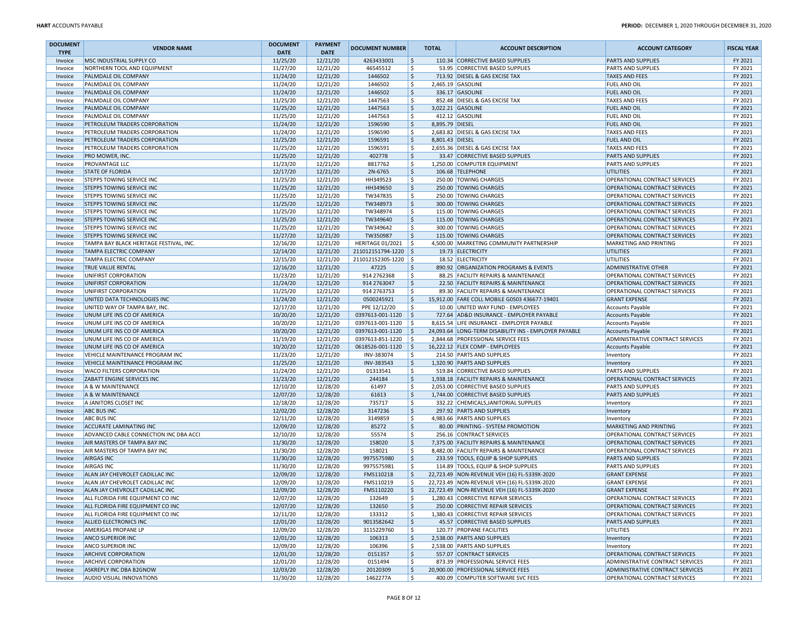| <b>DOCUMENT</b><br><b>TYPE</b> | <b>VENDOR NAME</b>                                                     | <b>DOCUMENT</b><br><b>DATE</b> | <b>PAYMENT</b><br><b>DATE</b> | <b>DOCUMENT NUMBER</b> | <b>TOTAL</b>           | <b>ACCOUNT DESCRIPTION</b>                                 | <b>ACCOUNT CATEGORY</b>                                        | <b>FISCAL YEAR</b> |
|--------------------------------|------------------------------------------------------------------------|--------------------------------|-------------------------------|------------------------|------------------------|------------------------------------------------------------|----------------------------------------------------------------|--------------------|
| Invoice                        | MSC INDUSTRIAL SUPPLY CO                                               | 11/25/20                       | 12/21/20                      | 4263433001             | ۱\$                    | 110.34 CORRECTIVE BASED SUPPLIES                           | <b>PARTS AND SUPPLIES</b>                                      | FY 2021            |
| Invoice                        | NORTHERN TOOL AND EQUIPMENT                                            | 11/27/20                       | 12/21/20                      | 46545512               | l\$                    | 53.95 CORRECTIVE BASED SUPPLIES                            | PARTS AND SUPPLIES                                             | FY 2021            |
| Invoice                        | PALMDALE OIL COMPANY                                                   | 11/24/20                       | 12/21/20                      | 1446502                | ۱\$                    | 713.92 DIESEL & GAS EXCISE TAX                             | <b>TAXES AND FEES</b>                                          | FY 2021            |
| Invoice                        | PALMDALE OIL COMPANY                                                   | 11/24/20                       | 12/21/20                      | 1446502                | l \$                   | 2,465.19 GASOLINE                                          | <b>FUEL AND OIL</b>                                            | FY 2021            |
| Invoice                        | PALMDALE OIL COMPANY                                                   | 11/24/20                       | 12/21/20                      | 1446502                | ۱\$                    | 336.17 GASOLINE                                            | <b>FUEL AND OIL</b>                                            | FY 2021            |
| Invoice                        | <b>PALMDALE OIL COMPANY</b>                                            | 11/25/20                       | 12/21/20                      | 1447563                | ١\$                    | 852.48 DIESEL & GAS EXCISE TAX                             | <b>TAXES AND FEES</b>                                          | FY 2021            |
| Invoice                        | <b>PALMDALE OIL COMPANY</b>                                            | 11/25/20                       | 12/21/20                      | 1447563                | ۱\$                    | 3,022.21 GASOLINE                                          | <b>FUEL AND OIL</b>                                            | FY 2021            |
| Invoice                        | PALMDALE OIL COMPANY                                                   | 11/25/20                       | 12/21/20                      | 1447563                | ۱\$                    | 412.12 GASOLINE                                            | FUEL AND OIL                                                   | FY 2021            |
| Invoice                        | PETROLEUM TRADERS CORPORATION                                          | 11/24/20                       | 12/21/20                      | 1596590                | ۱\$<br>8,895.79 DIESEL |                                                            | <b>FUEL AND OIL</b>                                            | FY 2021            |
| Invoice                        | PETROLEUM TRADERS CORPORATION                                          | 11/24/20                       | 12/21/20                      | 1596590                | l \$                   | 2,683.82 DIESEL & GAS EXCISE TAX                           | <b>TAXES AND FEES</b>                                          | FY 2021            |
| Invoice                        | PETROLEUM TRADERS CORPORATION                                          | 11/25/20                       | 12/21/20                      | 1596591                | ۱\$<br>8,801.43 DIESEL |                                                            | <b>FUEL AND OIL</b>                                            | FY 2021            |
| Invoice                        | PETROLEUM TRADERS CORPORATION                                          | 11/25/20                       | 12/21/20                      | 1596591                | l\$                    | 2,655.36 DIESEL & GAS EXCISE TAX                           | <b>TAXES AND FEES</b>                                          | FY 2021            |
| Invoice                        | <b>PRO MOWER, INC.</b>                                                 | 11/25/20                       | 12/21/20                      | 402778                 | ۱\$                    | 33.47 CORRECTIVE BASED SUPPLIES                            | <b>PARTS AND SUPPLIES</b>                                      | FY 2021            |
| Invoice                        | PROVANTAGE LLC                                                         | 11/23/20                       | 12/21/20                      | 8817762                | ۱s                     | 1,250.00 COMPUTER EQUIPMENT                                | <b>PARTS AND SUPPLIES</b>                                      | FY 2021            |
| Invoice                        | <b>STATE OF FLORIDA</b>                                                | 12/17/20                       | 12/21/20                      | 2N-6765                | ۱\$                    | 106.68 TELEPHONE                                           | <b>UTILITIES</b>                                               | FY 2021            |
| Invoice                        | <b>STEPPS TOWING SERVICE INC</b>                                       | 11/25/20                       | 12/21/20                      | HH349523               | l\$                    | 250.00 TOWING CHARGES                                      | OPERATIONAL CONTRACT SERVICES                                  | FY 2021            |
| Invoice                        | <b>STEPPS TOWING SERVICE INC</b>                                       | 11/25/20                       | 12/21/20                      | HH349650               | ۱\$                    | 250.00 TOWING CHARGES                                      | OPERATIONAL CONTRACT SERVICES                                  | FY 2021            |
| Invoice                        | <b>STEPPS TOWING SERVICE INC</b>                                       | 11/25/20                       | 12/21/20                      | TW347835               | ١\$                    | 250.00 TOWING CHARGES                                      | OPERATIONAL CONTRACT SERVICES                                  | FY 2021            |
| Invoice                        | <b>STEPPS TOWING SERVICE INC</b>                                       | 11/25/20                       | 12/21/20                      | TW348973               | ۱\$                    | 300.00 TOWING CHARGES                                      | OPERATIONAL CONTRACT SERVICES                                  | FY 2021            |
| Invoice                        | STEPPS TOWING SERVICE INC                                              | 11/25/20                       | 12/21/20                      | TW348974               | l\$                    | 115.00 TOWING CHARGES                                      | OPERATIONAL CONTRACT SERVICES                                  | FY 2021            |
| Invoice                        | <b>STEPPS TOWING SERVICE INC</b>                                       | 11/25/20                       | 12/21/20                      | TW349640               | ۱\$                    | 115.00 TOWING CHARGES                                      | OPERATIONAL CONTRACT SERVICES                                  | FY 2021            |
| Invoice                        | <b>STEPPS TOWING SERVICE INC</b>                                       | 11/25/20                       | 12/21/20                      | TW349642               | l\$                    | 300.00 TOWING CHARGES                                      | OPERATIONAL CONTRACT SERVICES                                  | FY 2021            |
| Invoice                        | <b>STEPPS TOWING SERVICE INC</b>                                       | 11/27/20                       | 12/21/20                      | TW350987               | ۱\$                    | 115.00 TOWING CHARGES                                      | OPERATIONAL CONTRACT SERVICES                                  | FY 2021            |
| Invoice                        | TAMPA BAY BLACK HERITAGE FESTIVAL, INC.                                | 12/16/20                       | 12/21/20                      | HERITAGE 01/2021       | ۱ś                     | 4,500.00 MARKETING COMMUNITY PARTNERSHIP                   | MARKETING AND PRINTING                                         | FY 2021            |
| Invoice                        | <b>TAMPA ELECTRIC COMPANY</b>                                          | 12/14/20                       | 12/21/20                      | 211012151794-1220      | -S                     | 19.73 ELECTRICITY                                          | <b>UTILITIES</b>                                               | FY 2021            |
| Invoice                        | <b>TAMPA ELECTRIC COMPANY</b>                                          | 12/15/20                       | 12/21/20                      | 211012152305-1220 \$   |                        | 18.52 ELECTRICITY                                          | <b>UTILITIES</b>                                               | FY 2021            |
| Invoice                        | <b>TRUE VALUE RENTAL</b>                                               | 12/16/20                       | 12/21/20                      | 47225                  | ۱\$                    | 890.92 ORGANIZATION PROGRAMS & EVENTS                      | <b>ADMINISTRATIVE OTHER</b>                                    | FY 2021            |
| Invoice                        | UNIFIRST CORPORATION                                                   | 11/23/20                       | 12/21/20                      | 914 2762368            | ۱\$                    | 88.25 FACILITY REPAIRS & MAINTENANCE                       | OPERATIONAL CONTRACT SERVICES                                  | FY 2021            |
| Invoice                        | UNIFIRST CORPORATION                                                   | 11/24/20                       | 12/21/20                      | 914 2763047            | l\$                    | 22.50 FACILITY REPAIRS & MAINTENANCE                       | <b>OPERATIONAL CONTRACT SERVICES</b>                           | FY 2021            |
| Invoice                        | UNIFIRST CORPORATION                                                   | 11/25/20                       | 12/21/20                      | 914 2763753            | ۱\$                    | 89.30 FACILITY REPAIRS & MAINTENANCE                       | OPERATIONAL CONTRACT SERVICES                                  | FY 2021            |
| Invoice                        | UNITED DATA TECHNOLOGIES INC                                           | 11/24/20                       | 12/21/20                      | 0500245921             | ۱\$                    | 15.912.00 FARE COLL MOBILE G0S03 436677-19401              | <b>GRANT EXPENSE</b>                                           | FY 2021            |
| Invoice                        | UNITED WAY OF TAMPA BAY, INC                                           | 12/17/20                       | 12/21/20                      | PPE 12/12/20           | l\$                    | 10.00 UNITED WAY FUND - EMPLOYEES                          | <b>Accounts Payable</b>                                        | FY 2021            |
| Invoice                        | UNUM LIFE INS CO OF AMERICA                                            | 10/20/20                       | 12/21/20                      | 0397613-001-1120       | <u>  \$</u>            | 727.64 AD&D INSURANCE - EMPLOYER PAYABLE                   | <b>Accounts Payable</b>                                        | FY 2021            |
| Invoice                        | UNUM LIFE INS CO OF AMERICA                                            | 10/20/20                       | 12/21/20                      | 0397613-001-1120       | Ŝ.                     | 8,615.54 LIFE INSURANCE - EMPLOYER PAYABLE                 | <b>Accounts Payable</b>                                        | FY 2021            |
| Invoice                        | UNUM LIFE INS CO OF AMERICA                                            | 10/20/20                       | 12/21/20                      | 0397613-001-1120       | -\$                    | 24,093.64 LONG-TERM DISABILITY INS - EMPLOYER PAYABLE      | Accounts Payable                                               | FY 2021            |
| Invoice                        | UNUM LIFE INS CO OF AMERICA                                            | 11/19/20                       | 12/21/20                      | 0397613-851-1220       | l \$                   | 2,844.68 PROFESSIONAL SERVICE FEES                         | ADMINISTRATIVE CONTRACT SERVICES                               | FY 2021            |
| Invoice                        | UNUM LIFE INS CO OF AMERICA                                            | 10/20/20                       | 12/21/20                      | 0618526-001-1120       | ا \$                   | 16,222.12 FLEX COMP - EMPLOYEES                            | <b>Accounts Payable</b>                                        | FY 2021            |
| Invoice                        | VEHICLE MAINTENANCE PROGRAM INC                                        | 11/23/20                       | 12/21/20                      | INV-383074             | S.                     | 214.50 PARTS AND SUPPLIES                                  | Inventory                                                      | FY 2021            |
| Invoice                        | <b>VEHICLE MAINTENANCE PROGRAM INC</b>                                 | 11/25/20                       | 12/21/20                      | INV-383543             | ۱\$                    | 1,320.90 PARTS AND SUPPLIES                                | Inventory                                                      | FY 2021            |
| Invoice                        | <b>WACO FILTERS CORPORATION</b>                                        | 11/24/20                       | 12/21/20                      | 01313541               | l\$                    | 519.84 CORRECTIVE BASED SUPPLIES                           | PARTS AND SUPPLIES                                             | FY 2021            |
| Invoice                        | ZABATT ENGINE SERVICES INC                                             | 11/23/20                       | 12/21/20                      | 244184                 | l\$                    | 1,938.18 FACILITY REPAIRS & MAINTENANCE                    | OPERATIONAL CONTRACT SERVICES                                  | FY 2021            |
| Invoice                        | A & W MAINTENANCE                                                      | 12/10/20                       | 12/28/20                      | 61497                  | l \$                   | 2,053.00 CORRECTIVE BASED SUPPLIES                         | PARTS AND SUPPLIES                                             | FY 2021            |
| Invoice                        | A & W MAINTENANCE                                                      | 12/07/20                       | 12/28/20                      | 61613                  | ۱\$                    | 1,744.00 CORRECTIVE BASED SUPPLIES                         | <b>PARTS AND SUPPLIES</b>                                      | FY 2021            |
| Invoice                        | A JANITORS CLOSET INC                                                  | 12/18/20                       | 12/28/20                      | 735717                 | l \$                   | 332.22 CHEMICALS, JANITORIAL SUPPLIES                      | Inventory                                                      | FY 2021            |
| Invoice                        | <b>ABC BUS INC</b>                                                     | 12/02/20                       | 12/28/20                      | 3147236                | l\$                    | 297.92 PARTS AND SUPPLIES                                  | Inventory                                                      | FY 2021            |
| Invoice                        | <b>ABC BUS INC</b>                                                     | 12/11/20                       | 12/28/20                      | 3149859                | ١\$                    | 4,983.66 PARTS AND SUPPLIES                                | Inventory                                                      | FY 2021            |
| Invoice                        | <b>ACCURATE LAMINATING INC</b>                                         | 12/09/20                       | 12/28/20                      | 85272                  | l\$                    | 80.00 PRINTING - SYSTEM PROMOTION                          | MARKETING AND PRINTING                                         | FY 2021            |
| Invoice                        | ADVANCED CABLE CONNECTION INC DBA ACCI                                 | 12/10/20                       | 12/28/20                      | 55574                  | ۱\$                    | 256.16 CONTRACT SERVICES                                   | OPERATIONAL CONTRACT SERVICES                                  | FY 2021            |
| Invoice                        | AIR MASTERS OF TAMPA BAY INC                                           | 11/30/20                       | 12/28/20                      | 158020                 | ۱\$                    | 7,375.00 FACILITY REPAIRS & MAINTENANCE                    | <b>OPERATIONAL CONTRACT SERVICES</b>                           | FY 2021            |
| Invoice                        | AIR MASTERS OF TAMPA BAY INC                                           | 11/30/20                       | 12/28/20                      | 158021                 | l \$                   | 8,482.00 FACILITY REPAIRS & MAINTENANCE                    | OPERATIONAL CONTRACT SERVICES                                  | FY 2021            |
| Invoice                        | <b>AIRGAS INC</b>                                                      | 11/30/20                       | 12/28/20                      | 9975575980             | l\$                    | 233.59 TOOLS, EQUIP & SHOP SUPPLIES                        | <b>PARTS AND SUPPLIES</b>                                      | FY 2021            |
| Invoice                        | <b>AIRGAS INC</b>                                                      | 11/30/20                       | 12/28/20                      | 9975575981             | l\$                    | 114.89 TOOLS, EQUIP & SHOP SUPPLIES                        | PARTS AND SUPPLIES                                             | FY 2021            |
| Invoice                        | ALAN JAY CHEVROLET CADILLAC INC                                        | 12/09/20                       | 12/28/20                      | FMS110218              | \$ ا                   | 22,723.49 NON-REVENUE VEH (16) FL-5339X-2020               | <b>GRANT EXPENSE</b>                                           | FY 2021            |
| Invoice                        | ALAN JAY CHEVROLET CADILLAC INC                                        | 12/09/20                       | 12/28/20                      | FMS110219              |                        | 22,723.49 NON-REVENUE VEH (16) FL-5339X-2020               | <b>GRANT EXPENSE</b>                                           | FY 2021            |
| Invoice                        | ALAN JAY CHEVROLET CADILLAC INC                                        | 12/09/20                       | 12/28/20                      | FMS110220              | l \$                   | 22,723.49 NON-REVENUE VEH (16) FL-5339X-2020               | <b>GRANT EXPENSE</b>                                           | FY 2021            |
|                                |                                                                        |                                |                               |                        |                        | 1.280.43  CORRECTIVE REPAIR SERVICES                       |                                                                |                    |
| Invoice<br>Invoice             | ALL FLORIDA FIRE EQUIPMENT CO INC<br>ALL FLORIDA FIRE EQUIPMENT CO INC | 12/07/20<br>12/07/20           | 12/28/20<br>12/28/20          | 132649<br>132650       | ιs<br>l\$              | 250.00 CORRECTIVE REPAIR SERVICES                          | OPERATIONAL CONTRACT SERVICES<br>OPERATIONAL CONTRACT SERVICES | FY 2021<br>FY 2021 |
| Invoice                        | ALL FLORIDA FIRE EQUIPMENT CO INC                                      | 12/11/20                       | 12/28/20                      | 133312                 | ١\$                    | 1,380.43 CORRECTIVE REPAIR SERVICES                        | OPERATIONAL CONTRACT SERVICES                                  | FY 2021            |
| Invoice                        | <b>ALLIED ELECTRONICS INC</b>                                          | 12/01/20                       | 12/28/20                      | 9013582642             | l\$                    | 45.57 CORRECTIVE BASED SUPPLIES                            | <b>PARTS AND SUPPLIES</b>                                      | FY 2021            |
|                                |                                                                        |                                |                               | 3115229760             |                        | 120.77 PROPANE FACILITIES                                  | UTILITIES                                                      |                    |
| Invoice                        | <b>AMERIGAS PROPANE LP</b><br>ANCO SUPERIOR INC                        | 12/09/20                       | 12/28/20                      |                        | l\$                    |                                                            |                                                                | FY 2021            |
| Invoice                        |                                                                        | 12/01/20                       | 12/28/20                      | 106313                 | l\$                    | 2,538.00 PARTS AND SUPPLIES<br>2,538.00 PARTS AND SUPPLIES | Inventory                                                      | FY 2021            |
| Invoice                        | <b>ANCO SUPERIOR INC</b>                                               | 12/09/20                       | 12/28/20                      | 106396                 | l\$                    |                                                            | Inventory                                                      | FY 2021            |
| Invoice                        | <b>ARCHIVE CORPORATION</b>                                             | 12/01/20                       | 12/28/20                      | 0151357                | ۱\$<br>l \$            | 557.07 CONTRACT SERVICES                                   | OPERATIONAL CONTRACT SERVICES                                  | FY 2021            |
| Invoice                        | <b>ARCHIVE CORPORATION</b>                                             | 12/01/20                       | 12/28/20                      | 0151494                |                        | 873.39 PROFESSIONAL SERVICE FEES                           | <b>ADMINISTRATIVE CONTRACT SERVICES</b>                        | FY 2021            |
| Invoice                        | ASKREPLY INC DBA B2GNOW                                                | 12/03/20                       | 12/28/20                      | 20120309               | ∣\$                    | 20,900.00 PROFESSIONAL SERVICE FEES                        | ADMINISTRATIVE CONTRACT SERVICES                               | FY 2021            |
| Invoice                        | AUDIO VISUAL INNOVATIONS                                               | 11/30/20                       | 12/28/20                      | 1462277A               | ۱s                     | 400.09 COMPUTER SOFTWARE SVC FEES                          | OPERATIONAL CONTRACT SERVICES                                  | FY 2021            |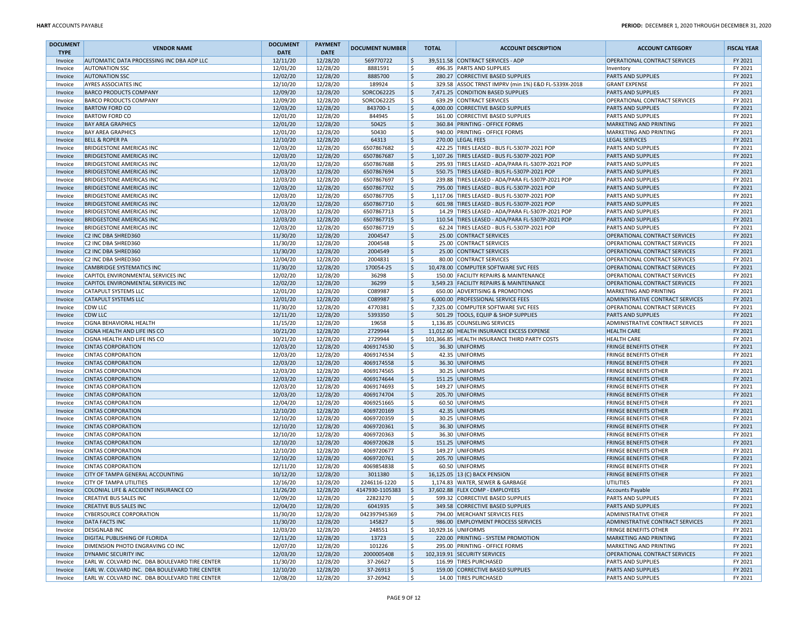| <b>DOCUMENT</b><br><b>TYPE</b> | <b>VENDOR NAME</b>                                                 | <b>DOCUMENT</b><br><b>DATE</b> | <b>PAYMENT</b><br><b>DATE</b> | <b>DOCUMENT NUMBER</b>   | <b>TOTAL</b>              | <b>ACCOUNT DESCRIPTION</b>                                                                     | <b>ACCOUNT CATEGORY</b>                                      | <b>FISCAL YEAR</b> |
|--------------------------------|--------------------------------------------------------------------|--------------------------------|-------------------------------|--------------------------|---------------------------|------------------------------------------------------------------------------------------------|--------------------------------------------------------------|--------------------|
| Invoice                        | AUTOMATIC DATA PROCESSING INC DBA ADP LLC                          | 12/11/20                       | 12/28/20                      | 569770722                | Ŝ.                        | 39,511.58 CONTRACT SERVICES - ADP                                                              | OPERATIONAL CONTRACT SERVICES                                | FY 2021            |
| Invoice                        | <b>AUTONATION SSC</b>                                              | 12/01/20                       | 12/28/20                      | 8881591                  | \$                        | 496.35 PARTS AND SUPPLIES                                                                      | Inventory                                                    | FY 2021            |
| Invoice                        | <b>AUTONATION SSC</b>                                              | 12/02/20                       | 12/28/20                      | 8885700                  | \$                        | 280.27 CORRECTIVE BASED SUPPLIES                                                               | <b>PARTS AND SUPPLIES</b>                                    | FY 2021            |
| Invoice                        | AYRES ASSOCIATES INC                                               | 12/10/20                       | 12/28/20                      | 189924                   | \$                        | 329.58 ASSOC TRNST IMPRV (min 1%) E&D FL-5339X-2018                                            | <b>GRANT EXPENSE</b>                                         | FY 2021            |
| Invoice                        | <b>BARCO PRODUCTS COMPANY</b>                                      | 12/09/20                       | 12/28/20                      | SORCO62225               | \$                        | 7,471.25 CONDITION BASED SUPPLIES                                                              | <b>PARTS AND SUPPLIES</b>                                    | FY 2021            |
| Invoice                        | <b>BARCO PRODUCTS COMPANY</b>                                      | 12/09/20                       | 12/28/20                      | SORCO62225               | \$                        | 639.29 CONTRACT SERVICES                                                                       | OPERATIONAL CONTRACT SERVICES                                | FY 2021            |
| Invoice                        | <b>BARTOW FORD CO</b>                                              | 12/03/20                       | 12/28/20                      | 843700-1                 | \$                        | 4,000.00 CORRECTIVE BASED SUPPLIES                                                             | <b>PARTS AND SUPPLIES</b>                                    | FY 2021            |
| Invoice                        | <b>BARTOW FORD CO</b>                                              | 12/01/20                       | 12/28/20                      | 844945                   | \$                        | 161.00 CORRECTIVE BASED SUPPLIES                                                               | PARTS AND SUPPLIES                                           | FY 2021            |
| Invoice                        | <b>BAY AREA GRAPHICS</b>                                           | 12/01/20                       | 12/28/20                      | 50425                    | \$                        | 360.84 PRINTING - OFFICE FORMS                                                                 | MARKETING AND PRINTING                                       | FY 2021            |
| Invoice                        | <b>BAY AREA GRAPHICS</b>                                           | 12/01/20                       | 12/28/20                      | 50430                    | \$                        | 940.00 PRINTING - OFFICE FORMS                                                                 | MARKETING AND PRINTING                                       | FY 2021            |
| Invoice                        | <b>BELL &amp; ROPER PA</b>                                         | 12/10/20                       | 12/28/20                      | 64313                    | \$                        | 270.00 LEGAL FEES                                                                              | <b>LEGAL SERVICES</b>                                        | FY 2021            |
| Invoice                        | <b>BRIDGESTONE AMERICAS INC</b>                                    | 12/03/20                       | 12/28/20                      | 6507867682               | \$                        | 422.25 TIRES LEASED - BUS FL-5307P-2021 POP                                                    | PARTS AND SUPPLIES                                           | FY 2021            |
| Invoice                        | <b>BRIDGESTONE AMERICAS INC</b>                                    | 12/03/20                       | 12/28/20                      | 6507867687               | \$                        | 1,107.26 TIRES LEASED - BUS FL-5307P-2021 POP                                                  | <b>PARTS AND SUPPLIES</b>                                    | FY 2021            |
| Invoice                        | <b>BRIDGESTONE AMERICAS INC</b>                                    | 12/03/20                       | 12/28/20                      | 6507867688               | \$                        | 295.93 TIRES LEASED - ADA/PARA FL-5307P-2021 POP                                               | <b>PARTS AND SUPPLIES</b>                                    | FY 2021            |
| Invoice                        | <b>BRIDGESTONE AMERICAS INC</b>                                    | 12/03/20                       | 12/28/20                      | 6507867694               | \$                        | 550.75 TIRES LEASED - BUS FL-5307P-2021 POP                                                    | <b>PARTS AND SUPPLIES</b>                                    | FY 2021            |
| Invoice                        | <b>BRIDGESTONE AMERICAS INC</b>                                    | 12/03/20                       | 12/28/20                      | 6507867697               | \$                        | 239.88 TIRES LEASED - ADA/PARA FL-5307P-2021 POP                                               | PARTS AND SUPPLIES                                           | FY 2021            |
| Invoice                        | <b>BRIDGESTONE AMERICAS INC</b>                                    | 12/03/20                       | 12/28/20                      | 6507867702               | \$                        | 795.00 TIRES LEASED - BUS FL-5307P-2021 POP                                                    | <b>PARTS AND SUPPLIES</b>                                    | FY 2021            |
| Invoice                        | <b>BRIDGESTONE AMERICAS INC</b>                                    | 12/03/20                       | 12/28/20                      | 6507867705               | \$<br>\$                  | 1,117.06 TIRES LEASED - BUS FL-5307P-2021 POP                                                  | <b>PARTS AND SUPPLIES</b>                                    | FY 2021            |
| Invoice                        | <b>BRIDGESTONE AMERICAS INC</b>                                    | 12/03/20                       | 12/28/20                      | 6507867710               |                           | 601.98 TIRES LEASED - BUS FL-5307P-2021 POP<br>14.29 TIRES LEASED - ADA/PARA FL-5307P-2021 POP | <b>PARTS AND SUPPLIES</b>                                    | FY 2021            |
| Invoice                        | <b>BRIDGESTONE AMERICAS INC</b><br><b>BRIDGESTONE AMERICAS INC</b> | 12/03/20<br>12/03/20           | 12/28/20<br>12/28/20          | 6507867713<br>6507867715 | S<br>\$                   | 110.54 TIRES LEASED - ADA/PARA FL-5307P-2021 POP                                               | PARTS AND SUPPLIES                                           | FY 2021<br>FY 2021 |
| Invoice<br>Invoice             | <b>BRIDGESTONE AMERICAS INC</b>                                    | 12/03/20                       | 12/28/20                      | 6507867719               | \$                        | 62.24 TIRES LEASED - BUS FL-5307P-2021 POP                                                     | <b>PARTS AND SUPPLIES</b><br>PARTS AND SUPPLIES              | FY 2021            |
| Invoice                        | C2 INC DBA SHRED360                                                | 11/30/20                       | 12/28/20                      | 2004547                  | $\boldsymbol{\mathsf{S}}$ | 25.00 CONTRACT SERVICES                                                                        | OPERATIONAL CONTRACT SERVICES                                | FY 2021            |
| Invoice                        | C2 INC DBA SHRED360                                                | 11/30/20                       | 12/28/20                      | 2004548                  | \$.                       | 25.00 CONTRACT SERVICES                                                                        | OPERATIONAL CONTRACT SERVICES                                | FY 2021            |
| Invoice                        | C2 INC DBA SHRED360                                                | 11/30/20                       | 12/28/20                      | 2004549                  | \$                        | 25.00 CONTRACT SERVICES                                                                        | OPERATIONAL CONTRACT SERVICES                                | FY 2021            |
| Invoice                        | C2 INC DBA SHRED360                                                | 12/04/20                       | 12/28/20                      | 2004831                  | \$                        | 80.00 CONTRACT SERVICES                                                                        | OPERATIONAL CONTRACT SERVICES                                | FY 2021            |
| Invoice                        | <b>CAMBRIDGE SYSTEMATICS INC</b>                                   | 11/30/20                       | 12/28/20                      | 170054-25                | \$                        | 10,478.00 COMPUTER SOFTWARE SVC FEES                                                           | OPERATIONAL CONTRACT SERVICES                                | FY 2021            |
| Invoice                        | CAPITOL ENVIRONMENTAL SERVICES INC                                 | 12/02/20                       | 12/28/20                      | 36298                    | \$                        | 150.00 FACILITY REPAIRS & MAINTENANCE                                                          | OPERATIONAL CONTRACT SERVICES                                | FY 2021            |
| Invoice                        | CAPITOL ENVIRONMENTAL SERVICES INC                                 | 12/02/20                       | 12/28/20                      | 36299                    | \$                        | 3,549.23 FACILITY REPAIRS & MAINTENANCE                                                        | OPERATIONAL CONTRACT SERVICES                                | FY 2021            |
| Invoice                        | <b>CATAPULT SYSTEMS LLC</b>                                        | 12/01/20                       | 12/28/20                      | C089987                  | \$                        | 650.00 ADVERTISING & PROMOTIONS                                                                | MARKETING AND PRINTING                                       | FY 2021            |
| Invoice                        | <b>CATAPULT SYSTEMS LLC</b>                                        | 12/01/20                       | 12/28/20                      | C089987                  | \$                        | 6,000.00 PROFESSIONAL SERVICE FEES                                                             | <b>ADMINISTRATIVE CONTRACT SERVICES</b>                      | FY 2021            |
| Invoice                        | <b>CDW LLC</b>                                                     | 11/30/20                       | 12/28/20                      | 4770381                  | \$                        | 7,325.00 COMPUTER SOFTWARE SVC FEES                                                            | OPERATIONAL CONTRACT SERVICES                                | FY 2021            |
| Invoice                        | <b>CDW LLC</b>                                                     | 12/11/20                       | 12/28/20                      | 5393350                  | \$                        | 501.29 TOOLS, EQUIP & SHOP SUPPLIES                                                            | <b>PARTS AND SUPPLIES</b>                                    | FY 2021            |
| Invoice                        | CIGNA BEHAVIORAL HEALTH                                            | 11/15/20                       | 12/28/20                      | 19658                    | .s                        | 1.136.85 COUNSELING SERVICES                                                                   | ADMINISTRATIVE CONTRACT SERVICES                             | FY 2021            |
| Invoice                        | CIGNA HEALTH AND LIFE INS CO                                       | 10/21/20                       | 12/28/20                      | 2729944                  | \$                        | 11,012.60 HEALTH INSURANCE EXCESS EXPENSE                                                      | <b>HEALTH CARE</b>                                           | FY 2021            |
| Invoice                        | CIGNA HEALTH AND LIFE INS CO                                       | 10/21/20                       | 12/28/20                      | 2729944                  | \$                        | 101,366.85 HEALTH INSURANCE THIRD PARTY COSTS                                                  | <b>HEALTH CARE</b>                                           | FY 2021            |
| Invoice                        | <b>CINTAS CORPORATION</b>                                          | 12/03/20                       | 12/28/20                      | 4069174530               | \$                        | 36.30 UNIFORMS                                                                                 | <b>FRINGE BENEFITS OTHER</b>                                 | FY 2021            |
| Invoice                        | <b>CINTAS CORPORATION</b>                                          | 12/03/20                       | 12/28/20                      | 4069174534               | \$                        | 42.35 UNIFORMS                                                                                 | <b>FRINGE BENEFITS OTHER</b>                                 | FY 2021            |
| Invoice                        | <b>CINTAS CORPORATION</b>                                          | 12/03/20                       | 12/28/20                      | 4069174558               | \$                        | 36.30 UNIFORMS                                                                                 | <b>FRINGE BENEFITS OTHER</b>                                 | FY 2021            |
| Invoice                        | <b>CINTAS CORPORATION</b>                                          | 12/03/20                       | 12/28/20                      | 4069174565               | S                         | 30.25 UNIFORMS                                                                                 | FRINGE BENEFITS OTHER                                        | FY 2021            |
| Invoice                        | <b>CINTAS CORPORATION</b>                                          | 12/03/20                       | 12/28/20                      | 4069174644               | \$                        | 151.25 UNIFORMS                                                                                | <b>FRINGE BENEFITS OTHER</b>                                 | FY 2021            |
| Invoice                        | <b>CINTAS CORPORATION</b>                                          | 12/03/20                       | 12/28/20                      | 4069174693               | \$                        | 149.27 UNIFORMS                                                                                | FRINGE BENEFITS OTHER                                        | FY 2021            |
| Invoice                        | <b>CINTAS CORPORATION</b>                                          | 12/03/20                       | 12/28/20                      | 4069174704               | $\boldsymbol{\mathsf{S}}$ | 205.70 UNIFORMS                                                                                | <b>FRINGE BENEFITS OTHER</b>                                 | FY 2021            |
| Invoice                        | <b>CINTAS CORPORATION</b>                                          | 12/04/20                       | 12/28/20                      | 4069251665               | \$.                       | 60.50 UNIFORMS                                                                                 | <b>FRINGE BENEFITS OTHER</b>                                 | FY 2021            |
| Invoice                        | <b>CINTAS CORPORATION</b>                                          | 12/10/20                       | 12/28/20                      | 4069720169               | \$                        | 42.35 UNIFORMS                                                                                 | <b>FRINGE BENEFITS OTHER</b>                                 | FY 2021            |
| Invoice                        | <b>CINTAS CORPORATION</b>                                          | 12/10/20<br>12/10/20           | 12/28/20<br>12/28/20          | 4069720359<br>4069720361 | \$<br>\$                  | 30.25 UNIFORMS<br>36.30 UNIFORMS                                                               | <b>FRINGE BENEFITS OTHER</b><br><b>FRINGE BENEFITS OTHER</b> | FY 2021<br>FY 2021 |
| Invoice                        | <b>CINTAS CORPORATION</b><br><b>CINTAS CORPORATION</b>             | 12/10/20                       | 12/28/20                      | 4069720363               | \$                        | 36.30 UNIFORMS                                                                                 | FRINGE BENEFITS OTHER                                        | FY 2021            |
| Invoice<br>Invoice             | <b>CINTAS CORPORATION</b>                                          | 12/10/20                       | 12/28/20                      | 4069720628               | \$                        | 151.25 UNIFORMS                                                                                | <b>FRINGE BENEFITS OTHER</b>                                 | FY 2021            |
| Invoice                        | <b>CINTAS CORPORATION</b>                                          | 12/10/20                       | 12/28/20                      | 4069720677               | \$                        | 149.27 UNIFORMS                                                                                | <b>FRINGE BENEFITS OTHER</b>                                 | FY 2021            |
| Invoice                        | <b>CINTAS CORPORATION</b>                                          | 12/10/20                       | 12/28/20                      | 4069720761               | $\zeta$                   | 205.70 UNIFORMS                                                                                | <b>FRINGE BENEFITS OTHER</b>                                 | FY 2021            |
| Invoice                        | <b>CINTAS CORPORATION</b>                                          | 12/11/20                       | 12/28/20                      | 4069854838               | \$                        | 60.50 UNIFORMS                                                                                 | FRINGE BENEFITS OTHER                                        | FY 2021            |
| Invoice                        | CITY OF TAMPA GENERAL ACCOUNTING                                   | 10/12/20                       | 12/28/20                      | 3011380                  | \$                        | 16,125.05 13 (C) BACK PENSION                                                                  | <b>FRINGE BENEFITS OTHER</b>                                 | FY 2021            |
| Invoice                        | <b>CITY OF TAMPA UTILITIES</b>                                     | 12/16/20                       | 12/28/20                      | 2246116-1220             | -Ś                        | 1.174.83 WATER, SEWER & GARBAGE                                                                | UTILITIES                                                    | FY 2021            |
| Invoice                        | COLONIAL LIFE & ACCIDENT INSURANCE CO                              | 11/26/20                       | 12/28/20                      | 4147930-1105383          | $\zeta$                   | 37,602.88 FLEX COMP - EMPLOYEES                                                                | Accounts Payable                                             | FY 2021            |
| Invoice                        | ICREATIVE BUS SALES INC                                            | 12/09/20                       | 12/28/20                      | 22823270                 | -5                        | 599.32 CORRECTIVE BASED SUPPLIES                                                               | PARTS AND SUPPLIES                                           | FY 2021            |
| Invoice                        | <b>CREATIVE BUS SALES INC</b>                                      | 12/04/20                       | 12/28/20                      | 6041935                  | \$                        | 349.58 CORRECTIVE BASED SUPPLIES                                                               | <b>PARTS AND SUPPLIES</b>                                    | FY 2021            |
| Invoice                        | <b>CYBERSOURCE CORPORATION</b>                                     | 11/30/20                       | 12/28/20                      | 042397945369             | \$                        | 794.00 MERCHANT SERVICES FEES                                                                  | <b>ADMINISTRATIVE OTHER</b>                                  | FY 2021            |
| Invoice                        | <b>DATA FACTS INC</b>                                              | 11/30/20                       | 12/28/20                      | 145827                   | \$                        | 986.00 EMPLOYMENT PROCESS SERVICES                                                             | ADMINISTRATIVE CONTRACT SERVICES                             | FY 2021            |
| Invoice                        | <b>DESIGNLAB INC</b>                                               | 12/03/20                       | 12/28/20                      | 248551                   | \$                        | 10,929.16 UNIFORMS                                                                             | <b>FRINGE BENEFITS OTHER</b>                                 | FY 2021            |
| Invoice                        | DIGITAL PUBLISHING OF FLORIDA                                      | 12/11/20                       | 12/28/20                      | 13723                    | \$                        | 220.00 PRINTING - SYSTEM PROMOTION                                                             | MARKETING AND PRINTING                                       | FY 2021            |
| Invoice                        | DIMENSION PHOTO ENGRAVING CO INC                                   | 12/07/20                       | 12/28/20                      | 101226                   | \$.                       | 295.00 PRINTING - OFFICE FORMS                                                                 | MARKETING AND PRINTING                                       | FY 2021            |
| Invoice                        | DYNAMIC SECURITY INC                                               | 12/03/20                       | 12/28/20                      | 2000005408               | \$                        | 102,319.91 SECURITY SERVICES                                                                   | <b>OPERATIONAL CONTRACT SERVICES</b>                         | FY 2021            |
| Invoice                        | EARL W. COLVARD INC. DBA BOULEVARD TIRE CENTER                     | 11/30/20                       | 12/28/20                      | 37-26627                 | \$.                       | 116.99 TIRES PURCHASED                                                                         | <b>PARTS AND SUPPLIES</b>                                    | FY 2021            |
| Invoice                        | EARL W. COLVARD INC. DBA BOULEVARD TIRE CENTER                     | 12/10/20                       | 12/28/20                      | 37-26913                 | \$                        | 159.00 CORRECTIVE BASED SUPPLIES                                                               | <b>PARTS AND SUPPLIES</b>                                    | FY 2021            |
| Invoice                        | EARL W. COLVARD INC. DBA BOULEVARD TIRE CENTER                     | 12/08/20                       | 12/28/20                      | 37-26942                 | \$                        | 14.00 TIRES PURCHASED                                                                          | <b>PARTS AND SUPPLIES</b>                                    | FY 2021            |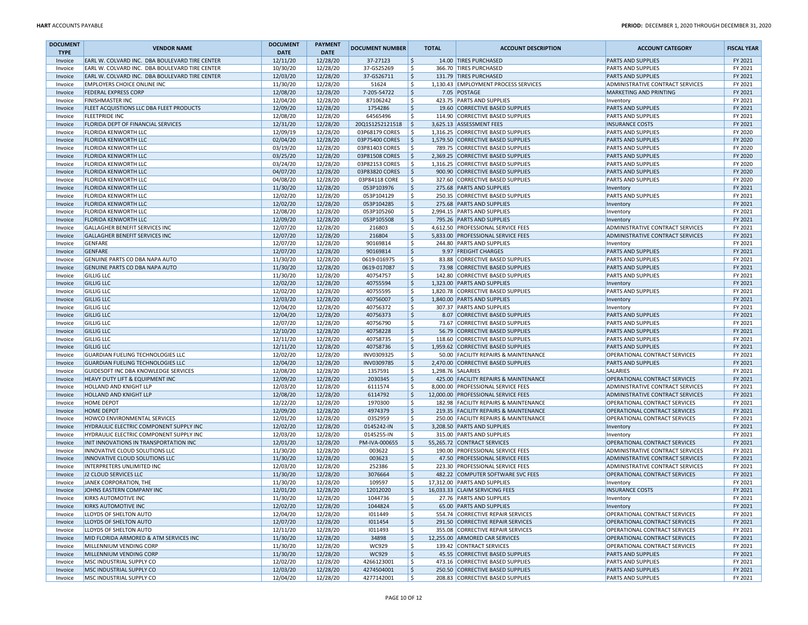| <b>DOCUMENT</b><br><b>TYPE</b> | <b>VENDOR NAME</b>                             | <b>DOCUMENT</b><br><b>DATE</b> | <b>PAYMENT</b><br><b>DATE</b> | <b>DOCUMENT NUMBER</b> | <b>TOTAL</b>        | <b>ACCOUNT DESCRIPTION</b>                                                 | <b>ACCOUNT CATEGORY</b>                                           | <b>FISCAL YEAR</b> |
|--------------------------------|------------------------------------------------|--------------------------------|-------------------------------|------------------------|---------------------|----------------------------------------------------------------------------|-------------------------------------------------------------------|--------------------|
| Invoice                        | EARL W. COLVARD INC. DBA BOULEVARD TIRE CENTER | 12/11/20                       | 12/28/20                      | 37-27123               | \$ ا                | 14.00 TIRES PURCHASED                                                      | <b>PARTS AND SUPPLIES</b>                                         | FY 2021            |
| Invoice                        | EARL W. COLVARD INC. DBA BOULEVARD TIRE CENTER | 10/30/20                       | 12/28/20                      | 37-GS25269             | l\$                 | 366.70 TIRES PURCHASED                                                     | <b>PARTS AND SUPPLIES</b>                                         | FY 2021            |
| Invoice                        | EARL W. COLVARD INC. DBA BOULEVARD TIRE CENTER | 12/03/20                       | 12/28/20                      | 37-GS26711             | \$ ا                | 131.79 TIRES PURCHASED                                                     | <b>PARTS AND SUPPLIES</b>                                         | FY 2021            |
| Invoice                        | <b>EMPLOYERS CHOICE ONLINE INC</b>             | 11/30/20                       | 12/28/20                      | 51624                  | l \$                | 1,130.43 EMPLOYMENT PROCESS SERVICES                                       | ADMINISTRATIVE CONTRACT SERVICES                                  | FY 2021            |
| Invoice                        | <b>FEDERAL EXPRESS CORP</b>                    | 12/08/20                       | 12/28/20                      | 7-205-54722            | l\$                 | 7.05 POSTAGE                                                               | MARKETING AND PRINTING                                            | FY 2021            |
| Invoice                        | <b>FINISHMASTER INC</b>                        | 12/04/20                       | 12/28/20                      | 87106242               | l \$                | 423.75 PARTS AND SUPPLIES                                                  | Inventory                                                         | FY 2021            |
| Invoice                        | FLEET ACQUISTIONS LLC DBA FLEET PRODUCTS       | 12/09/20                       | 12/28/20                      | 1754286                | l\$                 | 19.60 CORRECTIVE BASED SUPPLIES                                            | <b>PARTS AND SUPPLIES</b>                                         | FY 2021            |
| Invoice                        | <b>FLEETPRIDE INC</b>                          | 12/08/20                       | 12/28/20                      | 64565496               | l\$                 | 114.90 CORRECTIVE BASED SUPPLIES                                           | <b>PARTS AND SUPPLIES</b>                                         | FY 2021            |
| Invoice                        | FLORIDA DEPT OF FINANCIAL SERVICES             | 12/31/20                       | 12/28/20                      | 20Q1S1252121518        | <u>  \$</u>         | 3,625.13 ASSESSMENT FEES                                                   | <b>INSURANCE COSTS</b>                                            | FY 2021            |
| Invoice                        | FLORIDA KENWORTH LLC                           | 12/09/19                       | 12/28/20                      | 03P68179 CORES         | l \$                | 1,316.25 CORRECTIVE BASED SUPPLIES                                         | <b>PARTS AND SUPPLIES</b>                                         | FY 2020            |
| Invoice                        | <b>FLORIDA KENWORTH LLC</b>                    | 02/04/20                       | 12/28/20                      | 03P75400 CORES         | ۱s                  | 1,579.50 CORRECTIVE BASED SUPPLIES                                         | <b>PARTS AND SUPPLIES</b>                                         | FY 2020            |
| Invoice                        | <b>FLORIDA KENWORTH LLC</b>                    | 03/19/20                       | 12/28/20                      | 03P81403 CORES         | ۱s                  | 789.75 CORRECTIVE BASED SUPPLIES                                           | <b>PARTS AND SUPPLIES</b>                                         | FY 2020            |
| Invoice                        | <b>FLORIDA KENWORTH LLC</b>                    | 03/25/20                       | 12/28/20                      | 03P81508 CORES         | ۱s                  | 2,369.25 CORRECTIVE BASED SUPPLIES                                         | <b>PARTS AND SUPPLIES</b>                                         | FY 2020            |
| Invoice                        | <b>FLORIDA KENWORTH LLC</b>                    | 03/24/20                       | 12/28/20                      | 03P82153 CORES         | ۱s                  | 1,316.25 CORRECTIVE BASED SUPPLIES                                         | <b>PARTS AND SUPPLIES</b>                                         | FY 2020            |
| Invoice                        | <b>FLORIDA KENWORTH LLC</b>                    | 04/07/20                       | 12/28/20                      | 03P83820 CORES         | ا \$                | 900.90 CORRECTIVE BASED SUPPLIES                                           | <b>PARTS AND SUPPLIES</b>                                         | FY 2020            |
| Invoice                        | <b>FLORIDA KENWORTH LLC</b>                    | 04/08/20                       | 12/28/20                      | 03P84118 CORE          | ۱\$                 | 327.60 CORRECTIVE BASED SUPPLIES                                           | <b>PARTS AND SUPPLIES</b>                                         | FY 2020            |
| Invoice                        | <b>FLORIDA KENWORTH LLC</b>                    | 11/30/20                       | 12/28/20                      | 053P103976             | $\ddot{\mathsf{S}}$ | 275.68 PARTS AND SUPPLIES                                                  | Inventory                                                         | FY 2021            |
| Invoice                        | <b>FLORIDA KENWORTH LLC</b>                    | 12/02/20                       | 12/28/20                      | 053P104129             | l \$                | 250.35 CORRECTIVE BASED SUPPLIES                                           | <b>PARTS AND SUPPLIES</b>                                         | FY 2021            |
| Invoice                        | <b>FLORIDA KENWORTH LLC</b>                    | 12/02/20                       | 12/28/20                      | 053P104285             | ۱\$                 | 275.68 PARTS AND SUPPLIES                                                  | Inventory                                                         | FY 2021            |
| Invoice                        | <b>FLORIDA KENWORTH LLC</b>                    | 12/08/20                       | 12/28/20                      | 053P105260             | l \$                | 2,994.15 PARTS AND SUPPLIES                                                | Inventory                                                         | FY 2021            |
| Invoice                        | <b>FLORIDA KENWORTH LLC</b>                    | 12/09/20                       | 12/28/20                      | 053P105508             | l\$                 | 795.26 PARTS AND SUPPLIES                                                  | Inventory                                                         | FY 2021            |
| Invoice                        | <b>GALLAGHER BENEFIT SERVICES INC</b>          | 12/07/20                       | 12/28/20                      | 216803                 | -\$                 | 4,612.50 PROFESSIONAL SERVICE FEES                                         | ADMINISTRATIVE CONTRACT SERVICES                                  | FY 2021            |
| Invoice                        | <b>GALLAGHER BENEFIT SERVICES INC</b>          | 12/07/20                       | 12/28/20                      | 216804                 | l\$                 | 5,833.00 PROFESSIONAL SERVICE FEES                                         | ADMINISTRATIVE CONTRACT SERVICES                                  | FY 2021            |
| Invoice                        | <b>GENFARE</b>                                 | 12/07/20                       | 12/28/20                      | 90169814               | l\$                 | 244.80 PARTS AND SUPPLIES                                                  | Inventory                                                         | FY 2021            |
| Invoice                        | <b>GENFARE</b>                                 | 12/07/20                       | 12/28/20                      | 90169814               | l\$                 | 9.97 FREIGHT CHARGES                                                       | PARTS AND SUPPLIES                                                | FY 2021            |
| Invoice                        | GENUINE PARTS CO DBA NAPA AUTO                 | 11/30/20                       | 12/28/20                      | 0619-016975            | l\$                 | 83.88 CORRECTIVE BASED SUPPLIES                                            | <b>PARTS AND SUPPLIES</b>                                         | FY 2021            |
| Invoice                        | GENUINE PARTS CO DBA NAPA AUTO                 | 11/30/20                       | 12/28/20                      | 0619-017087            | l\$                 | 73.98 CORRECTIVE BASED SUPPLIES                                            | <b>PARTS AND SUPPLIES</b>                                         | FY 2021            |
| Invoice                        | <b>GILLIG LLC</b>                              | 11/30/20                       | 12/28/20                      | 40754757               | l\$                 | 142.80 CORRECTIVE BASED SUPPLIES                                           | <b>PARTS AND SUPPLIES</b>                                         | FY 2021            |
| Invoice                        | <b>GILLIG LLC</b>                              | 12/02/20                       | 12/28/20                      | 40755594               | ۱\$                 | 1,323.00 PARTS AND SUPPLIES                                                | Inventory                                                         | FY 2021            |
| Invoice                        | <b>GILLIG LLC</b>                              | 12/02/20                       | 12/28/20                      | 40755595               | l \$                | 1,820.78 CORRECTIVE BASED SUPPLIES                                         | PARTS AND SUPPLIES                                                | FY 2021            |
| Invoice                        | <b>GILLIG LLC</b>                              | 12/03/20                       | 12/28/20                      | 40756007               | ۱\$                 | 1,840.00 PARTS AND SUPPLIES                                                | Inventory                                                         | FY 2021            |
| Invoice                        | <b>GILLIG LLC</b>                              | 12/04/20                       | 12/28/20                      | 40756372               | l\$                 | 307.37 PARTS AND SUPPLIES                                                  | Inventory                                                         | FY 2021            |
| Invoice                        | <b>GILLIG LLC</b>                              | 12/04/20                       | 12/28/20                      | 40756373               | ∣\$                 | 8.07 CORRECTIVE BASED SUPPLIES                                             | <b>PARTS AND SUPPLIES</b>                                         | FY 2021            |
| Invoice                        | <b>GILLIG LLC</b>                              | 12/07/20                       | 12/28/20                      | 40756790               | l\$                 | 73.67 CORRECTIVE BASED SUPPLIES                                            | <b>PARTS AND SUPPLIES</b>                                         | FY 2021            |
| Invoice                        | <b>GILLIG LLC</b>                              | 12/10/20                       | 12/28/20                      | 40758228               | l\$                 | 56.79 CORRECTIVE BASED SUPPLIES                                            | <b>PARTS AND SUPPLIES</b>                                         | FY 2021            |
| Invoice                        | <b>GILLIG LLC</b><br><b>GILLIG LLC</b>         | 12/11/20<br>12/11/20           | 12/28/20<br>12/28/20          | 40758735<br>40758736   | l\$<br>۱\$          | 118.60 CORRECTIVE BASED SUPPLIES                                           | <b>PARTS AND SUPPLIES</b>                                         | FY 2021<br>FY 2021 |
| Invoice<br>Invoice             | <b>GUARDIAN FUELING TECHNOLOGIES LLC</b>       | 12/02/20                       | 12/28/20                      | INV0309325             | l\$                 | 1,959.62 CORRECTIVE BASED SUPPLIES<br>50.00 FACILITY REPAIRS & MAINTENANCE | <b>PARTS AND SUPPLIES</b><br><b>OPERATIONAL CONTRACT SERVICES</b> | FY 2021            |
| Invoice                        | <b>GUARDIAN FUELING TECHNOLOGIES LLC</b>       | 12/04/20                       | 12/28/20                      | INV0309785             | \$                  | 2,470.00 CORRECTIVE BASED SUPPLIES                                         | <b>PARTS AND SUPPLIES</b>                                         | FY 2021            |
| Invoice                        | GUIDESOFT INC DBA KNOWLEDGE SERVICES           | 12/08/20                       | 12/28/20                      | 1357591                | l\$                 | 1,298.76 SALARIES                                                          | <b>SALARIES</b>                                                   | FY 2021            |
| Invoice                        | HEAVY DUTY LIFT & EQUIPMENT INC                | 12/09/20                       | 12/28/20                      | 2030345                | ۱\$                 | 425.00 FACILITY REPAIRS & MAINTENANCE                                      | OPERATIONAL CONTRACT SERVICES                                     | FY 2021            |
| Invoice                        | HOLLAND AND KNIGHT LLP                         | 12/03/20                       | 12/28/20                      | 6111574                | l\$                 | 8,000.00 PROFESSIONAL SERVICE FEES                                         | ADMINISTRATIVE CONTRACT SERVICES                                  | FY 2021            |
| Invoice                        | HOLLAND AND KNIGHT LLP                         | 12/08/20                       | 12/28/20                      | 6114792                | l\$                 | 12,000.00 PROFESSIONAL SERVICE FEES                                        | ADMINISTRATIVE CONTRACT SERVICES                                  | FY 2021            |
| Invoice                        | <b>HOME DEPOT</b>                              | 12/22/20                       | 12/28/20                      | 1970300                | l\$                 | 182.98 FACILITY REPAIRS & MAINTENANCE                                      | OPERATIONAL CONTRACT SERVICES                                     | FY 2021            |
| Invoice                        | <b>HOME DEPOT</b>                              | 12/09/20                       | 12/28/20                      | 4974379                | l\$                 | 219.35 FACILITY REPAIRS & MAINTENANCE                                      | OPERATIONAL CONTRACT SERVICES                                     | FY 2021            |
| Invoice                        | HOWCO ENVIRONMENTAL SERVICES                   | 12/01/20                       | 12/28/20                      | 0352959                | l\$                 | 250.00 FACILITY REPAIRS & MAINTENANCE                                      | OPERATIONAL CONTRACT SERVICES                                     | FY 2021            |
| Invoice                        | HYDRAULIC ELECTRIC COMPONENT SUPPLY INC        | 12/02/20                       | 12/28/20                      | 0145242-IN             | ۱\$                 | 3,208.50 PARTS AND SUPPLIES                                                | Inventory                                                         | FY 2021            |
| Invoice                        | HYDRAULIC ELECTRIC COMPONENT SUPPLY INC        | 12/03/20                       | 12/28/20                      | 0145255-IN             | l\$                 | 315.00 PARTS AND SUPPLIES                                                  | Inventory                                                         | FY 2021            |
| Invoice                        | INIT INNOVATIONS IN TRANSPORTATION INC         | 12/01/20                       | 12/28/20                      | PM-IVA-000655          | ۱\$                 | 55,265.72 CONTRACT SERVICES                                                | OPERATIONAL CONTRACT SERVICES                                     | FY 2021            |
| Invoice                        | INNOVATIVE CLOUD SOLUTIONS LLC                 | 11/30/20                       | 12/28/20                      | 003622                 | l \$                | 190.00 PROFESSIONAL SERVICE FEES                                           | ADMINISTRATIVE CONTRACT SERVICES                                  | FY 2021            |
| Invoice                        | INNOVATIVE CLOUD SOLUTIONS LLC                 | 11/30/20                       | 12/28/20                      | 003623                 | ۱\$                 | 47.50 PROFESSIONAL SERVICE FEES                                            | ADMINISTRATIVE CONTRACT SERVICES                                  | FY 2021            |
| Invoice                        | INTERPRETERS UNLIMITED INC                     | 12/03/20                       | 12/28/20                      | 252386                 | l\$                 | 223.30 PROFESSIONAL SERVICE FEES                                           | ADMINISTRATIVE CONTRACT SERVICES                                  | FY 2021            |
| Invoice                        | J2 CLOUD SERVICES LLC                          | 11/30/20                       | 12/28/20                      | 3076664                | l\$                 | 482.22 COMPUTER SOFTWARE SVC FEES                                          | OPERATIONAL CONTRACT SERVICES                                     | FY 2021            |
| Invoice                        | JANEK CORPORATION, THE                         | 11/30/20                       | 12/28/20                      | 109597                 | -Ś                  | 17,312.00 PARTS AND SUPPLIES                                               | Inventory                                                         | FY 2021            |
| Invoice                        | JOHNS EASTERN COMPANY INC                      | 12/01/20                       | 12/28/20                      | 12012020               | \$                  | 16,033.33 CLAIM SERVICING FEES                                             | <b>INSURANCE COSTS</b>                                            | FY 2021            |
| Invoice                        | <b>KIRKS AUTOMOTIVE INC</b>                    | 11/30/20                       | 12/28/20                      | 1044736                | ١Ş                  | 27.76 PARTS AND SUPPLIES                                                   | Inventory                                                         | FY 2021            |
| Invoice                        | <b>KIRKS AUTOMOTIVE INC</b>                    | 12/02/20                       | 12/28/20                      | 1044824                | l\$                 | 65.00 PARTS AND SUPPLIES                                                   | Inventory                                                         | FY 2021            |
| Invoice                        | LLOYDS OF SHELTON AUTO                         | 12/04/20                       | 12/28/20                      | 1011449                | l\$                 | 554.74 CORRECTIVE REPAIR SERVICES                                          | OPERATIONAL CONTRACT SERVICES                                     | FY 2021            |
| Invoice                        | LLOYDS OF SHELTON AUTO                         | 12/07/20                       | 12/28/20                      | 1011454                | ۱\$                 | 291.50 CORRECTIVE REPAIR SERVICES                                          | OPERATIONAL CONTRACT SERVICES                                     | FY 2021            |
| Invoice                        | LLOYDS OF SHELTON AUTO                         | 12/11/20                       | 12/28/20                      | 1011493                | l\$                 | 355.08 CORRECTIVE REPAIR SERVICES                                          | OPERATIONAL CONTRACT SERVICES                                     | FY 2021            |
| Invoice                        | MID FLORIDA ARMORED & ATM SERVICES INC         | 11/30/20                       | 12/28/20                      | 34898                  | $\ddot{\mathsf{S}}$ | 12,255.00 ARMORED CAR SERVICES                                             | OPERATIONAL CONTRACT SERVICES                                     | FY 2021            |
| Invoice                        | MILLENNIUM VENDING CORP                        | 11/30/20                       | 12/28/20                      | WC929                  | l\$                 | 139.42 CONTRACT SERVICES                                                   | OPERATIONAL CONTRACT SERVICES                                     | FY 2021            |
| Invoice                        | MILLENNIUM VENDING CORP                        | 11/30/20                       | 12/28/20                      | WC929                  | ∣\$                 | 45.55 CORRECTIVE BASED SUPPLIES                                            | <b>PARTS AND SUPPLIES</b>                                         | FY 2021            |
| Invoice                        | MSC INDUSTRIAL SUPPLY CO                       | 12/02/20                       | 12/28/20                      | 4266123001             | l\$                 | 473.16 CORRECTIVE BASED SUPPLIES                                           | <b>PARTS AND SUPPLIES</b>                                         | FY 2021            |
| Invoice                        | MSC INDUSTRIAL SUPPLY CO                       | 12/03/20                       | 12/28/20                      | 4274504001             | l\$                 | 250.50 CORRECTIVE BASED SUPPLIES                                           | <b>PARTS AND SUPPLIES</b>                                         | FY 2021            |
| Invoice                        | MSC INDUSTRIAL SUPPLY CO                       | 12/04/20                       | 12/28/20                      | 4277142001             | l s                 | 208.83 CORRECTIVE BASED SUPPLIES                                           | <b>PARTS AND SUPPLIES</b>                                         | FY 2021            |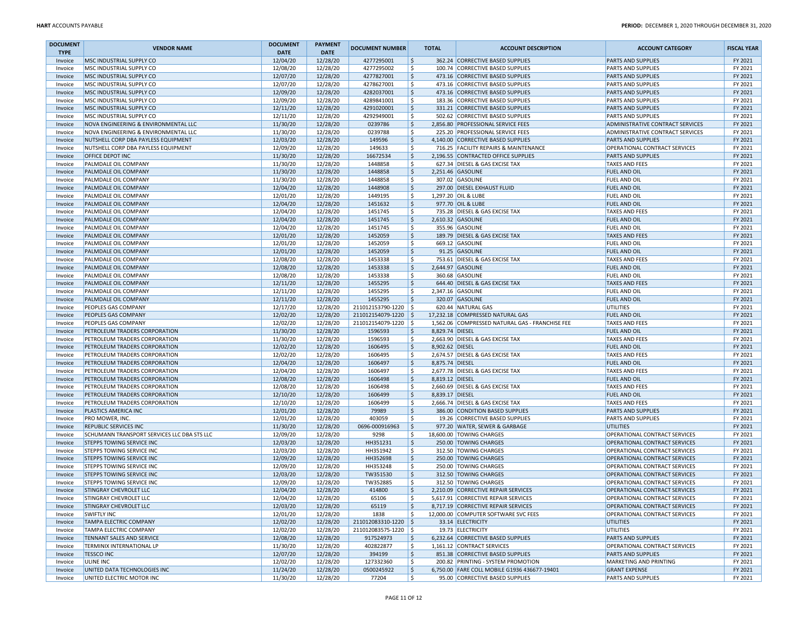| <b>DOCUMENT</b>    | <b>VENDOR NAME</b>                                                         | <b>DOCUMENT</b>      | <b>PAYMENT</b>       | <b>DOCUMENT NUMBER</b> | <b>TOTAL</b>            | <b>ACCOUNT DESCRIPTION</b>                                                   | <b>ACCOUNT CATEGORY</b>                            | <b>FISCAL YEAR</b> |
|--------------------|----------------------------------------------------------------------------|----------------------|----------------------|------------------------|-------------------------|------------------------------------------------------------------------------|----------------------------------------------------|--------------------|
| <b>TYPE</b>        |                                                                            | <b>DATE</b>          | <b>DATE</b>          |                        |                         |                                                                              |                                                    |                    |
| Invoice            | MSC INDUSTRIAL SUPPLY CO                                                   | 12/04/20             | 12/28/20             | 4277295001             | \$                      | 362.24 CORRECTIVE BASED SUPPLIES                                             | <b>PARTS AND SUPPLIES</b>                          | FY 2021            |
| Invoice            | MSC INDUSTRIAL SUPPLY CO                                                   | 12/08/20             | 12/28/20             | 4277295002             | ۱\$                     | 100.74 CORRECTIVE BASED SUPPLIES                                             | <b>PARTS AND SUPPLIES</b>                          | FY 2021            |
| Invoice            | MSC INDUSTRIAL SUPPLY CO                                                   | 12/07/20             | 12/28/20             | 4277827001             | ۱\$.                    | 473.16 CORRECTIVE BASED SUPPLIES                                             | <b>PARTS AND SUPPLIES</b>                          | FY 2021            |
| Invoice            | MSC INDUSTRIAL SUPPLY CO                                                   | 12/07/20             | 12/28/20             | 4278627001             | ١\$                     | 473.16 CORRECTIVE BASED SUPPLIES                                             | <b>PARTS AND SUPPLIES</b>                          | FY 2021            |
| Invoice            | MSC INDUSTRIAL SUPPLY CO                                                   | 12/09/20             | 12/28/20             | 4282037001             | ا \$                    | 473.16 CORRECTIVE BASED SUPPLIES                                             | <b>PARTS AND SUPPLIES</b>                          | FY 2021            |
| Invoice            | MSC INDUSTRIAL SUPPLY CO                                                   | 12/09/20             | 12/28/20             | 4289841001             | ۱\$                     | 183.36 CORRECTIVE BASED SUPPLIES                                             | <b>PARTS AND SUPPLIES</b>                          | FY 2021            |
| Invoice            | MSC INDUSTRIAL SUPPLY CO                                                   | 12/11/20             | 12/28/20             | 4291020001             | ١\$                     | 331.21 CORRECTIVE BASED SUPPLIES                                             | <b>PARTS AND SUPPLIES</b>                          | FY 2021            |
| Invoice            | MSC INDUSTRIAL SUPPLY CO                                                   | 12/11/20             | 12/28/20             | 4292949001             | l \$                    | 502.62 CORRECTIVE BASED SUPPLIES                                             | <b>PARTS AND SUPPLIES</b>                          | FY 2021            |
| Invoice            | NOVA ENGINEERING & ENVIRONMENTAL LLC                                       | 11/30/20             | 12/28/20             | 0239786                | \$                      | 2,856.80 PROFESSIONAL SERVICE FEES                                           | ADMINISTRATIVE CONTRACT SERVICES                   | FY 2021            |
| Invoice            | NOVA ENGINEERING & ENVIRONMENTAL LLC                                       | 11/30/20             | 12/28/20             | 0239788                | ۱\$.                    | 225.20 PROFESSIONAL SERVICE FEES                                             | ADMINISTRATIVE CONTRACT SERVICES                   | FY 2021            |
| Invoice            | NUTSHELL CORP DBA PAYLESS EQUIPMENT<br>NUTSHELL CORP DBA PAYLESS EQUIPMENT | 12/03/20             | 12/28/20             | 149596                 | ۱\$<br>۱\$              | 4,140.00 CORRECTIVE BASED SUPPLIES                                           | <b>PARTS AND SUPPLIES</b>                          | FY 2021            |
| Invoice            |                                                                            | 12/09/20             | 12/28/20             | 149633                 | ١\$                     | 716.25 FACILITY REPAIRS & MAINTENANCE<br>2,196.55 CONTRACTED OFFICE SUPPLIES | OPERATIONAL CONTRACT SERVICES                      | FY 2021<br>FY 2021 |
| Invoice            | OFFICE DEPOT INC                                                           | 11/30/20<br>11/30/20 | 12/28/20<br>12/28/20 | 16672534<br>1448858    | ۱\$                     | 627.34 DIESEL & GAS EXCISE TAX                                               | <b>PARTS AND SUPPLIES</b><br><b>TAXES AND FEES</b> | FY 2021            |
| Invoice            | PALMDALE OIL COMPANY<br>PALMDALE OIL COMPANY                               | 11/30/20             | 12/28/20             | 1448858                | ا \$                    | 2,251.46 GASOLINE                                                            | <b>FUEL AND OIL</b>                                | FY 2021            |
| Invoice            |                                                                            |                      |                      |                        | ۱\$                     | 307.02 GASOLINE                                                              |                                                    |                    |
| Invoice            | PALMDALE OIL COMPANY<br>PALMDALE OIL COMPANY                               | 11/30/20<br>12/04/20 | 12/28/20<br>12/28/20 | 1448858<br>1448908     | ١\$                     | 297.00 DIESEL EXHAUST FLUID                                                  | <b>FUEL AND OIL</b><br><b>FUEL AND OIL</b>         | FY 2021<br>FY 2021 |
| Invoice            |                                                                            | 12/01/20             |                      | 1449195                | ۱\$                     |                                                                              |                                                    | FY 2021            |
| Invoice            | PALMDALE OIL COMPANY                                                       | 12/04/20             | 12/28/20             | 1451632                |                         | 1,297.20 OIL & LUBE<br>977.70 OIL & LUBE                                     | <b>FUEL AND OIL</b><br><b>FUEL AND OIL</b>         | FY 2021            |
| Invoice            | PALMDALE OIL COMPANY                                                       |                      | 12/28/20             |                        | \$                      |                                                                              |                                                    |                    |
| Invoice            | PALMDALE OIL COMPANY                                                       | 12/04/20             | 12/28/20             | 1451745                | ا \$<br>١\$             | 735.28 DIESEL & GAS EXCISE TAX                                               | <b>TAXES AND FEES</b>                              | FY 2021            |
| Invoice            | PALMDALE OIL COMPANY                                                       | 12/04/20<br>12/04/20 | 12/28/20             | 1451745<br>1451745     | ۱\$                     | 2,610.32 GASOLINE                                                            | <b>FUEL AND OIL</b>                                | FY 2021<br>FY 2021 |
| Invoice            | PALMDALE OIL COMPANY                                                       | 12/01/20             | 12/28/20             | 1452059                | ١\$                     | 355.96 GASOLINE                                                              | <b>FUEL AND OIL</b>                                | FY 2021            |
| Invoice            | PALMDALE OIL COMPANY                                                       | 12/01/20             | 12/28/20             | 1452059                | ۱\$                     | 189.79 DIESEL & GAS EXCISE TAX                                               | <b>TAXES AND FEES</b><br>FUEL AND OIL              | FY 2021            |
| Invoice            | PALMDALE OIL COMPANY<br>PALMDALE OIL COMPANY                               | 12/01/20             | 12/28/20<br>12/28/20 | 1452059                | ا \$                    | 669.12 GASOLINE<br>91.25 GASOLINE                                            | <b>FUEL AND OIL</b>                                | FY 2021            |
| Invoice            | PALMDALE OIL COMPANY                                                       |                      |                      |                        | ۱\$                     |                                                                              | <b>TAXES AND FEES</b>                              |                    |
| Invoice            | PALMDALE OIL COMPANY                                                       | 12/08/20<br>12/08/20 | 12/28/20<br>12/28/20 | 1453338<br>1453338     | ١\$                     | 753.61 DIESEL & GAS EXCISE TAX<br>2,644.97 GASOLINE                          | <b>FUEL AND OIL</b>                                | FY 2021<br>FY 2021 |
| Invoice<br>Invoice | PALMDALE OIL COMPANY                                                       | 12/08/20             | 12/28/20             | 1453338                | l \$                    | 360.68 GASOLINE                                                              | <b>FUEL AND OIL</b>                                | FY 2021            |
|                    | PALMDALE OIL COMPANY                                                       | 12/11/20             | 12/28/20             | 1455295                | ا \$                    | 644.40 DIESEL & GAS EXCISE TAX                                               | <b>TAXES AND FEES</b>                              | FY 2021            |
| Invoice            | PALMDALE OIL COMPANY                                                       | 12/11/20             | 12/28/20             | 1455295                | ۱\$                     | 2,347.16 GASOLINE                                                            | <b>FUEL AND OIL</b>                                | FY 2021            |
| Invoice            |                                                                            | 12/11/20             | 12/28/20             | 1455295                | ۱\$                     | 320.07 GASOLINE                                                              | <b>FUEL AND OIL</b>                                | FY 2021            |
| Invoice<br>Invoice | PALMDALE OIL COMPANY<br>PEOPLES GAS COMPANY                                | 12/17/20             | 12/28/20             | 211012153790-1220      | l \$                    | 620.44 NATURAL GAS                                                           | UTILITIES                                          | FY 2021            |
| Invoice            | PEOPLES GAS COMPANY                                                        | 12/02/20             | 12/28/20             | 211012154079-1220 \$   |                         | 17,232.18 COMPRESSED NATURAL GAS                                             | <b>FUEL AND OIL</b>                                | FY 2021            |
| Invoice            | PEOPLES GAS COMPANY                                                        | 12/02/20             | 12/28/20             | 211012154079-1220 \$   |                         | 1,562.06 COMPRESSED NATURAL GAS - FRANCHISE FEE                              | <b>TAXES AND FEES</b>                              | FY 2021            |
| Invoice            | PETROLEUM TRADERS CORPORATION                                              | 11/30/20             | 12/28/20             | 1596593                | ۱\$<br>8,829.74 DIESEL  |                                                                              | <b>FUEL AND OIL</b>                                | FY 2021            |
| Invoice            | PETROLEUM TRADERS CORPORATION                                              | 11/30/20             | 12/28/20             | 1596593                | ۱\$                     | 2,663.90 DIESEL & GAS EXCISE TAX                                             | <b>TAXES AND FEES</b>                              | FY 2021            |
| Invoice            | PETROLEUM TRADERS CORPORATION                                              | 12/02/20             | 12/28/20             | 1606495                | \$ ا<br>8,902.62 DIESEL |                                                                              | <b>FUEL AND OIL</b>                                | FY 2021            |
| Invoice            | PETROLEUM TRADERS CORPORATION                                              | 12/02/20             | 12/28/20             | 1606495                | l \$                    | 2,674.57 DIESEL & GAS EXCISE TAX                                             | <b>TAXES AND FEES</b>                              | FY 2021            |
| Invoice            | PETROLEUM TRADERS CORPORATION                                              | 12/04/20             | 12/28/20             | 1606497                | \$<br>8,875.74 DIESEL   |                                                                              | <b>FUEL AND OIL</b>                                | FY 2021            |
| Invoice            | PETROLEUM TRADERS CORPORATION                                              | 12/04/20             | 12/28/20             | 1606497                | ا \$                    | 2,677.78 DIESEL & GAS EXCISE TAX                                             | <b>TAXES AND FEES</b>                              | FY 2021            |
| Invoice            | PETROLEUM TRADERS CORPORATION                                              | 12/08/20             | 12/28/20             | 1606498                | ١\$<br>8,819.12 DIESEL  |                                                                              | <b>FUEL AND OIL</b>                                | FY 2021            |
| Invoice            | PETROLEUM TRADERS CORPORATION                                              | 12/08/20             | 12/28/20             | 1606498                | ۱\$                     | 2,660.69 DIESEL & GAS EXCISE TAX                                             | <b>TAXES AND FEES</b>                              | FY 2021            |
| Invoice            | PETROLEUM TRADERS CORPORATION                                              | 12/10/20             | 12/28/20             | 1606499                | ١\$<br>8,839.17 DIESEL  |                                                                              | <b>FUEL AND OIL</b>                                | FY 2021            |
| Invoice            | PETROLEUM TRADERS CORPORATION                                              | 12/10/20             | 12/28/20             | 1606499                | ۱\$                     | 2,666.74 DIESEL & GAS EXCISE TAX                                             | <b>TAXES AND FEES</b>                              | FY 2021            |
| Invoice            | PLASTICS AMERICA INC                                                       | 12/01/20             | 12/28/20             | 79989                  | ا \$                    | 386.00 CONDITION BASED SUPPLIES                                              | <b>PARTS AND SUPPLIES</b>                          | FY 2021            |
| Invoice            | PRO MOWER, INC.                                                            | 12/01/20             | 12/28/20             | 403059                 | ١\$                     | 19.26 CORRECTIVE BASED SUPPLIES                                              | <b>PARTS AND SUPPLIES</b>                          | FY 2021            |
| Invoice            | <b>REPUBLIC SERVICES INC</b>                                               | 11/30/20             | 12/28/20             | 0696-000916963         | \$ ا                    | 977.20 WATER, SEWER & GARBAGE                                                | <b>UTILITIES</b>                                   | FY 2021            |
| Invoice            | SCHUMANN TRANSPORT SERVICES LLC DBA STS LLC                                | 12/09/20             | 12/28/20             | 9298                   | \$                      | 18,600.00 TOWING CHARGES                                                     | OPERATIONAL CONTRACT SERVICES                      | FY 2021            |
| Invoice            | <b>STEPPS TOWING SERVICE INC</b>                                           | 12/03/20             | 12/28/20             | HH351231               | \$                      | 250.00 TOWING CHARGES                                                        | OPERATIONAL CONTRACT SERVICES                      | FY 2021            |
| Invoice            | STEPPS TOWING SERVICE INC                                                  | 12/03/20             | 12/28/20             | HH351942               | ۱\$                     | 312.50 TOWING CHARGES                                                        | OPERATIONAL CONTRACT SERVICES                      | FY 2021            |
| Invoice            | STEPPS TOWING SERVICE INC                                                  | 12/09/20             | 12/28/20             | HH352698               | ∣\$                     | 250.00 TOWING CHARGES                                                        | <b>OPERATIONAL CONTRACT SERVICES</b>               | FY 2021            |
| Invoice            | STEPPS TOWING SERVICE INC                                                  | 12/09/20             | 12/28/20             | HH353248               | ۱\$                     | 250.00 TOWING CHARGES                                                        | OPERATIONAL CONTRACT SERVICES                      | FY 2021            |
| Invoice            | STEPPS TOWING SERVICE INC                                                  | 12/03/20             | 12/28/20             | TW351530               | ١\$                     | 312.50 TOWING CHARGES                                                        | OPERATIONAL CONTRACT SERVICES                      | FY 2021            |
| Invoice            | <b>STEPPS TOWING SERVICE INC</b>                                           | 12/09/20             | 12/28/20             | TW352885               | .s                      | 312.50 TOWING CHARGES                                                        | OPERATIONAL CONTRACT SERVICES                      | FY 2021            |
| Invoice            | STINGRAY CHEVROLET LLC                                                     | 12/04/20             | 12/28/20             | 414800                 | l\$                     | 2,210.09 CORRECTIVE REPAIR SERVICES                                          | OPERATIONAL CONTRACT SERVICES                      | FY 2021            |
| Invoice            | <b>STINGRAY CHEVROLET LLC</b>                                              | 12/04/20             | 12/28/20             | 65106                  | l Ş                     | 5,617.91 CORRECTIVE REPAIR SERVICES                                          | OPERATIONAL CONTRACT SERVICES                      | FY 2021            |
| Invoice            | <b>STINGRAY CHEVROLET LLC</b>                                              | 12/03/20             | 12/28/20             | 65119                  | ۱\$.                    | 8,717.19 CORRECTIVE REPAIR SERVICES                                          | OPERATIONAL CONTRACT SERVICES                      | FY 2021            |
| Invoice            | <b>SWIFTLY INC</b>                                                         | 12/01/20             | 12/28/20             | 1838                   | l \$                    | 12,000.00 COMPUTER SOFTWARE SVC FEES                                         | OPERATIONAL CONTRACT SERVICES                      | FY 2021            |
| Invoice            | <b>TAMPA ELECTRIC COMPANY</b>                                              | 12/02/20             | 12/28/20             | 211012083310-1220 \$   |                         | 33.14 ELECTRICITY                                                            | <b>UTILITIES</b>                                   | FY 2021            |
| Invoice            | TAMPA ELECTRIC COMPANY                                                     | 12/02/20             | 12/28/20             | 211012083575-1220 \$   |                         | 19.73 ELECTRICITY                                                            | UTILITIES                                          | FY 2021            |
| Invoice            | TENNANT SALES AND SERVICE                                                  | 12/08/20             | 12/28/20             | 917524973              | \$                      | 6,232.64 CORRECTIVE BASED SUPPLIES                                           | <b>PARTS AND SUPPLIES</b>                          | FY 2021            |
| Invoice            | TERMINIX INTERNATIONAL LP                                                  | 11/30/20             | 12/28/20             | 402822877              | ۱\$                     | 1,161.12 CONTRACT SERVICES                                                   | OPERATIONAL CONTRACT SERVICES                      | FY 2021            |
| Invoice            | <b>TESSCO INC</b>                                                          | 12/07/20             | 12/28/20             | 394199                 | ۱\$.                    | 851.38 CORRECTIVE BASED SUPPLIES                                             | <b>PARTS AND SUPPLIES</b>                          | FY 2021            |
| Invoice            | ULINE INC                                                                  | 12/02/20             | 12/28/20             | 127332360              | S.                      | 200.82 PRINTING - SYSTEM PROMOTION                                           | MARKETING AND PRINTING                             | FY 2021            |
| Invoice            | UNITED DATA TECHNOLOGIES INC                                               | 11/24/20             | 12/28/20             | 0500245922             | ۱\$.                    | 6,750.00 FARE COLL MOBILE G1936 436677-19401                                 | <b>GRANT EXPENSE</b>                               | FY 2021            |
| Invoice            | UNITED ELECTRIC MOTOR INC                                                  | 11/30/20             | 12/28/20             | 77204                  | l \$                    | 95.00 CORRECTIVE BASED SUPPLIES                                              | <b>PARTS AND SUPPLIES</b>                          | FY 2021            |
|                    |                                                                            |                      |                      |                        |                         |                                                                              |                                                    |                    |